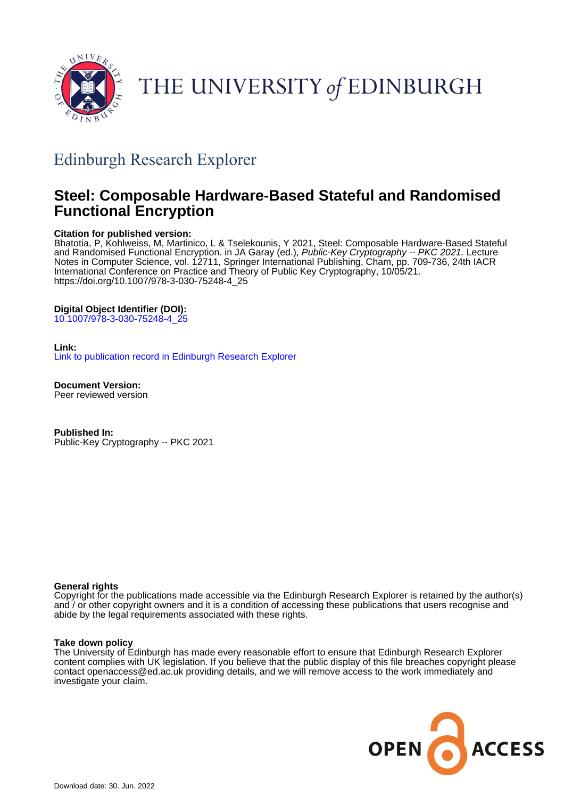

# THE UNIVERSITY of EDINBURGH

## Edinburgh Research Explorer

## **Steel: Composable Hardware-Based Stateful and Randomised Functional Encryption**

## **Citation for published version:**

Bhatotia, P, Kohlweiss, M, Martinico, L & Tselekounis, Y 2021, Steel: Composable Hardware-Based Stateful and Randomised Functional Encryption. in JA Garay (ed.), Public-Key Cryptography -- PKC 2021. Lecture Notes in Computer Science, vol. 12711, Springer International Publishing, Cham, pp. 709-736, 24th IACR International Conference on Practice and Theory of Public Key Cryptography, 10/05/21. [https://doi.org/10.1007/978-3-030-75248-4\\_25](https://doi.org/10.1007/978-3-030-75248-4_25)

## **Digital Object Identifier (DOI):**

[10.1007/978-3-030-75248-4\\_25](https://doi.org/10.1007/978-3-030-75248-4_25)

## **Link:**

[Link to publication record in Edinburgh Research Explorer](https://www.research.ed.ac.uk/en/publications/da2df8a3-eea2-448e-a26d-d7983c2d7097)

**Document Version:** Peer reviewed version

**Published In:** Public-Key Cryptography -- PKC 2021

## **General rights**

Copyright for the publications made accessible via the Edinburgh Research Explorer is retained by the author(s) and / or other copyright owners and it is a condition of accessing these publications that users recognise and abide by the legal requirements associated with these rights.

#### **Take down policy**

The University of Edinburgh has made every reasonable effort to ensure that Edinburgh Research Explorer content complies with UK legislation. If you believe that the public display of this file breaches copyright please contact openaccess@ed.ac.uk providing details, and we will remove access to the work immediately and investigate your claim.

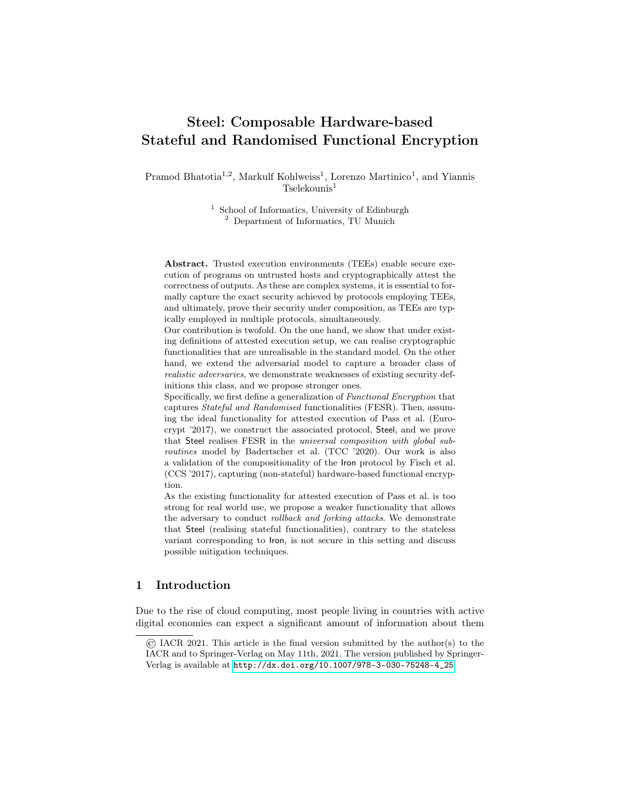## <span id="page-1-0"></span>Steel: Composable Hardware-based Stateful and Randomised Functional Encryption

Pramod Bhatotia<sup>1,2</sup>, Markulf Kohlweiss<sup>1</sup>, Lorenzo Martinico<sup>1</sup>, and Yiannis  $T$ selekounis<sup>1</sup>

> <sup>1</sup> School of Informatics, University of Edinburgh <sup>2</sup> Department of Informatics, TU Munich

Abstract. Trusted execution environments (TEEs) enable secure execution of programs on untrusted hosts and cryptographically attest the correctness of outputs. As these are complex systems, it is essential to formally capture the exact security achieved by protocols employing TEEs, and ultimately, prove their security under composition, as TEEs are typically employed in multiple protocols, simultaneously.

Our contribution is twofold. On the one hand, we show that under existing definitions of attested execution setup, we can realise cryptographic functionalities that are unrealisable in the standard model. On the other hand, we extend the adversarial model to capture a broader class of realistic adversaries, we demonstrate weaknesses of existing security definitions this class, and we propose stronger ones.

Specifically, we first define a generalization of Functional Encryption that captures Stateful and Randomised functionalities (FESR). Then, assuming the ideal functionality for attested execution of Pass et al. (Eurocrypt '2017), we construct the associated protocol, Steel, and we prove that Steel realises FESR in the universal composition with global subroutines model by Badertscher et al. (TCC '2020). Our work is also a validation of the compositionality of the Iron protocol by Fisch et al. (CCS '2017), capturing (non-stateful) hardware-based functional encryption.

As the existing functionality for attested execution of Pass et al. is too strong for real world use, we propose a weaker functionality that allows the adversary to conduct rollback and forking attacks. We demonstrate that Steel (realising stateful functionalities), contrary to the stateless variant corresponding to Iron, is not secure in this setting and discuss possible mitigation techniques.

## 1 Introduction

Due to the rise of cloud computing, most people living in countries with active digital economies can expect a significant amount of information about them

<sup>©</sup> IACR 2021. This article is the final version submitted by the author(s) to the IACR and to Springer-Verlag on May 11th, 2021. The version published by Springer-Verlag is available at [http://dx.doi.org/10.1007/978-3-030-75248-4\\_25](http://dx.doi.org/10.1007/978-3-030-75248-4_25).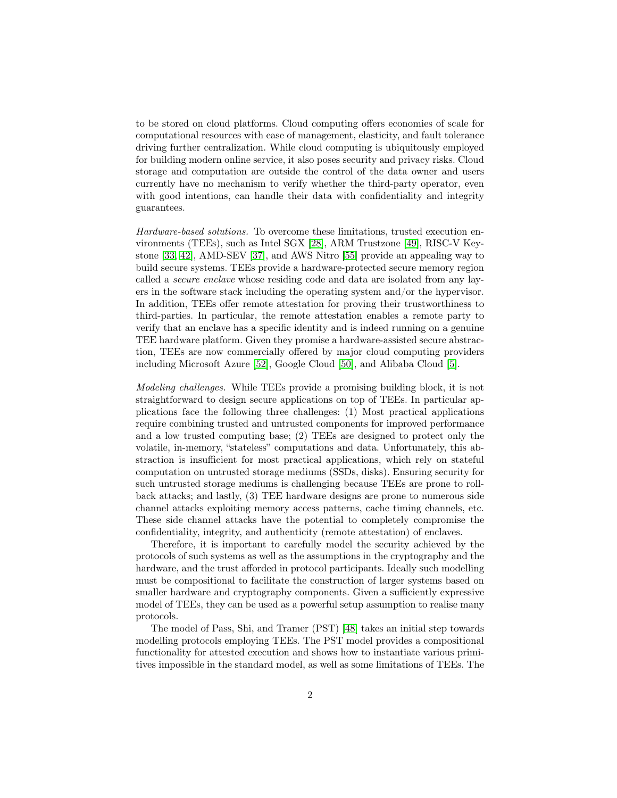to be stored on cloud platforms. Cloud computing offers economies of scale for computational resources with ease of management, elasticity, and fault tolerance driving further centralization. While cloud computing is ubiquitously employed for building modern online service, it also poses security and privacy risks. Cloud storage and computation are outside the control of the data owner and users currently have no mechanism to verify whether the third-party operator, even with good intentions, can handle their data with confidentiality and integrity guarantees.

Hardware-based solutions. To overcome these limitations, trusted execution environments (TEEs), such as Intel SGX [\[28\]](#page-28-0), ARM Trustzone [\[49\]](#page-30-0), RISC-V Keystone [\[33,](#page-29-0) [42\]](#page-29-1), AMD-SEV [\[37\]](#page-29-2), and AWS Nitro [\[55\]](#page-30-1) provide an appealing way to build secure systems. TEEs provide a hardware-protected secure memory region called a secure enclave whose residing code and data are isolated from any layers in the software stack including the operating system and/or the hypervisor. In addition, TEEs offer remote attestation for proving their trustworthiness to third-parties. In particular, the remote attestation enables a remote party to verify that an enclave has a specific identity and is indeed running on a genuine TEE hardware platform. Given they promise a hardware-assisted secure abstraction, TEEs are now commercially offered by major cloud computing providers including Microsoft Azure [\[52\]](#page-30-2), Google Cloud [\[50\]](#page-30-3), and Alibaba Cloud [\[5\]](#page-26-0).

Modeling challenges. While TEEs provide a promising building block, it is not straightforward to design secure applications on top of TEEs. In particular applications face the following three challenges: (1) Most practical applications require combining trusted and untrusted components for improved performance and a low trusted computing base; (2) TEEs are designed to protect only the volatile, in-memory, "stateless" computations and data. Unfortunately, this abstraction is insufficient for most practical applications, which rely on stateful computation on untrusted storage mediums (SSDs, disks). Ensuring security for such untrusted storage mediums is challenging because TEEs are prone to rollback attacks; and lastly, (3) TEE hardware designs are prone to numerous side channel attacks exploiting memory access patterns, cache timing channels, etc. These side channel attacks have the potential to completely compromise the confidentiality, integrity, and authenticity (remote attestation) of enclaves.

Therefore, it is important to carefully model the security achieved by the protocols of such systems as well as the assumptions in the cryptography and the hardware, and the trust afforded in protocol participants. Ideally such modelling must be compositional to facilitate the construction of larger systems based on smaller hardware and cryptography components. Given a sufficiently expressive model of TEEs, they can be used as a powerful setup assumption to realise many protocols.

The model of Pass, Shi, and Tramer (PST) [\[48\]](#page-30-4) takes an initial step towards modelling protocols employing TEEs. The PST model provides a compositional functionality for attested execution and shows how to instantiate various primitives impossible in the standard model, as well as some limitations of TEEs. The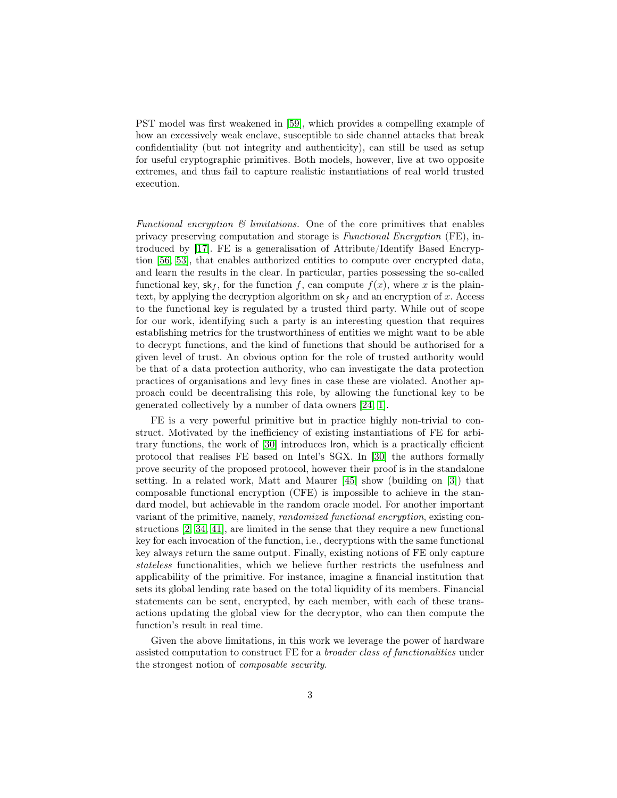PST model was first weakened in [\[59\]](#page-31-0), which provides a compelling example of how an excessively weak enclave, susceptible to side channel attacks that break confidentiality (but not integrity and authenticity), can still be used as setup for useful cryptographic primitives. Both models, however, live at two opposite extremes, and thus fail to capture realistic instantiations of real world trusted execution.

Functional encryption  $\mathcal{B}$  limitations. One of the core primitives that enables privacy preserving computation and storage is Functional Encryption (FE), introduced by [\[17\]](#page-27-0). FE is a generalisation of Attribute/Identify Based Encryption [\[56,](#page-30-5) [53\]](#page-30-6), that enables authorized entities to compute over encrypted data, and learn the results in the clear. In particular, parties possessing the so-called functional key,  $\mathsf{sk}_f$ , for the function f, can compute  $f(x)$ , where x is the plaintext, by applying the decryption algorithm on  $sk_f$  and an encryption of x. Access to the functional key is regulated by a trusted third party. While out of scope for our work, identifying such a party is an interesting question that requires establishing metrics for the trustworthiness of entities we might want to be able to decrypt functions, and the kind of functions that should be authorised for a given level of trust. An obvious option for the role of trusted authority would be that of a data protection authority, who can investigate the data protection practices of organisations and levy fines in case these are violated. Another approach could be decentralising this role, by allowing the functional key to be generated collectively by a number of data owners [\[24,](#page-28-1) [1\]](#page-26-1).

FE is a very powerful primitive but in practice highly non-trivial to construct. Motivated by the inefficiency of existing instantiations of FE for arbitrary functions, the work of [\[30\]](#page-28-2) introduces Iron, which is a practically efficient protocol that realises FE based on Intel's SGX. In [\[30\]](#page-28-2) the authors formally prove security of the proposed protocol, however their proof is in the standalone setting. In a related work, Matt and Maurer [\[45\]](#page-30-7) show (building on [\[3\]](#page-26-2)) that composable functional encryption (CFE) is impossible to achieve in the standard model, but achievable in the random oracle model. For another important variant of the primitive, namely, randomized functional encryption, existing constructions [\[2,](#page-26-3) [34,](#page-29-3) [41\]](#page-29-4), are limited in the sense that they require a new functional key for each invocation of the function, i.e., decryptions with the same functional key always return the same output. Finally, existing notions of FE only capture stateless functionalities, which we believe further restricts the usefulness and applicability of the primitive. For instance, imagine a financial institution that sets its global lending rate based on the total liquidity of its members. Financial statements can be sent, encrypted, by each member, with each of these transactions updating the global view for the decryptor, who can then compute the function's result in real time.

Given the above limitations, in this work we leverage the power of hardware assisted computation to construct FE for a broader class of functionalities under the strongest notion of composable security.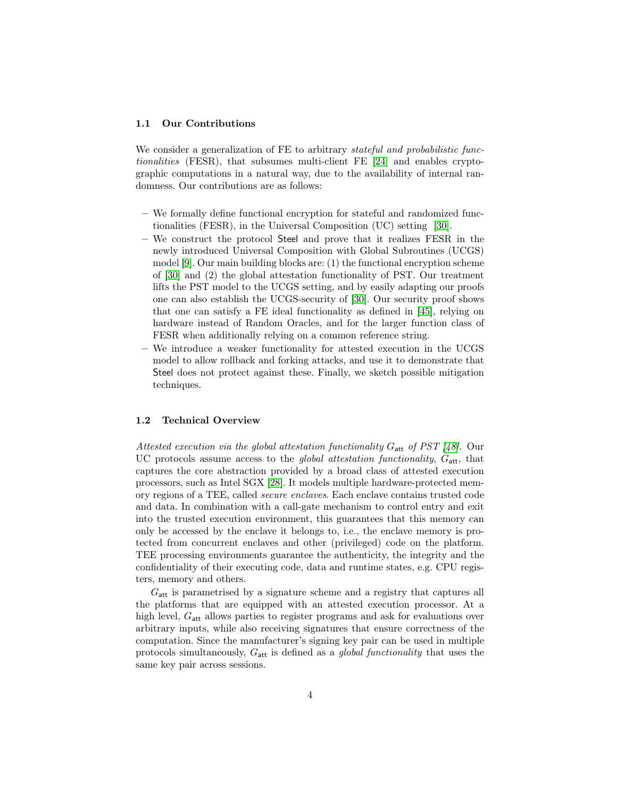#### 1.1 Our Contributions

We consider a generalization of FE to arbitrary stateful and probabilistic functionalities (FESR), that subsumes multi-client FE [\[24\]](#page-28-1) and enables cryptographic computations in a natural way, due to the availability of internal randomness. Our contributions are as follows:

- We formally define functional encryption for stateful and randomized functionalities (FESR), in the Universal Composition (UC) setting [\[30\]](#page-28-2).
- We construct the protocol Steel and prove that it realizes FESR in the newly introduced Universal Composition with Global Subroutines (UCGS) model [\[9\]](#page-27-1). Our main building blocks are: (1) the functional encryption scheme of [\[30\]](#page-28-2) and (2) the global attestation functionality of PST. Our treatment lifts the PST model to the UCGS setting, and by easily adapting our proofs one can also establish the UCGS-security of [\[30\]](#page-28-2). Our security proof shows that one can satisfy a FE ideal functionality as defined in [\[45\]](#page-30-7), relying on hardware instead of Random Oracles, and for the larger function class of FESR when additionally relying on a common reference string.
- We introduce a weaker functionality for attested execution in the UCGS model to allow rollback and forking attacks, and use it to demonstrate that Steel does not protect against these. Finally, we sketch possible mitigation techniques.

#### 1.2 Technical Overview

Attested execution via the global attestation functionality  $G_{\text{att}}$  of PST [\[48\]](#page-30-4). Our UC protocols assume access to the *global attestation functionality*,  $G_{\text{att}}$ , that captures the core abstraction provided by a broad class of attested execution processors, such as Intel SGX [\[28\]](#page-28-0). It models multiple hardware-protected memory regions of a TEE, called secure enclaves. Each enclave contains trusted code and data. In combination with a call-gate mechanism to control entry and exit into the trusted execution environment, this guarantees that this memory can only be accessed by the enclave it belongs to, i.e., the enclave memory is protected from concurrent enclaves and other (privileged) code on the platform. TEE processing environments guarantee the authenticity, the integrity and the confidentiality of their executing code, data and runtime states, e.g. CPU registers, memory and others.

 $G<sub>att</sub>$  is parametrised by a signature scheme and a registry that captures all the platforms that are equipped with an attested execution processor. At a high level,  $G_{\text{att}}$  allows parties to register programs and ask for evaluations over arbitrary inputs, while also receiving signatures that ensure correctness of the computation. Since the manufacturer's signing key pair can be used in multiple protocols simultaneously,  $G_{\text{att}}$  is defined as a *global functionality* that uses the same key pair across sessions.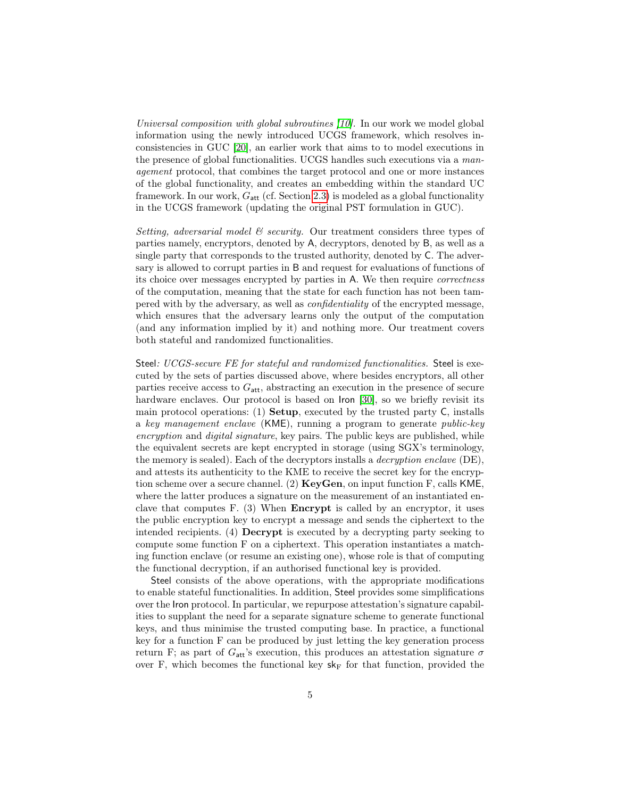Universal composition with global subroutines [\[10\]](#page-27-2). In our work we model global information using the newly introduced UCGS framework, which resolves inconsistencies in GUC [\[20\]](#page-28-3), an earlier work that aims to to model executions in the presence of global functionalities. UCGS handles such executions via a management protocol, that combines the target protocol and one or more instances of the global functionality, and creates an embedding within the standard UC framework. In our work,  $G_{\text{att}}$  (cf. Section [2.3\)](#page-12-0) is modeled as a global functionality in the UCGS framework (updating the original PST formulation in GUC).

Setting, adversarial model  $\mathcal B$  security. Our treatment considers three types of parties namely, encryptors, denoted by A, decryptors, denoted by B, as well as a single party that corresponds to the trusted authority, denoted by C. The adversary is allowed to corrupt parties in B and request for evaluations of functions of its choice over messages encrypted by parties in A. We then require correctness of the computation, meaning that the state for each function has not been tampered with by the adversary, as well as confidentiality of the encrypted message, which ensures that the adversary learns only the output of the computation (and any information implied by it) and nothing more. Our treatment covers both stateful and randomized functionalities.

Steel: UCGS-secure FE for stateful and randomized functionalities. Steel is executed by the sets of parties discussed above, where besides encryptors, all other parties receive access to  $G_{\text{att}}$ , abstracting an execution in the presence of secure hardware enclaves. Our protocol is based on Iron [\[30\]](#page-28-2), so we briefly revisit its main protocol operations: (1) Setup, executed by the trusted party C, installs a key management enclave (KME), running a program to generate public-key encryption and digital signature, key pairs. The public keys are published, while the equivalent secrets are kept encrypted in storage (using SGX's terminology, the memory is sealed). Each of the decryptors installs a decryption enclave (DE), and attests its authenticity to the KME to receive the secret key for the encryption scheme over a secure channel. (2)  $KeyGen$ , on input function F, calls KME, where the latter produces a signature on the measurement of an instantiated enclave that computes F. (3) When Encrypt is called by an encryptor, it uses the public encryption key to encrypt a message and sends the ciphertext to the intended recipients. (4) Decrypt is executed by a decrypting party seeking to compute some function F on a ciphertext. This operation instantiates a matching function enclave (or resume an existing one), whose role is that of computing the functional decryption, if an authorised functional key is provided.

Steel consists of the above operations, with the appropriate modifications to enable stateful functionalities. In addition, Steel provides some simplifications over the Iron protocol. In particular, we repurpose attestation's signature capabilities to supplant the need for a separate signature scheme to generate functional keys, and thus minimise the trusted computing base. In practice, a functional key for a function F can be produced by just letting the key generation process return F; as part of  $G_{\text{att}}$ 's execution, this produces an attestation signature  $\sigma$ over F, which becomes the functional key  $sk_F$  for that function, provided the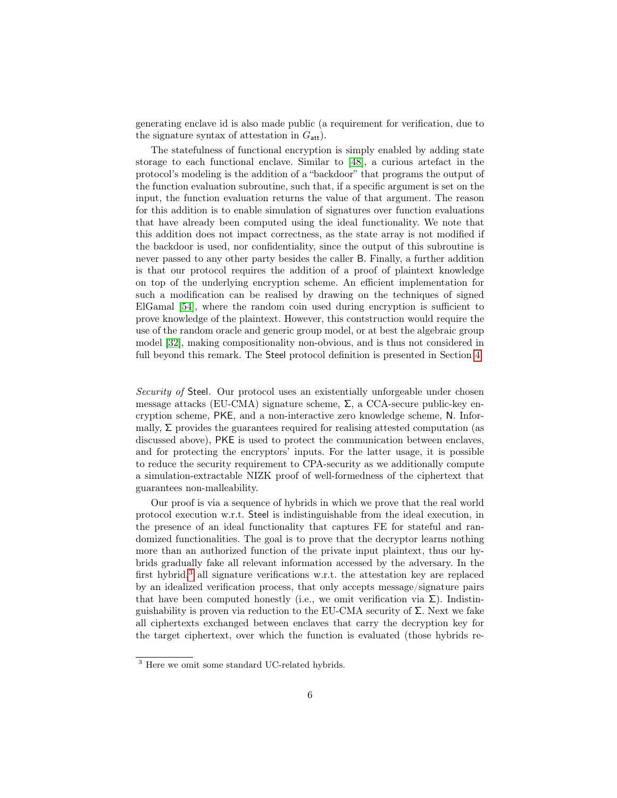generating enclave id is also made public (a requirement for verification, due to the signature syntax of attestation in  $G_{\text{att}}$ ).

The statefulness of functional encryption is simply enabled by adding state storage to each functional enclave. Similar to [\[48\]](#page-30-4), a curious artefact in the protocol's modeling is the addition of a "backdoor" that programs the output of the function evaluation subroutine, such that, if a specific argument is set on the input, the function evaluation returns the value of that argument. The reason for this addition is to enable simulation of signatures over function evaluations that have already been computed using the ideal functionality. We note that this addition does not impact correctness, as the state array is not modified if the backdoor is used, nor confidentiality, since the output of this subroutine is never passed to any other party besides the caller B. Finally, a further addition is that our protocol requires the addition of a proof of plaintext knowledge on top of the underlying encryption scheme. An efficient implementation for such a modification can be realised by drawing on the techniques of signed ElGamal [\[54\]](#page-30-8), where the random coin used during encryption is sufficient to prove knowledge of the plaintext. However, this contstruction would require the use of the random oracle and generic group model, or at best the algebraic group model [\[32\]](#page-29-5), making compositionality non-obvious, and is thus not considered in full beyond this remark. The Steel protocol definition is presented in Section [4.](#page-15-0)

Security of Steel. Our protocol uses an existentially unforgeable under chosen message attacks (EU-CMA) signature scheme,  $\Sigma$ , a CCA-secure public-key encryption scheme, PKE, and a non-interactive zero knowledge scheme, N. Informally,  $\Sigma$  provides the guarantees required for realising attested computation (as discussed above), PKE is used to protect the communication between enclaves, and for protecting the encryptors' inputs. For the latter usage, it is possible to reduce the security requirement to CPA-security as we additionally compute a simulation-extractable NIZK proof of well-formedness of the ciphertext that guarantees non-malleability.

Our proof is via a sequence of hybrids in which we prove that the real world protocol execution w.r.t. Steel is indistinguishable from the ideal execution, in the presence of an ideal functionality that captures FE for stateful and randomized functionalities. The goal is to prove that the decryptor learns nothing more than an authorized function of the private input plaintext, thus our hybrids gradually fake all relevant information accessed by the adversary. In the first hybrid,<sup>[3](#page-1-0)</sup> all signature verifications w.r.t. the attestation key are replaced by an idealized verification process, that only accepts message/signature pairs that have been computed honestly (i.e., we omit verification via  $\Sigma$ ). Indistinguishability is proven via reduction to the EU-CMA security of  $\Sigma$ . Next we fake all ciphertexts exchanged between enclaves that carry the decryption key for the target ciphertext, over which the function is evaluated (those hybrids re-

<sup>3</sup> Here we omit some standard UC-related hybrids.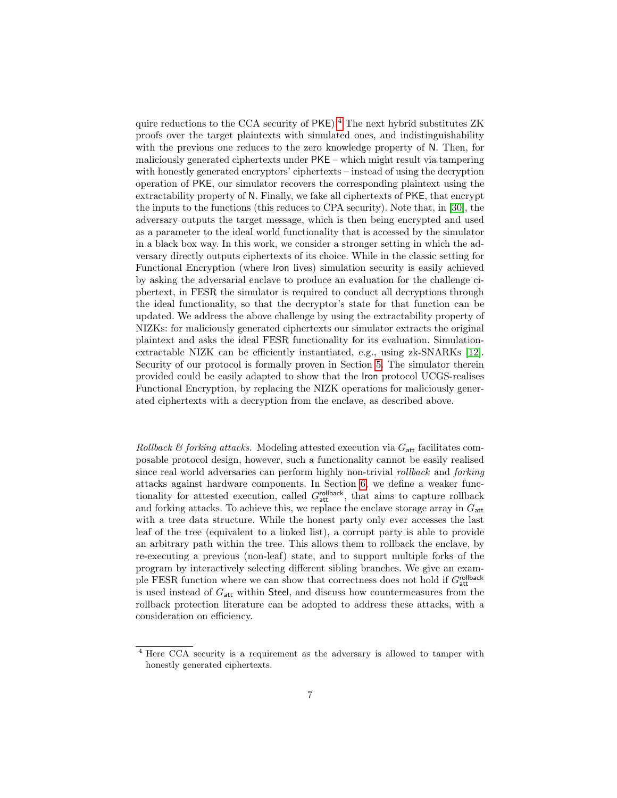quire reductions to the CCA security of PKE).[4](#page-1-0) The next hybrid substitutes ZK proofs over the target plaintexts with simulated ones, and indistinguishability with the previous one reduces to the zero knowledge property of N. Then, for maliciously generated ciphertexts under PKE – which might result via tampering with honestly generated encryptors' ciphertexts – instead of using the decryption operation of PKE, our simulator recovers the corresponding plaintext using the extractability property of N. Finally, we fake all ciphertexts of PKE, that encrypt the inputs to the functions (this reduces to CPA security). Note that, in [\[30\]](#page-28-2), the adversary outputs the target message, which is then being encrypted and used as a parameter to the ideal world functionality that is accessed by the simulator in a black box way. In this work, we consider a stronger setting in which the adversary directly outputs ciphertexts of its choice. While in the classic setting for Functional Encryption (where Iron lives) simulation security is easily achieved by asking the adversarial enclave to produce an evaluation for the challenge ciphertext, in FESR the simulator is required to conduct all decryptions through the ideal functionality, so that the decryptor's state for that function can be updated. We address the above challenge by using the extractability property of NIZKs: for maliciously generated ciphertexts our simulator extracts the original plaintext and asks the ideal FESR functionality for its evaluation. Simulationextractable NIZK can be efficiently instantiated, e.g., using zk-SNARKs [\[12\]](#page-27-3). Security of our protocol is formally proven in Section [5.](#page-18-0) The simulator therein provided could be easily adapted to show that the Iron protocol UCGS-realises Functional Encryption, by replacing the NIZK operations for maliciously generated ciphertexts with a decryption from the enclave, as described above.

Rollback & forking attacks. Modeling attested execution via  $G_{\text{att}}$  facilitates composable protocol design, however, such a functionality cannot be easily realised since real world adversaries can perform highly non-trivial rollback and forking attacks against hardware components. In Section [6,](#page-22-0) we define a weaker functionality for attested execution, called  $G<sub>att</sub><sup>rollback</sup>$ , that aims to capture rollback and forking attacks. To achieve this, we replace the enclave storage array in  $G_{\text{att}}$ with a tree data structure. While the honest party only ever accesses the last leaf of the tree (equivalent to a linked list), a corrupt party is able to provide an arbitrary path within the tree. This allows them to rollback the enclave, by re-executing a previous (non-leaf) state, and to support multiple forks of the program by interactively selecting different sibling branches. We give an example FESR function where we can show that correctness does not hold if  $G_{\text{att}}^{\text{rollback}}$ is used instead of  $G_{\text{att}}$  within Steel, and discuss how countermeasures from the rollback protection literature can be adopted to address these attacks, with a consideration on efficiency.

<sup>4</sup> Here CCA security is a requirement as the adversary is allowed to tamper with honestly generated ciphertexts.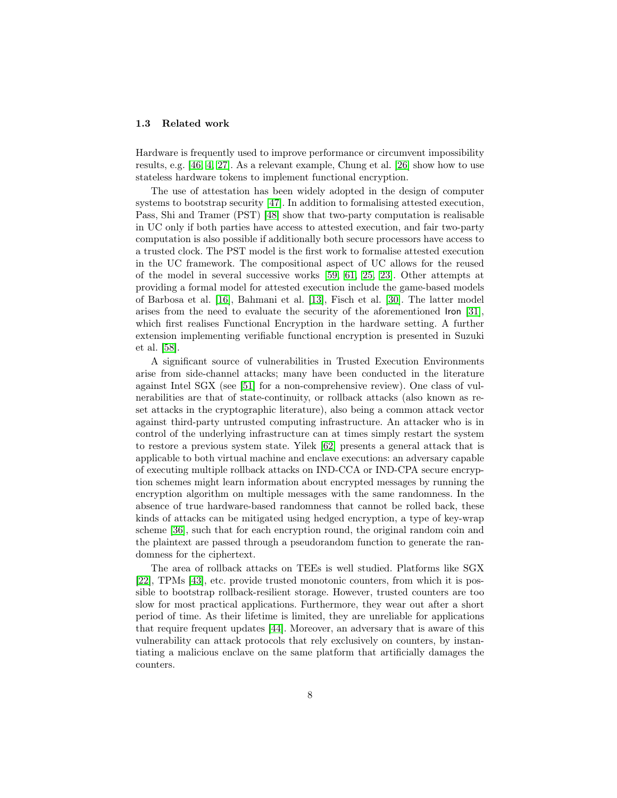#### <span id="page-8-0"></span>1.3 Related work

Hardware is frequently used to improve performance or circumvent impossibility results, e.g. [\[46,](#page-30-9) [4,](#page-26-4) [27\]](#page-28-4). As a relevant example, Chung et al. [\[26\]](#page-28-5) show how to use stateless hardware tokens to implement functional encryption.

The use of attestation has been widely adopted in the design of computer systems to bootstrap security [\[47\]](#page-30-10). In addition to formalising attested execution, Pass, Shi and Tramer (PST) [\[48\]](#page-30-4) show that two-party computation is realisable in UC only if both parties have access to attested execution, and fair two-party computation is also possible if additionally both secure processors have access to a trusted clock. The PST model is the first work to formalise attested execution in the UC framework. The compositional aspect of UC allows for the reused of the model in several successive works [\[59,](#page-31-0) [61,](#page-31-1) [25,](#page-28-6) [23\]](#page-28-7). Other attempts at providing a formal model for attested execution include the game-based models of Barbosa et al. [\[16\]](#page-27-4), Bahmani et al. [\[13\]](#page-27-5), Fisch et al. [\[30\]](#page-28-2). The latter model arises from the need to evaluate the security of the aforementioned Iron [\[31\]](#page-29-6), which first realises Functional Encryption in the hardware setting. A further extension implementing verifiable functional encryption is presented in Suzuki et al. [\[58\]](#page-30-11).

A significant source of vulnerabilities in Trusted Execution Environments arise from side-channel attacks; many have been conducted in the literature against Intel SGX (see [\[51\]](#page-30-12) for a non-comprehensive review). One class of vulnerabilities are that of state-continuity, or rollback attacks (also known as reset attacks in the cryptographic literature), also being a common attack vector against third-party untrusted computing infrastructure. An attacker who is in control of the underlying infrastructure can at times simply restart the system to restore a previous system state. Yilek [\[62\]](#page-31-2) presents a general attack that is applicable to both virtual machine and enclave executions: an adversary capable of executing multiple rollback attacks on IND-CCA or IND-CPA secure encryption schemes might learn information about encrypted messages by running the encryption algorithm on multiple messages with the same randomness. In the absence of true hardware-based randomness that cannot be rolled back, these kinds of attacks can be mitigated using hedged encryption, a type of key-wrap scheme [\[36\]](#page-29-7), such that for each encryption round, the original random coin and the plaintext are passed through a pseudorandom function to generate the randomness for the ciphertext.

The area of rollback attacks on TEEs is well studied. Platforms like SGX [\[22\]](#page-28-8), TPMs [\[43\]](#page-30-13), etc. provide trusted monotonic counters, from which it is possible to bootstrap rollback-resilient storage. However, trusted counters are too slow for most practical applications. Furthermore, they wear out after a short period of time. As their lifetime is limited, they are unreliable for applications that require frequent updates [\[44\]](#page-30-14). Moreover, an adversary that is aware of this vulnerability can attack protocols that rely exclusively on counters, by instantiating a malicious enclave on the same platform that artificially damages the counters.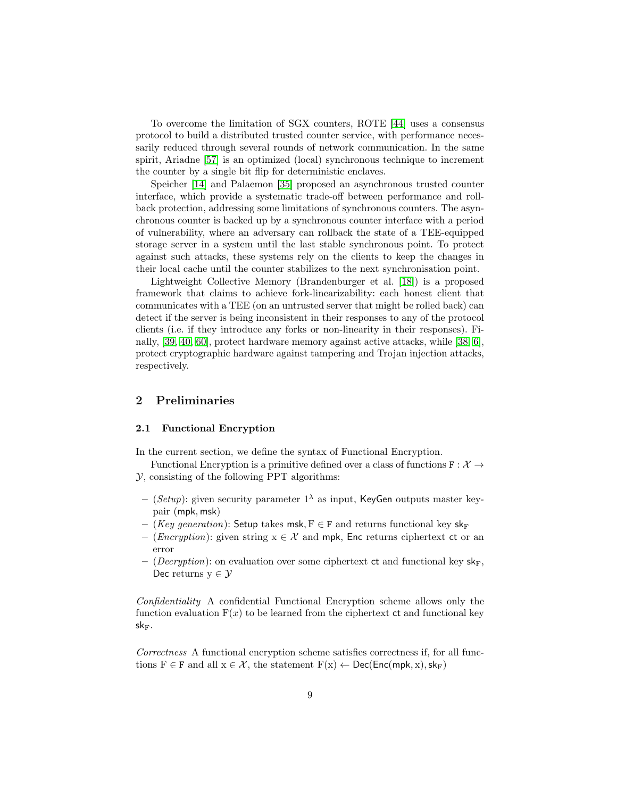To overcome the limitation of SGX counters, ROTE [\[44\]](#page-30-14) uses a consensus protocol to build a distributed trusted counter service, with performance necessarily reduced through several rounds of network communication. In the same spirit, Ariadne [\[57\]](#page-30-15) is an optimized (local) synchronous technique to increment the counter by a single bit flip for deterministic enclaves.

Speicher [\[14\]](#page-27-6) and Palaemon [\[35\]](#page-29-8) proposed an asynchronous trusted counter interface, which provide a systematic trade-off between performance and rollback protection, addressing some limitations of synchronous counters. The asynchronous counter is backed up by a synchronous counter interface with a period of vulnerability, where an adversary can rollback the state of a TEE-equipped storage server in a system until the last stable synchronous point. To protect against such attacks, these systems rely on the clients to keep the changes in their local cache until the counter stabilizes to the next synchronisation point.

Lightweight Collective Memory (Brandenburger et al. [\[18\]](#page-27-7)) is a proposed framework that claims to achieve fork-linearizability: each honest client that communicates with a TEE (on an untrusted server that might be rolled back) can detect if the server is being inconsistent in their responses to any of the protocol clients (i.e. if they introduce any forks or non-linearity in their responses). Finally, [\[39,](#page-29-9) [40,](#page-29-10) [60\]](#page-31-3), protect hardware memory against active attacks, while [\[38,](#page-29-11) [6\]](#page-26-5), protect cryptographic hardware against tampering and Trojan injection attacks, respectively.

## 2 Preliminaries

#### <span id="page-9-0"></span>2.1 Functional Encryption

In the current section, we define the syntax of Functional Encryption.

- Functional Encryption is a primitive defined over a class of functions  $F : \mathcal{X} \rightarrow$ Y, consisting of the following PPT algorithms:
- (Setup): given security parameter  $1^{\lambda}$  as input, KeyGen outputs master keypair (mpk, msk)
- (Key generation): Setup takes msk,  $F \in F$  and returns functional key sk<sub>F</sub>
- (*Encryption*): given string  $x \in \mathcal{X}$  and mpk, Enc returns ciphertext ct or an error
- (*Decryption*): on evaluation over some ciphertext ct and functional key  $sk_F$ , Dec returns  $y \in \mathcal{Y}$

Confidentiality A confidential Functional Encryption scheme allows only the function evaluation  $F(x)$  to be learned from the ciphertext  $ct$  and functional key  $\mathsf{sk}_{\mathrm{F}}.$ 

Correctness A functional encryption scheme satisfies correctness if, for all functions  $F \in F$  and all  $x \in \mathcal{X}$ , the statement  $F(x) \leftarrow \text{Dec}(\text{Enc}(\text{mpk}, x), \text{sk}_F)$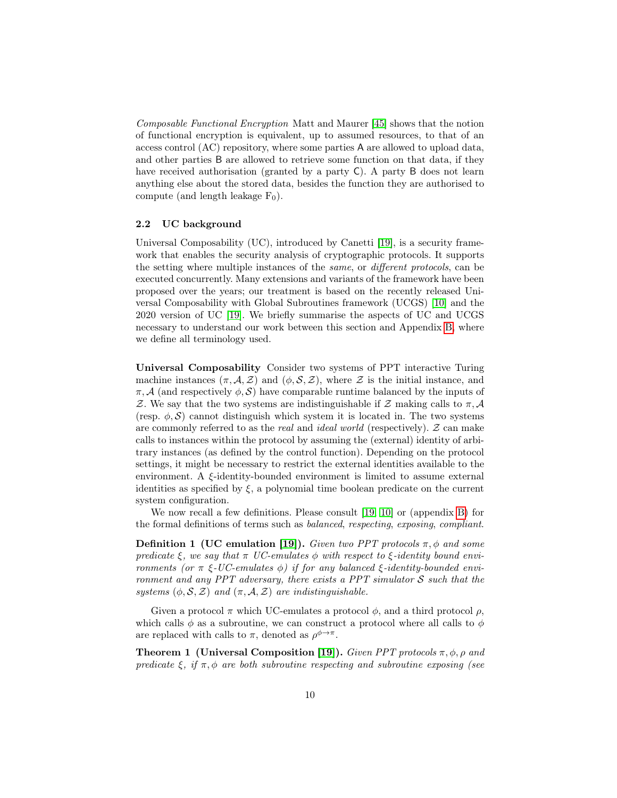Composable Functional Encryption Matt and Maurer [\[45\]](#page-30-7) shows that the notion of functional encryption is equivalent, up to assumed resources, to that of an access control (AC) repository, where some parties A are allowed to upload data, and other parties B are allowed to retrieve some function on that data, if they have received authorisation (granted by a party C). A party B does not learn anything else about the stored data, besides the function they are authorised to compute (and length leakage  $F_0$ ).

#### 2.2 UC background

Universal Composability (UC), introduced by Canetti [\[19\]](#page-27-8), is a security framework that enables the security analysis of cryptographic protocols. It supports the setting where multiple instances of the same, or different protocols, can be executed concurrently. Many extensions and variants of the framework have been proposed over the years; our treatment is based on the recently released Universal Composability with Global Subroutines framework (UCGS) [\[10\]](#page-27-2) and the 2020 version of UC [\[19\]](#page-27-8). We briefly summarise the aspects of UC and UCGS necessary to understand our work between this section and Appendix [B,](#page-35-0) where we define all terminology used.

Universal Composability Consider two systems of PPT interactive Turing machine instances  $(\pi, \mathcal{A}, \mathcal{Z})$  and  $(\phi, \mathcal{S}, \mathcal{Z})$ , where  $\mathcal Z$  is the initial instance, and  $\pi$ , A (and respectively  $\phi$ , S) have comparable runtime balanced by the inputs of Z. We say that the two systems are indistinguishable if Z making calls to  $\pi$ , A (resp.  $\phi$ , S) cannot distinguish which system it is located in. The two systems are commonly referred to as the *real* and *ideal world* (respectively).  $Z$  can make calls to instances within the protocol by assuming the (external) identity of arbitrary instances (as defined by the control function). Depending on the protocol settings, it might be necessary to restrict the external identities available to the environment. A ξ-identity-bounded environment is limited to assume external identities as specified by  $\xi$ , a polynomial time boolean predicate on the current system configuration.

We now recall a few definitions. Please consult [\[19,](#page-27-8) [10\]](#page-27-2) or (appendix [B\)](#page-35-0) for the formal definitions of terms such as balanced, respecting, exposing, compliant.

<span id="page-10-0"></span>**Definition 1 (UC emulation [\[19\]](#page-27-8)).** Given two PPT protocols  $\pi$ ,  $\phi$  and some predicate  $\xi$ , we say that  $\pi$  UC-emulates  $\phi$  with respect to  $\xi$ -identity bound environments (or  $\pi \xi$ -UC-emulates  $\phi$ ) if for any balanced  $\xi$ -identity-bounded environment and any PPT adversary, there exists a PPT simulator  $S$  such that the systems  $(\phi, \mathcal{S}, \mathcal{Z})$  and  $(\pi, \mathcal{A}, \mathcal{Z})$  are indistinguishable.

Given a protocol  $\pi$  which UC-emulates a protocol  $\phi$ , and a third protocol  $\rho$ , which calls  $\phi$  as a subroutine, we can construct a protocol where all calls to  $\phi$ are replaced with calls to  $\pi$ , denoted as  $\rho^{\phi \to \pi}$ .

**Theorem 1 (Universal Composition [\[19\]](#page-27-8)).** Given PPT protocols  $\pi$ ,  $\phi$ ,  $\rho$  and predicate  $\xi$ , if  $\pi$ ,  $\phi$  are both subroutine respecting and subroutine exposing (see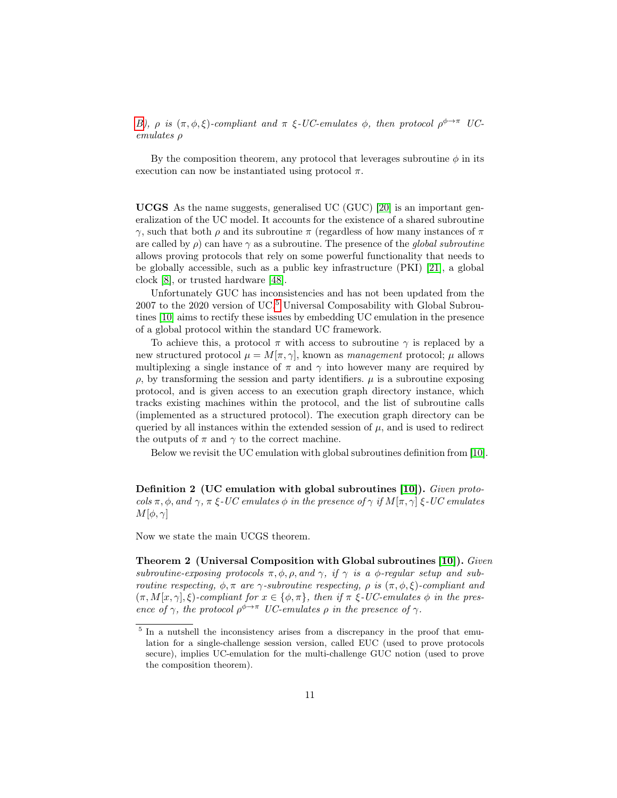[B\)](#page-36-0),  $\rho$  is  $(\pi, \phi, \xi)$ -compliant and  $\pi \xi$ -UC-emulates  $\phi$ , then protocol  $\rho^{\phi \to \pi}$  UCemulates ρ

By the composition theorem, any protocol that leverages subroutine  $\phi$  in its execution can now be instantiated using protocol  $\pi$ .

UCGS As the name suggests, generalised UC (GUC) [\[20\]](#page-28-3) is an important generalization of the UC model. It accounts for the existence of a shared subroutine  $γ$ , such that both  $ρ$  and its subroutine π (regardless of how many instances of π are called by  $\rho$ ) can have  $\gamma$  as a subroutine. The presence of the global subroutine allows proving protocols that rely on some powerful functionality that needs to be globally accessible, such as a public key infrastructure (PKI) [\[21\]](#page-28-9), a global clock [\[8\]](#page-27-9), or trusted hardware [\[48\]](#page-30-4).

Unfortunately GUC has inconsistencies and has not been updated from the  $2007$  to the  $2020$  version of UC.<sup>[5](#page-1-0)</sup> Universal Composability with Global Subroutines [\[10\]](#page-27-2) aims to rectify these issues by embedding UC emulation in the presence of a global protocol within the standard UC framework.

To achieve this, a protocol  $\pi$  with access to subroutine  $\gamma$  is replaced by a new structured protocol  $\mu = M[\pi, \gamma]$ , known as management protocol;  $\mu$  allows multiplexing a single instance of  $\pi$  and  $\gamma$  into however many are required by  $\rho$ , by transforming the session and party identifiers.  $\mu$  is a subroutine exposing protocol, and is given access to an execution graph directory instance, which tracks existing machines within the protocol, and the list of subroutine calls (implemented as a structured protocol). The execution graph directory can be queried by all instances within the extended session of  $\mu$ , and is used to redirect the outputs of  $\pi$  and  $\gamma$  to the correct machine.

<span id="page-11-0"></span>Below we revisit the UC emulation with global subroutines definition from [\[10\]](#page-27-2).

Definition 2 (UC emulation with global subroutines [\[10\]](#page-27-2)). Given protocols  $\pi$ ,  $\phi$ , and  $\gamma$ ,  $\pi$  ξ-UC emulates  $\phi$  in the presence of  $\gamma$  if  $M[\pi, \gamma]$  ξ-UC emulates  $M[\phi,\gamma]$ 

<span id="page-11-1"></span>Now we state the main UCGS theorem.

Theorem 2 (Universal Composition with Global subroutines [\[10\]](#page-27-2)). Given subroutine-exposing protocols  $\pi, \phi, \rho$ , and  $\gamma$ , if  $\gamma$  is a  $\phi$ -regular setup and subroutine respecting,  $φ, π$  are  $γ$ -subroutine respecting,  $ρ$  is  $(π, φ, ξ)$ -compliant and  $(\pi, M[x, \gamma], \xi)$ -compliant for  $x \in \{\phi, \pi\}$ , then if  $\pi \xi$ -UC-emulates  $\phi$  in the presence of  $\gamma$ , the protocol  $\rho^{\phi \to \pi}$  UC-emulates  $\rho$  in the presence of  $\gamma$ .

<sup>&</sup>lt;sup>5</sup> In a nutshell the inconsistency arises from a discrepancy in the proof that emulation for a single-challenge session version, called EUC (used to prove protocols secure), implies UC-emulation for the multi-challenge GUC notion (used to prove the composition theorem).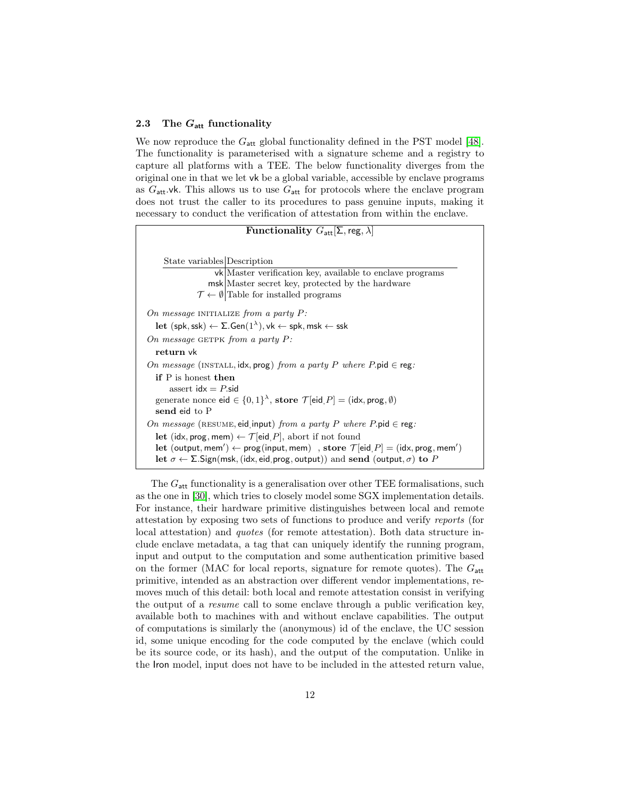#### <span id="page-12-0"></span>2.3 The  $G_{\text{att}}$  functionality

We now reproduce the  $G_{\text{att}}$  global functionality defined in the PST model [\[48\]](#page-30-4). The functionality is parameterised with a signature scheme and a registry to capture all platforms with a TEE. The below functionality diverges from the original one in that we let vk be a global variable, accessible by enclave programs as  $G_{\text{att}}$ .vk. This allows us to use  $G_{\text{att}}$  for protocols where the enclave program does not trust the caller to its procedures to pass genuine inputs, making it necessary to conduct the verification of attestation from within the enclave.

**Functionality**  $G_{\text{att}}[\Sigma, \text{reg}, \lambda]$ State variables Description vk Master verification key, available to enclave programs msk Master secret key, protected by the hardware  $\mathcal{T} \leftarrow \emptyset$  Table for installed programs On message INITIALIZE from a party  $P$ :  $\mathsf{let}\;(\mathsf{spk},\mathsf{ssk}) \leftarrow \mathsf{\Sigma}.\mathsf{Gen}(1^{\lambda}), \mathsf{vk} \leftarrow \mathsf{spk}, \mathsf{msk} \leftarrow \mathsf{ssk}$ On message GETPK from a party  $P$ : return vk On message (INSTALL, idx, prog) from a party P where P.pid  $\in$  reg: if P is honest then assert  $idx = P$ .sid generate nonce  $\mathsf{eid} \in \{0,1\}^\lambda$ , store  $\mathcal{T}[\mathsf{eid}, P] = (\mathsf{idx}, \mathsf{prog}, \emptyset)$ send eid to P On message (RESUME, eid, input) from a party P where P.pid  $\in$  reg: let (idx, prog, mem)  $\leftarrow \mathcal{T}$  [eid, P], abort if not found  $\mathrm{let}\;(\mathsf{output},\mathsf{mem}') \leftarrow \mathsf{prog}(\mathsf{input},\mathsf{mem})\;\;\mathsf{,}\;\mathsf{store}\;\mathcal{T}[\mathsf{eid},P] = (\mathsf{idx},\mathsf{prog},\mathsf{mem}')$ let  $\sigma \leftarrow \Sigma$ . Sign(msk, (idx, eid, prog, output)) and send (output,  $\sigma$ ) to P

The  $G_{\text{att}}$  functionality is a generalisation over other TEE formalisations, such as the one in [\[30\]](#page-28-2), which tries to closely model some SGX implementation details. For instance, their hardware primitive distinguishes between local and remote attestation by exposing two sets of functions to produce and verify reports (for local attestation) and *quotes* (for remote attestation). Both data structure include enclave metadata, a tag that can uniquely identify the running program, input and output to the computation and some authentication primitive based on the former (MAC for local reports, signature for remote quotes). The  $G_{\text{att}}$ primitive, intended as an abstraction over different vendor implementations, removes much of this detail: both local and remote attestation consist in verifying the output of a resume call to some enclave through a public verification key, available both to machines with and without enclave capabilities. The output of computations is similarly the (anonymous) id of the enclave, the UC session id, some unique encoding for the code computed by the enclave (which could be its source code, or its hash), and the output of the computation. Unlike in the Iron model, input does not have to be included in the attested return value,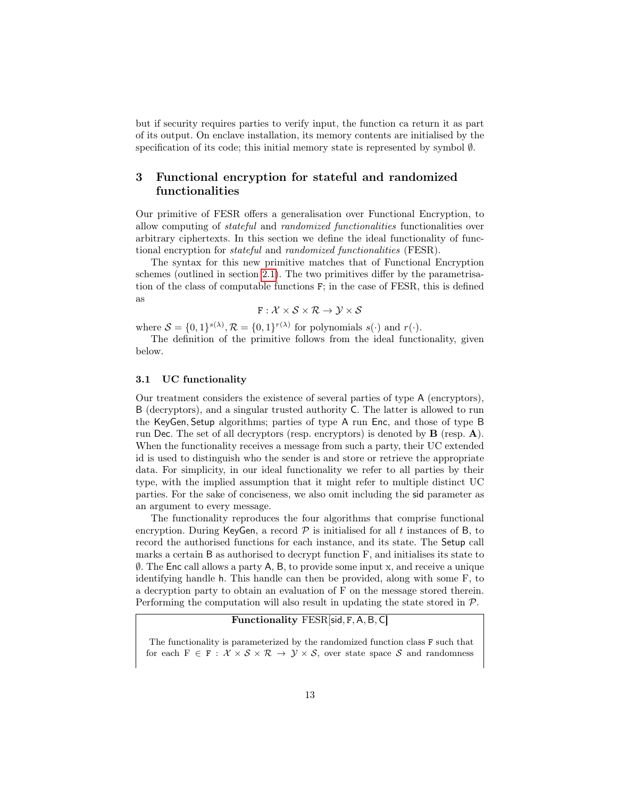but if security requires parties to verify input, the function ca return it as part of its output. On enclave installation, its memory contents are initialised by the specification of its code; this initial memory state is represented by symbol  $\emptyset$ .

## <span id="page-13-0"></span>3 Functional encryption for stateful and randomized functionalities

Our primitive of FESR offers a generalisation over Functional Encryption, to allow computing of stateful and randomized functionalities functionalities over arbitrary ciphertexts. In this section we define the ideal functionality of functional encryption for stateful and randomized functionalities (FESR).

The syntax for this new primitive matches that of Functional Encryption schemes (outlined in section [2.1\)](#page-9-0). The two primitives differ by the parametrisation of the class of computable functions F; in the case of FESR, this is defined as

$$
\texttt{F}: \mathcal{X} \times \mathcal{S} \times \mathcal{R} \rightarrow \mathcal{Y} \times \mathcal{S}
$$

where  $S = \{0,1\}^{s(\lambda)}, \mathcal{R} = \{0,1\}^{r(\lambda)}$  for polynomials  $s(\cdot)$  and  $r(\cdot)$ .

The definition of the primitive follows from the ideal functionality, given below.

#### 3.1 UC functionality

Our treatment considers the existence of several parties of type A (encryptors), B (decryptors), and a singular trusted authority C. The latter is allowed to run the KeyGen, Setup algorithms; parties of type A run Enc, and those of type B run Dec. The set of all decryptors (resp. encryptors) is denoted by B (resp. A). When the functionality receives a message from such a party, their UC extended id is used to distinguish who the sender is and store or retrieve the appropriate data. For simplicity, in our ideal functionality we refer to all parties by their type, with the implied assumption that it might refer to multiple distinct UC parties. For the sake of conciseness, we also omit including the sid parameter as an argument to every message.

The functionality reproduces the four algorithms that comprise functional encryption. During KeyGen, a record  $P$  is initialised for all t instances of B, to record the authorised functions for each instance, and its state. The Setup call marks a certain B as authorised to decrypt function F, and initialises its state to ∅. The Enc call allows a party A, B, to provide some input x, and receive a unique identifying handle h. This handle can then be provided, along with some F, to a decryption party to obtain an evaluation of F on the message stored therein. Performing the computation will also result in updating the state stored in P.

## Functionality FESR[sid, F, A, B, C]

The functionality is parameterized by the randomized function class F such that for each  $F \in F : \mathcal{X} \times \mathcal{S} \times \mathcal{R} \rightarrow \mathcal{Y} \times \mathcal{S}$ , over state space S and randomness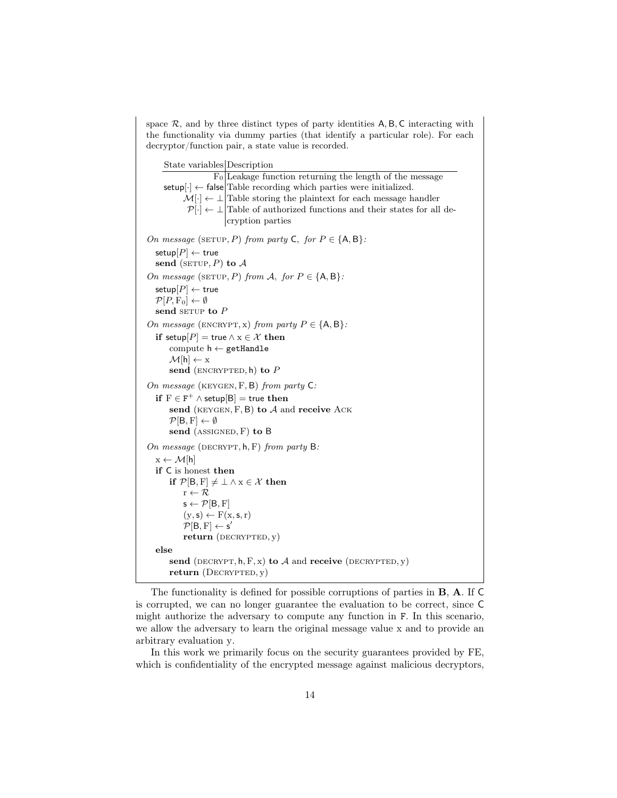space  $\mathcal{R}$ , and by three distinct types of party identities  $A, B, C$  interacting with the functionality via dummy parties (that identify a particular role). For each decryptor/function pair, a state value is recorded.

State variables Description  $F_0$  Leakage function returning the length of the message  $\text{setup}[\cdot] \leftarrow \text{false}$  Table recording which parties were initialized.  $M[\cdot] \leftarrow \perp$  Table storing the plaintext for each message handler  $\mathcal{P}[\cdot] \leftarrow \perp$  Table of authorized functions and their states for all decryption parties On message (SETUP, P) from party C, for  $P \in \{A, B\}$ : setup $[P] \leftarrow$  true send (SETUP, P) to  $A$ On message (SETUP, P) from A, for  $P \in \{A, B\}$ : setup $[P] \leftarrow$  true  $\mathcal{P}[P, F_0] \leftarrow \emptyset$ send serve to  $P$ On message (ENCRYPT, x) from party  $P \in \{A, B\}$ : if setup $[P]$  = true  $\land$  x  $\in \mathcal{X}$  then compute  $h \leftarrow$  getHandle  $\mathcal{M}[\mathsf{h}] \leftarrow \mathsf{x}$ send (ENCRYPTED,  $h$ ) to  $P$ On message (keygen, F, B) from party C:  $\mathbf{if}\,\, \mathrm{F} \in \mathrm{F}^+ \wedge \mathbf{setup}[\mathrm{B}] = \mathbf{true}\,\, \mathbf{then}$ send (KEYGEN,  $F$ , B) to  $A$  and receive ACK  $\mathcal{P}[\mathsf{B},\mathrm{F}] \leftarrow \emptyset$ send  $(ASSIGNED, F)$  to  $B$ On message (DECRYPT,  $h, F$ ) from party B:  $x \leftarrow \mathcal{M}[h]$ if C is honest then if  $\mathcal{P}[B, F] \neq \bot \land x \in \mathcal{X}$  then  $\mathbf{r} \leftarrow \mathcal{R}$  $s \leftarrow \mathcal{P}[B, F]$  $(y, s) \leftarrow F(x, s, r)$  $\mathcal{P}[\mathsf{B},\mathrm{F}] \leftarrow \mathsf{s}'$  $return$  (DECRYPTED,  $y$ ) else send (DECRYPT,  $h, F, x$ ) to A and receive (DECRYPTED, y) return  $(DECRYPTED, y)$ 

The functionality is defined for possible corruptions of parties in B, A. If C is corrupted, we can no longer guarantee the evaluation to be correct, since C might authorize the adversary to compute any function in F. In this scenario, we allow the adversary to learn the original message value x and to provide an arbitrary evaluation y.

In this work we primarily focus on the security guarantees provided by FE, which is confidentiality of the encrypted message against malicious decryptors,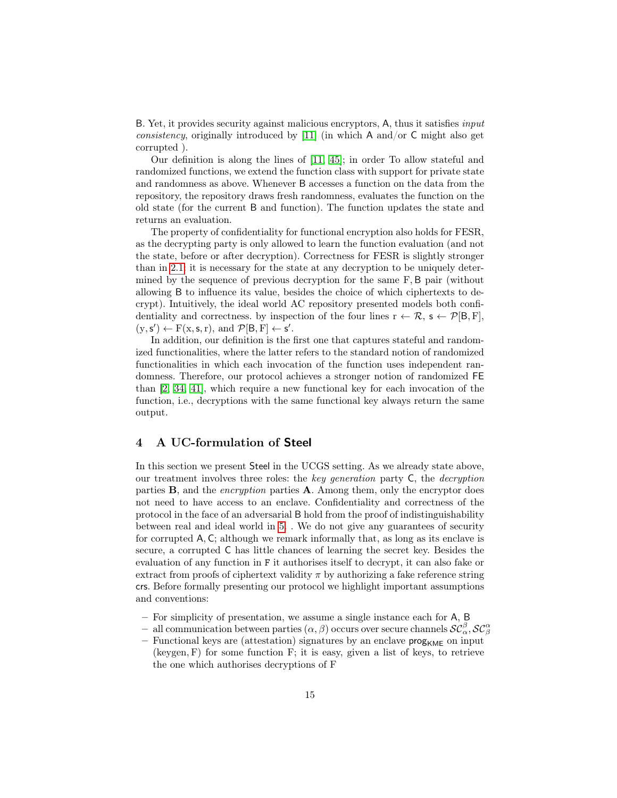B. Yet, it provides security against malicious encryptors, A, thus it satisfies input consistency, originally introduced by [\[11\]](#page-27-10) (in which A and/or C might also get corrupted ).

Our definition is along the lines of [\[11,](#page-27-10) [45\]](#page-30-7); in order To allow stateful and randomized functions, we extend the function class with support for private state and randomness as above. Whenever B accesses a function on the data from the repository, the repository draws fresh randomness, evaluates the function on the old state (for the current B and function). The function updates the state and returns an evaluation.

The property of confidentiality for functional encryption also holds for FESR, as the decrypting party is only allowed to learn the function evaluation (and not the state, before or after decryption). Correctness for FESR is slightly stronger than in [2.1:](#page-9-0) it is necessary for the state at any decryption to be uniquely determined by the sequence of previous decryption for the same F, B pair (without allowing B to influence its value, besides the choice of which ciphertexts to decrypt). Intuitively, the ideal world AC repository presented models both confidentiality and correctness. by inspection of the four lines  $r \leftarrow \mathcal{R}, s \leftarrow \mathcal{P}[B, F],$  $(y, s') \leftarrow F(x, s, r)$ , and  $\mathcal{P}[B, F] \leftarrow s'$ .

In addition, our definition is the first one that captures stateful and randomized functionalities, where the latter refers to the standard notion of randomized functionalities in which each invocation of the function uses independent randomness. Therefore, our protocol achieves a stronger notion of randomized FE than [\[2,](#page-26-3) [34,](#page-29-3) [41\]](#page-29-4), which require a new functional key for each invocation of the function, i.e., decryptions with the same functional key always return the same output.

## <span id="page-15-0"></span>4 A UC-formulation of Steel

In this section we present Steel in the UCGS setting. As we already state above, our treatment involves three roles: the key generation party  $C$ , the *decryption* parties  $\bf{B}$ , and the *encryption* parties  $\bf{A}$ . Among them, only the encryptor does not need to have access to an enclave. Confidentiality and correctness of the protocol in the face of an adversarial B hold from the proof of indistinguishability between real and ideal world in [5.](#page-18-0) . We do not give any guarantees of security for corrupted A, C; although we remark informally that, as long as its enclave is secure, a corrupted C has little chances of learning the secret key. Besides the evaluation of any function in F it authorises itself to decrypt, it can also fake or extract from proofs of ciphertext validity  $\pi$  by authorizing a fake reference string crs. Before formally presenting our protocol we highlight important assumptions and conventions:

- For simplicity of presentation, we assume a single instance each for A, B
- $-$  all communication between parties  $(\alpha, \beta)$  occurs over secure channels  $\mathcal{SC}_{\alpha}^{\beta}, \mathcal{SC}_{\beta}^{\alpha}$
- Functional keys are (attestation) signatures by an enclave  $\mathsf{prog}_{\mathsf{KME}}$  on input (keygen, F) for some function F; it is easy, given a list of keys, to retrieve the one which authorises decryptions of F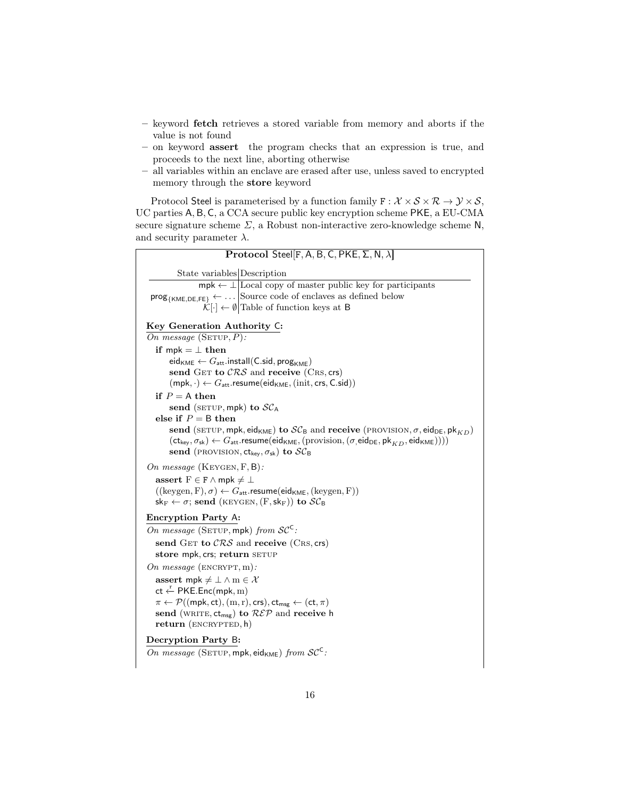- keyword fetch retrieves a stored variable from memory and aborts if the value is not found
- on keyword assert the program checks that an expression is true, and proceeds to the next line, aborting otherwise
- all variables within an enclave are erased after use, unless saved to encrypted memory through the store keyword

Protocol Steel is parameterised by a function family  $F : \mathcal{X} \times \mathcal{S} \times \mathcal{R} \to \mathcal{Y} \times \mathcal{S}$ , UC parties A, B, C, a CCA secure public key encryption scheme PKE, a EU-CMA secure signature scheme  $\Sigma$ , a Robust non-interactive zero-knowledge scheme N, and security parameter  $\lambda$ .

Protocol Steel[F, A, B, C, PKE,  $\Sigma$ , N,  $\lambda$ ] State variables Description  $mpk \leftarrow \perp$  Local copy of master public key for participants  $\mathsf{prog}_{\{\mathsf{KME},\mathsf{DE},\mathsf{FE}\}} \leftarrow \dots \big| \text{Source code of enclaves as defined below}$  $\mathcal{K}[\cdot] \leftarrow \emptyset$  Table of function keys at B Key Generation Authority C: On message  $(SETUP, P)$ : if  $mpk = \perp$  then  $\mathsf{eid}_{\mathsf{KME}} \leftarrow G_{\mathsf{att}}.\mathsf{install}(\mathsf{C}.\mathsf{sid},\mathsf{prog}_{\mathsf{KME}})$ send GET to  $CRS$  and receive (CRS, crs)  $(mpk, \cdot) \leftarrow G_{att}$ .resume(eid<sub>KME</sub>, (init, crs, C.sid)) if  $P = A$  then send (SETUP, mpk) to  $SC_A$ else if  $P = B$  then send (SETUP, mpk, eid<sub>KME</sub>) to  $SC_B$  and receive (PROVISION,  $\sigma$ , eid<sub>DE</sub>, pk<sub>KD</sub>)  $(\mathsf{ct}_{\mathsf{key}}, \sigma_{\mathsf{sk}}) \leftarrow G_{\mathsf{att}}$ . resume $(\mathsf{eid}_{\mathsf{KME}},(\text{provision},(\sigma,\mathsf{eid}_{\mathsf{DE}},\mathsf{pk}_{KD},\mathsf{eid}_{\mathsf{KME}}))))$ send (PROVISION,  $ct_{key}, \sigma_{sk}$ ) to  $SC_B$ On message (KEYGEN, F, B): assert  $F \in F \wedge mpk \neq \bot$  $((\text{keygen}, F), \sigma) \leftarrow G_{\text{att}}.\text{resume}(\text{eid}_{\text{KME}}, (\text{keygen}, F))$  $\mathsf{sk}_{\mathrm{F}} \leftarrow \sigma$ ; send (KEYGEN,  $(\mathrm{F},\mathsf{sk}_{\mathrm{F}})$ ) to  $\mathcal{SC}_{\mathrm{B}}$ Encryption Party A: On message (SETUP, mpk) from  $SC^C$ : send GET to  $CRS$  and receive (CRS, crs) store mpk, crs; return SETUP On message  $(\text{ENCRYPT}, m)$ : assert mpk  $\neq \bot \wedge m \in \mathcal{X}$  $ct \stackrel{r}{\leftarrow}$  PKE.Enc(mpk, m)  $\pi \leftarrow \mathcal{P}((\text{mpk}, \text{ct}), (\text{m}, \text{r}), \text{crs}), \text{ct}_{\text{msg}} \leftarrow (\text{ct}, \pi)$ send (WRITE,  $ct_{msg}$ ) to  $REP$  and receive h return (ENCRYPTED, h) Decryption Party B: On message (SETUP, mpk, eid $_{KME}$ ) from  $SC^C$ :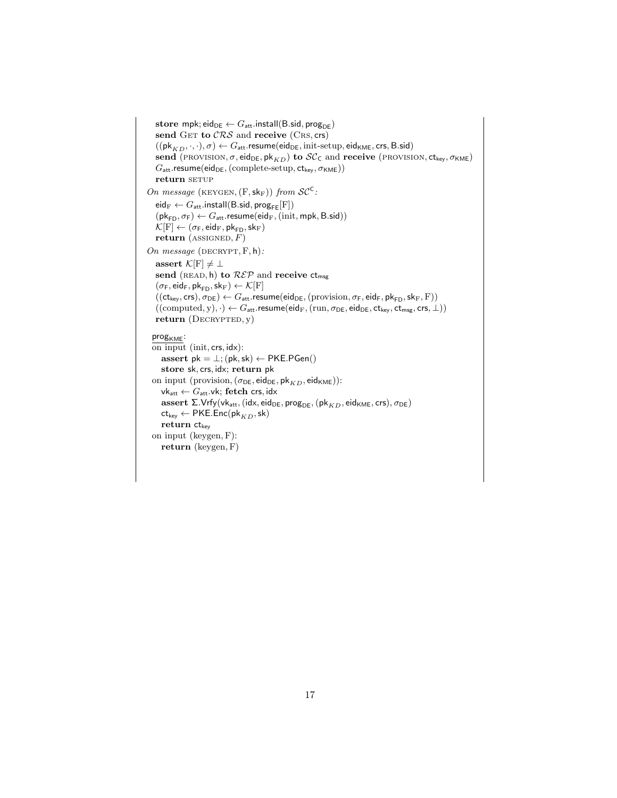```
store mpk; eid_{DE} \leftarrow G_{att}.install(B.sid, prog<sub>DE</sub>)
    send GET to CRS and receive (CRS, crs)
     ((\mathsf{pk}_{KD}, \cdot, \cdot), \sigma) \leftarrow G_{\mathsf{att}}. resume(\mathsf{eid}_{\mathsf{DE}}, \mathsf{init}\text{-}\mathsf{setup}, \mathsf{eid}_{\mathsf{KME}}, \mathsf{crs}, \mathsf{B}.\mathsf{sid})send (PROVISION, \sigma, eid<sub>DE</sub>, pk<sub>KD</sub>) to \mathcal{SC}_C and receive (PROVISION, \text{ct}_{\text{key}}, \sigma_{\text{KME}})
     G_{\text{att}}.resume(eid<sub>DE</sub>, (complete-setup, ct_{\text{key}}, \sigma_{\text{KME}}))
    return setup
On message (KEYGEN, (F, sk_F)) from SC^C:
    \mathsf{eid}_{\mathrm{F}} \leftarrow G_{\mathsf{att}}.\mathsf{install}(\mathsf{B}.\mathsf{sid},\mathsf{prog}_{\mathsf{FE}}[\mathrm{F}])(\mathsf{pk}_{\mathsf{FD}}, \sigma_{\mathsf{F}}) \leftarrow G_{\mathsf{att}}.\mathsf{resume}(\mathsf{eid}_{\mathsf{F}},(\mathsf{init},\mathsf{mpk},\mathsf{B}.\mathsf{sid}))\mathcal{K}[\mathrm{F}] \leftarrow (\sigma_{\mathsf{F}}, \mathsf{eid}_{\mathrm{F}}, \mathsf{pk}_{\mathsf{FD}}, \mathsf{sk}_{\mathrm{F}})return (ASSIGNED, F)On message (DECRYPT, F, h):
    assert \mathcal{K}[F] \neq \botsend (READ, h) to R\mathcal{E}P and receive ct<sub>msg</sub>
     (\sigma_F, \mathsf{eid}_F, \mathsf{pk}_{FD}, \mathsf{sk}_F) \leftarrow \mathcal{K}[F]((\mathsf{ct}_\mathsf{key},\mathsf{crs}),\sigma_\mathsf{DE}) \leftarrow G_\mathsf{att}.\mathsf{resume}(\mathsf{eid}_\mathsf{DE},(\mathsf{provision},\sigma_\mathsf{F},\mathsf{eid}_\mathsf{F},\mathsf{pk}_\mathsf{FD},\mathsf{sk}_\mathsf{F},\mathsf{F}))((\text{computed}, y), \cdot) \leftarrow G_{\text{att}}.\text{resume}(\text{eid}_{F}, (\text{run}, \sigma_{DE}, \text{eid}_{DE}, \text{ct}_{\text{key}}, \text{ct}_{\text{msg}}, \text{crs}, \perp))return (DECRYPTED, y)prog_{KME}:
  on input (init, crs, idx):
        assert pk = \perp; (pk, sk) \leftarrow PKE.PGen()
        store sk, crs, idx; return pk
  on input (provision, (\sigma_{\mathsf{DE}}, \mathsf{eid}_{\mathsf{DE}}, \mathsf{pk}_{KD}, \mathsf{eid}_{\mathsf{KME}})):
        \mathsf{vk}_\mathsf{att} \leftarrow G_\mathsf{att}.\mathsf{vk}; fetch crs, idx
        {\rm assert}\ \Sigma.\mathsf{Vrfy}(\mathsf{vk}_\mathsf{att},(\mathsf{idx},\mathsf{eid}_\mathsf{DE},\mathsf{prog}_\mathsf{DE},(\mathsf{pk}_{KD},\mathsf{eid}_\mathsf{KME},\mathsf{crs}),\sigma_\mathsf{DE})\mathsf{ct}_{\mathsf{key}} \leftarrow \mathsf{PKE}.\mathsf{Enc}(\mathsf{pk}_{KD},\mathsf{sk})return ct<sub>key</sub>
  on input (keygen, F):
        return (keygen, F)
```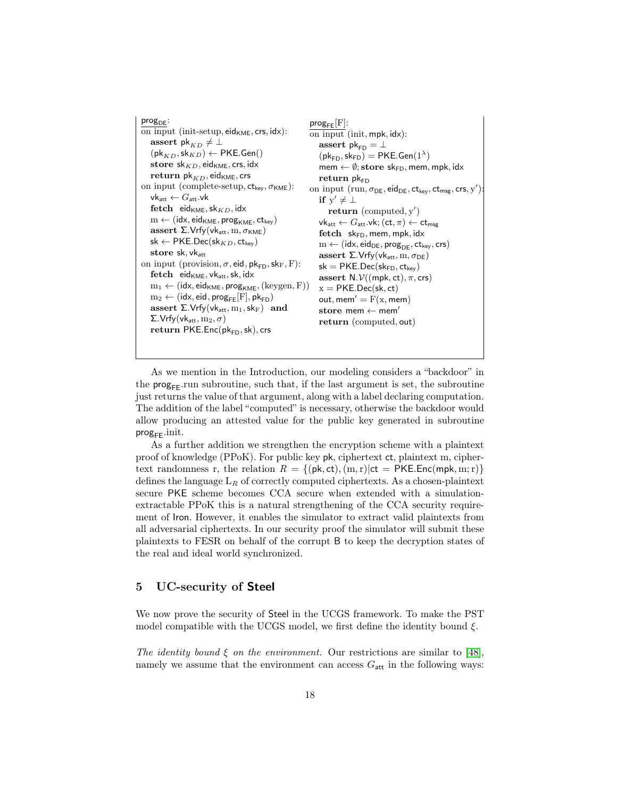

As we mention in the Introduction, our modeling considers a "backdoor" in the  $\mathsf{prog}_{\mathsf{FF}}$ .run subroutine, such that, if the last argument is set, the subroutine just returns the value of that argument, along with a label declaring computation. The addition of the label "computed" is necessary, otherwise the backdoor would allow producing an attested value for the public key generated in subroutine  $prog_{FF}.init.$ 

As a further addition we strengthen the encryption scheme with a plaintext proof of knowledge (PPoK). For public key pk, ciphertext ct, plaintext m, ciphertext randomness r, the relation  $R = \{ (\mathsf{pk}, \mathsf{ct}), (\mathsf{m}, \mathsf{r}) | \mathsf{ct} = \mathsf{PKE}.\mathsf{Enc}(\mathsf{mpk}, \mathsf{m}; \mathsf{r}) \}$ defines the language  $L_R$  of correctly computed ciphertexts. As a chosen-plaintext secure PKE scheme becomes CCA secure when extended with a simulationextractable PPoK this is a natural strengthening of the CCA security requirement of Iron. However, it enables the simulator to extract valid plaintexts from all adversarial ciphertexts. In our security proof the simulator will submit these plaintexts to FESR on behalf of the corrupt B to keep the decryption states of the real and ideal world synchronized.

## <span id="page-18-0"></span>5 UC-security of Steel

We now prove the security of Steel in the UCGS framework. To make the PST model compatible with the UCGS model, we first define the identity bound  $\xi$ .

The identity bound  $\xi$  on the environment. Our restrictions are similar to [\[48\]](#page-30-4), namely we assume that the environment can access  $G_{\text{att}}$  in the following ways: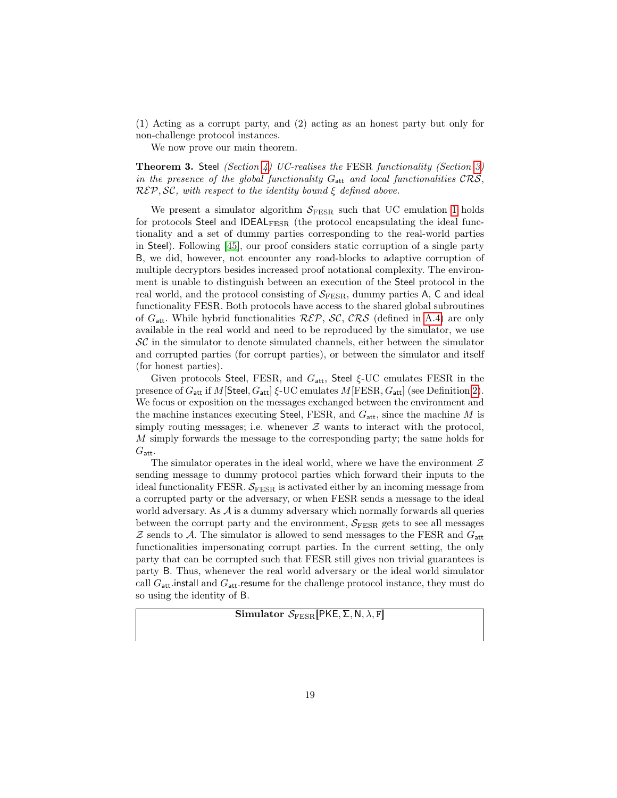(1) Acting as a corrupt party, and (2) acting as an honest party but only for non-challenge protocol instances.

<span id="page-19-0"></span>We now prove our main theorem.

**Theorem 3. Steel** (Section [4\)](#page-15-0) UC-realises the FESR functionality (Section [3\)](#page-13-0) in the presence of the global functionality  $G_{\text{att}}$  and local functionalities  $CRS$ ,  $R\mathcal{E}\mathcal{P}, \mathcal{SC},$  with respect to the identity bound  $\xi$  defined above.

We present a simulator algorithm  $S_{\text{FESR}}$  such that UC emulation [1](#page-10-0) holds for protocols Steel and IDEAL<sub>FESR</sub> (the protocol encapsulating the ideal functionality and a set of dummy parties corresponding to the real-world parties in Steel). Following [\[45\]](#page-30-7), our proof considers static corruption of a single party B, we did, however, not encounter any road-blocks to adaptive corruption of multiple decryptors besides increased proof notational complexity. The environment is unable to distinguish between an execution of the Steel protocol in the real world, and the protocol consisting of  $S_{\text{FESR}}$ , dummy parties A, C and ideal functionality FESR. Both protocols have access to the shared global subroutines of  $G_{\text{att}}$ . While hybrid functionalities  $R\mathcal{E}\mathcal{P}$ ,  $\mathcal{SC}$ ,  $\mathcal{CRS}$  (defined in [A.4\)](#page-34-0) are only available in the real world and need to be reproduced by the simulator, we use  $SC$  in the simulator to denote simulated channels, either between the simulator and corrupted parties (for corrupt parties), or between the simulator and itself (for honest parties).

Given protocols Steel, FESR, and  $G_{\text{att}}$ , Steel  $\xi$ -UC emulates FESR in the presence of  $G_{\text{att}}$  if M[Steel,  $G_{\text{att}}$ ]  $\xi$ -UC emulates M[FESR,  $G_{\text{att}}$ ] (see Definition [2\)](#page-11-0). We focus or exposition on the messages exchanged between the environment and the machine instances executing Steel, FESR, and  $G_{\text{att}}$ , since the machine M is simply routing messages; i.e. whenever  $Z$  wants to interact with the protocol, M simply forwards the message to the corresponding party; the same holds for  $G_{\text{att}}$ .

The simulator operates in the ideal world, where we have the environment  $\mathcal Z$ sending message to dummy protocol parties which forward their inputs to the ideal functionality FESR.  $S_{\text{FESR}}$  is activated either by an incoming message from a corrupted party or the adversary, or when FESR sends a message to the ideal world adversary. As  $A$  is a dummy adversary which normally forwards all queries between the corrupt party and the environment,  $S_{\text{FESR}}$  gets to see all messages  $Z$  sends to A. The simulator is allowed to send messages to the FESR and  $G_{\text{att}}$ functionalities impersonating corrupt parties. In the current setting, the only party that can be corrupted such that FESR still gives non trivial guarantees is party B. Thus, whenever the real world adversary or the ideal world simulator call  $G_{\text{att}}$  install and  $G_{\text{att}}$  resume for the challenge protocol instance, they must do so using the identity of B.

Simulator  $S_{\text{FESR}}$ [PKE,  $\Sigma$ , N,  $\lambda$ , F]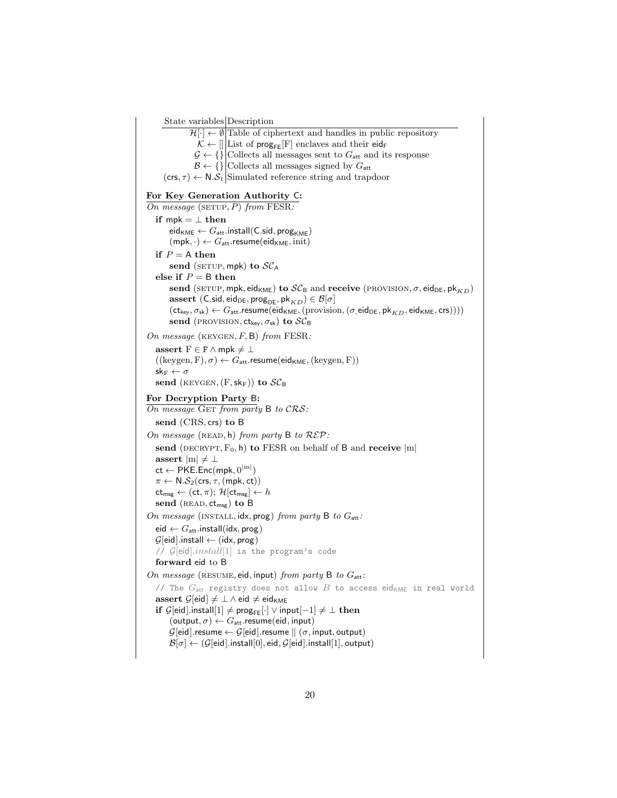State variables Description  $\mathcal{H}[\cdot] \leftarrow \emptyset$  Table of ciphertext and handles in public repository  $\mathcal{K} \leftarrow []$  List of prog<sub>FE</sub>[F] enclaves and their eid<sub>F</sub>  $G \leftarrow \{\}$  Collects all messages sent to  $G_{\text{att}}$  and its response  $\mathcal{B} \leftarrow \{\}\big|$  Collects all messages signed by  $G_{\text{att}}$  $(crs, \tau) \leftarrow N.S_1$  Simulated reference string and trapdoor For Key Generation Authority C: On message (SETUP,  $P$ ) from FESR: if mpk =  $\perp$  then  $eid_{KME} \leftarrow G_{att}.install(C.sid, prog_{KME})$  $(mpk, \cdot) \leftarrow G_{att}$ .resume(eid<sub>KME</sub>, init) if  $P = A$  then send (SETUP, mpk) to  $SC_A$ else if  $P = B$  then send (SETUP, mpk, eid<sub>KME</sub>) to  $\mathcal{SC}_B$  and receive (PROVISION,  $\sigma$ , eid<sub>DE</sub>, pk<sub>KD</sub>) assert (C.sid, eid<sub>DE</sub>, prog<sub>DE</sub>, pk<sub>KD</sub>)  $\in \mathcal{B}[\sigma]$  $(\mathsf{ct}_{\mathsf{key}}, \sigma_{\mathsf{sk}}) \leftarrow G_{\mathsf{att}}.\mathsf{resume}(\mathsf{eid}_{\mathsf{KME}},(\mathsf{provision},(\sigma,\mathsf{eid}_{\mathsf{DE}},\mathsf{pk}_{KD},\mathsf{eid}_{\mathsf{KME}},\mathsf{crs}))))$ send (PROVISION,  $ct_{key}, \sigma_{sk}$ ) to  $SC_B$ On message (KEYGEN,  $F$ , B) from FESR: assert  $F \in F \wedge mpk \neq \bot$  $((\text{keygen}, F), \sigma) \leftarrow G_{\text{att}}.\text{resume}(\text{eid}_{\text{KME}}, (\text{keygen}, F))$  $\mathsf{sk}_\mathrm{F} \leftarrow \sigma$ send (KEYGEN,  $(F, sk_F)$ ) to  $SC_B$ For Decryption Party B:  $\overline{On}$  message GET from party B to  $CRS$ : send (CRS, crs) to B On message (READ, h) from party B to  $R\mathcal{E}P$ : send (DECRYPT,  $F_0$ , h) to FESR on behalf of B and receive  $|m|$ assert  $|m| \neq \perp$  $\mathsf{ct} \leftarrow \mathsf{PKE}.\mathsf{Enc}(\mathsf{mpk},0^{|\mathsf{m}|})$  $\pi \leftarrow \mathsf{N}.\mathcal{S}_2(\mathsf{crs},\tau,(\mathsf{mpk},\mathsf{ct}))$  $ct_{msg} \leftarrow (ct, \pi);$   $\mathcal{H}[ct_{msg}] \leftarrow h$ send  $(\text{READ}, ct_{msg})$  to B On message (INSTALL,  $idx, prog$ ) from party B to  $G_{att}$ : eid  $\leftarrow G_{\text{att}}$ . install(idx, prog)  $\mathcal{G}[eid]$ .install ← (idx, prog) //  $\mathcal{G}[eid].install[1]$  is the program's code forward eid to B On message (RESUME, eid, input) from party B to  $G_{\text{att}}$ : // The  $G_{\text{att}}$  registry does not allow  $B$  to access eid<sub>KME</sub> in real world assert  $\mathcal{G}[\text{eid}] \neq \bot \wedge \text{eid} \neq \text{eid}_{\text{KME}}$ if  $\mathcal{G}[\text{eid}].\text{install}[1] \neq \text{prog}_{\text{FE}}[\cdot] \vee \text{input}[-1] \neq \bot \text{ then}$  $(\text{output}, \sigma) \leftarrow G_{\text{att}}$ .resume $(\text{eid}, \text{input})$  $\mathcal{G}[\text{eid}]$ .resume  $\leftarrow \mathcal{G}[\text{eid}]$ .resume  $\parallel (\sigma, \text{input}, \text{output})$  $\mathcal{B}[\sigma] \leftarrow (\mathcal{G}[\text{eid}].\text{install}[0], \text{eid}, \mathcal{G}[\text{eid}].\text{install}[1], \text{output})$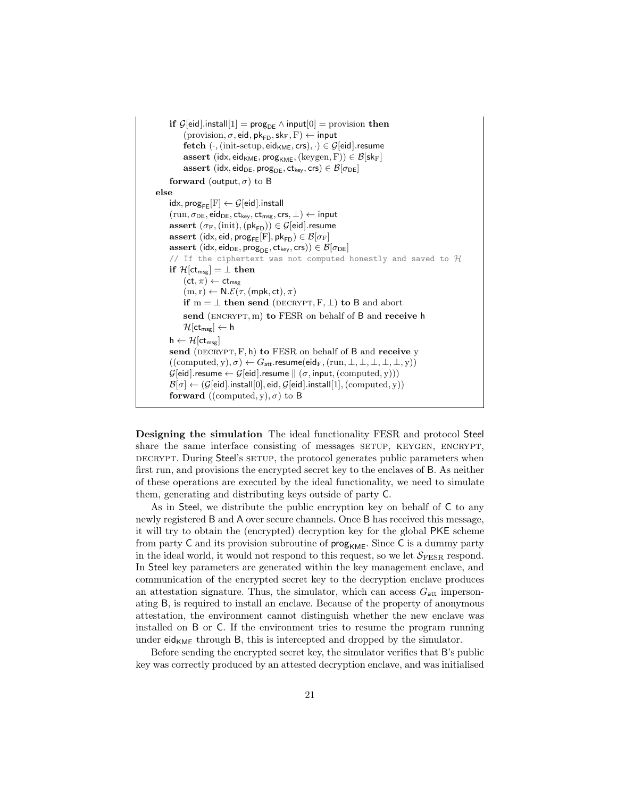| if $\mathcal{G}[eid]$ install $[1]$ = prog <sub>DE</sub> $\wedge$ input $[0]$ = provision then                                                               |
|--------------------------------------------------------------------------------------------------------------------------------------------------------------|
| $(\text{provision}, \sigma, \text{eid}, \text{pk}_{\text{FD}}, \text{sk}_{\text{F}}, \text{F}) \leftarrow \text{input}$                                      |
| fetch $(\cdot, (\text{init-setup}, \text{eid}_{\text{KME}}, \text{crs}), \cdot) \in \mathcal{G}[\text{eid}].$ resume                                         |
| assert (idx, eid <sub>KME</sub> , prog <sub>KME</sub> , (keygen, F)) $\in \mathcal{B}[\mathsf{sk}_F]$                                                        |
| assert (idx, eid <sub>DE</sub> , prog <sub>DE</sub> , ct <sub>key</sub> , crs) $\in \mathcal{B}[\sigma_{DE}]$                                                |
| forward (output, $\sigma$ ) to B                                                                                                                             |
| else                                                                                                                                                         |
| $\mathsf{idx}, \mathsf{prog}_{\mathsf{FE}}[F] \leftarrow \mathcal{G}[\mathsf{eid}].\mathsf{install}$                                                         |
| $(\text{run}, \sigma_{\text{DE}}, \text{eid}_{\text{DE}}, \text{ct}_{\text{key}}, \text{ct}_{\text{msg}}, \text{crs}, \perp) \leftarrow \text{input}$        |
| assert $(\sigma_F, (init), (pk_{FD})) \in \mathcal{G}[eid]$ .resume                                                                                          |
| assert (idx, eid, $\text{prog}_{\text{FE}}[F], \text{pk}_{\text{FD}}) \in \mathcal{B}[\sigma_F]$                                                             |
| assert (idx, eid <sub>DE</sub> , prog <sub>DE</sub> , ct <sub>key</sub> , crs)) $\in \mathcal{B}[\sigma_{DE}]$                                               |
| // If the ciphertext was not computed honestly and saved to $\mathcal H$                                                                                     |
| if $\mathcal{H}[\text{ct}_{\text{msg}}] = \bot$ then                                                                                                         |
| $(ct, \pi) \leftarrow ct_{\text{mse}}$                                                                                                                       |
| $(m, r) \leftarrow N.\mathcal{E}(\tau, (mpk, ct), \pi)$                                                                                                      |
| if $m = \perp$ then send (DECRYPT, F, $\perp$ ) to B and abort                                                                                               |
| send (ENCRYPT, m) to FESR on behalf of $B$ and receive h                                                                                                     |
| $\mathcal{H}[\mathsf{ct}_{\mathsf{msg}}] \leftarrow \mathsf{h}$                                                                                              |
| $h \leftarrow \mathcal{H}[\mathsf{ct}_{\mathsf{mse}}]$                                                                                                       |
| send (DECRYPT, $F$ , h) to FESR on behalf of B and receive y                                                                                                 |
| $((computed, y), \sigma) \leftarrow G_{\text{att}}$ . resume(eid <sub>F</sub> , (run, $\perp, \perp, \perp, \perp, \perp, y)$ )                              |
| $\mathcal{G}[\textsf{eid}].\textsf{resume} \leftarrow \mathcal{G}[\textsf{eid}].\textsf{resume} \parallel (\sigma, \textsf{input}, (\textsf{computed}, y)))$ |
| $\mathcal{B}[\sigma] \leftarrow (\mathcal{G}[{\sf eid}].{\sf install}[0], {\sf eid}, \mathcal{G}[{\sf eid}].{\sf install}[1], ({\sf computed}, y))$          |
| forward ((computed, y), $\sigma$ ) to B                                                                                                                      |

Designing the simulation The ideal functionality FESR and protocol Steel share the same interface consisting of messages setup, KEYGEN, ENCRYPT, DECRYPT. During Steel's SETUP, the protocol generates public parameters when first run, and provisions the encrypted secret key to the enclaves of B. As neither of these operations are executed by the ideal functionality, we need to simulate them, generating and distributing keys outside of party C.

As in Steel, we distribute the public encryption key on behalf of C to any newly registered B and A over secure channels. Once B has received this message, it will try to obtain the (encrypted) decryption key for the global PKE scheme from party  $C$  and its provision subroutine of  $\mathsf{prog}_{\mathsf{KME}}$ . Since  $C$  is a dummy party in the ideal world, it would not respond to this request, so we let  $S_{\text{FESR}}$  respond. In Steel key parameters are generated within the key management enclave, and communication of the encrypted secret key to the decryption enclave produces an attestation signature. Thus, the simulator, which can access  $G_{\text{att}}$  impersonating B, is required to install an enclave. Because of the property of anonymous attestation, the environment cannot distinguish whether the new enclave was installed on B or C. If the environment tries to resume the program running under  $eid_{KME}$  through B, this is intercepted and dropped by the simulator.

Before sending the encrypted secret key, the simulator verifies that B's public key was correctly produced by an attested decryption enclave, and was initialised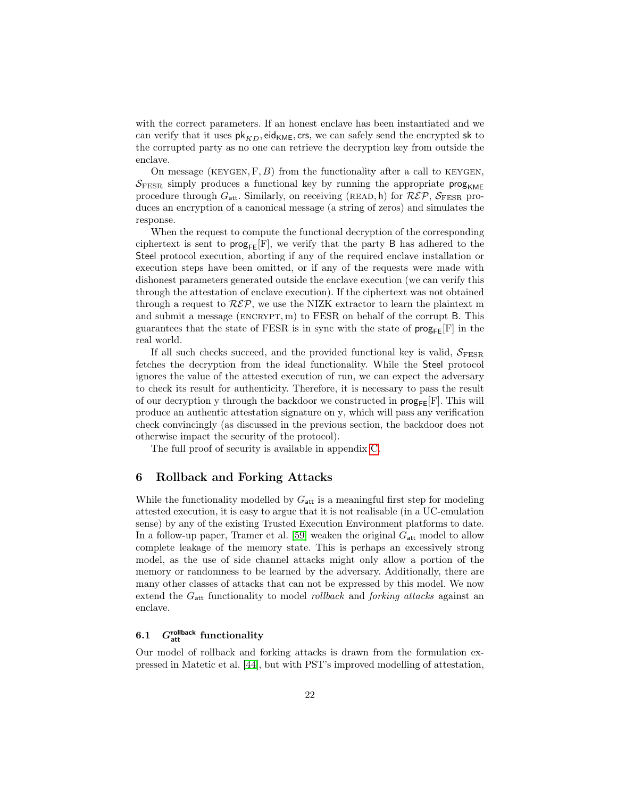with the correct parameters. If an honest enclave has been instantiated and we can verify that it uses  $pk_{KD}$ , eid<sub>KME</sub>, crs, we can safely send the encrypted sk to the corrupted party as no one can retrieve the decryption key from outside the enclave.

On message (KEYGEN,  $F, B$ ) from the functionality after a call to KEYGEN,  $S_{\text{FESR}}$  simply produces a functional key by running the appropriate prog<sub>KMF</sub> procedure through  $G_{\text{att}}$ . Similarly, on receiving (READ, h) for  $\mathcal{R}\mathcal{E}\mathcal{P}$ ,  $\mathcal{S}_{\text{FESR}}$  produces an encryption of a canonical message (a string of zeros) and simulates the response.

When the request to compute the functional decryption of the corresponding ciphertext is sent to  $\text{prog}_{\text{FE}}[F]$ , we verify that the party B has adhered to the Steel protocol execution, aborting if any of the required enclave installation or execution steps have been omitted, or if any of the requests were made with dishonest parameters generated outside the enclave execution (we can verify this through the attestation of enclave execution). If the ciphertext was not obtained through a request to  $R\mathcal{E}\mathcal{P}$ , we use the NIZK extractor to learn the plaintext m and submit a message (ENCRYPT, m) to FESR on behalf of the corrupt  $B$ . This guarantees that the state of FESR is in sync with the state of  $\text{prog}_{\text{FF}}[F]$  in the real world.

If all such checks succeed, and the provided functional key is valid,  $S_{\text{FESR}}$ fetches the decryption from the ideal functionality. While the Steel protocol ignores the value of the attested execution of run, we can expect the adversary to check its result for authenticity. Therefore, it is necessary to pass the result of our decryption y through the backdoor we constructed in  $\mathsf{prog}_{\mathsf{FE}}[F]$ . This will produce an authentic attestation signature on y, which will pass any verification check convincingly (as discussed in the previous section, the backdoor does not otherwise impact the security of the protocol).

The full proof of security is available in appendix [C.](#page-38-0)

#### <span id="page-22-0"></span>6 Rollback and Forking Attacks

While the functionality modelled by  $G_{\text{att}}$  is a meaningful first step for modeling attested execution, it is easy to argue that it is not realisable (in a UC-emulation sense) by any of the existing Trusted Execution Environment platforms to date. In a follow-up paper, Tramer et al. [\[59\]](#page-31-0) weaken the original  $G_{\text{att}}$  model to allow complete leakage of the memory state. This is perhaps an excessively strong model, as the use of side channel attacks might only allow a portion of the memory or randomness to be learned by the adversary. Additionally, there are many other classes of attacks that can not be expressed by this model. We now extend the  $G_{\text{att}}$  functionality to model *rollback* and *forking attacks* against an enclave.

## 6.1  $G<sub>att</sub><sup>rollback</sup>$  functionality

Our model of rollback and forking attacks is drawn from the formulation expressed in Matetic et al. [\[44\]](#page-30-14), but with PST's improved modelling of attestation,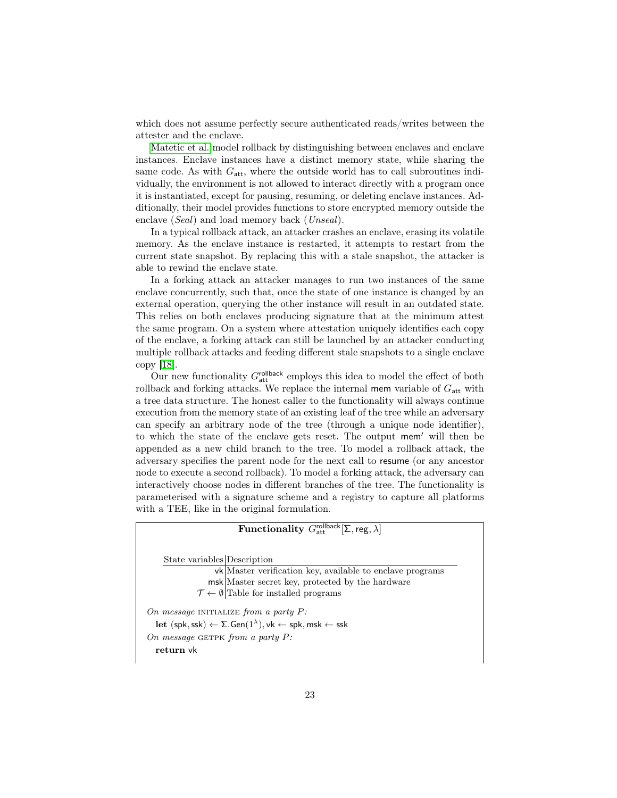which does not assume perfectly secure authenticated reads/writes between the attester and the enclave.

[Matetic et al.](#page-30-14) model rollback by distinguishing between enclaves and enclave instances. Enclave instances have a distinct memory state, while sharing the same code. As with  $G_{\text{att}}$ , where the outside world has to call subroutines individually, the environment is not allowed to interact directly with a program once it is instantiated, except for pausing, resuming, or deleting enclave instances. Additionally, their model provides functions to store encrypted memory outside the enclave (Seal) and load memory back (Unseal).

In a typical rollback attack, an attacker crashes an enclave, erasing its volatile memory. As the enclave instance is restarted, it attempts to restart from the current state snapshot. By replacing this with a stale snapshot, the attacker is able to rewind the enclave state.

In a forking attack an attacker manages to run two instances of the same enclave concurrently, such that, once the state of one instance is changed by an external operation, querying the other instance will result in an outdated state. This relies on both enclaves producing signature that at the minimum attest the same program. On a system where attestation uniquely identifies each copy of the enclave, a forking attack can still be launched by an attacker conducting multiple rollback attacks and feeding different stale snapshots to a single enclave copy [\[18\]](#page-27-7).

Our new functionality  $G_{\text{att}}^{\text{collback}}$  employs this idea to model the effect of both rollback and forking attacks. We replace the internal mem variable of  $G_{\text{att}}$  with a tree data structure. The honest caller to the functionality will always continue execution from the memory state of an existing leaf of the tree while an adversary can specify an arbitrary node of the tree (through a unique node identifier), to which the state of the enclave gets reset. The output mem' will then be appended as a new child branch to the tree. To model a rollback attack, the adversary specifies the parent node for the next call to resume (or any ancestor node to execute a second rollback). To model a forking attack, the adversary can interactively choose nodes in different branches of the tree. The functionality is parameterised with a signature scheme and a registry to capture all platforms with a TEE, like in the original formulation.

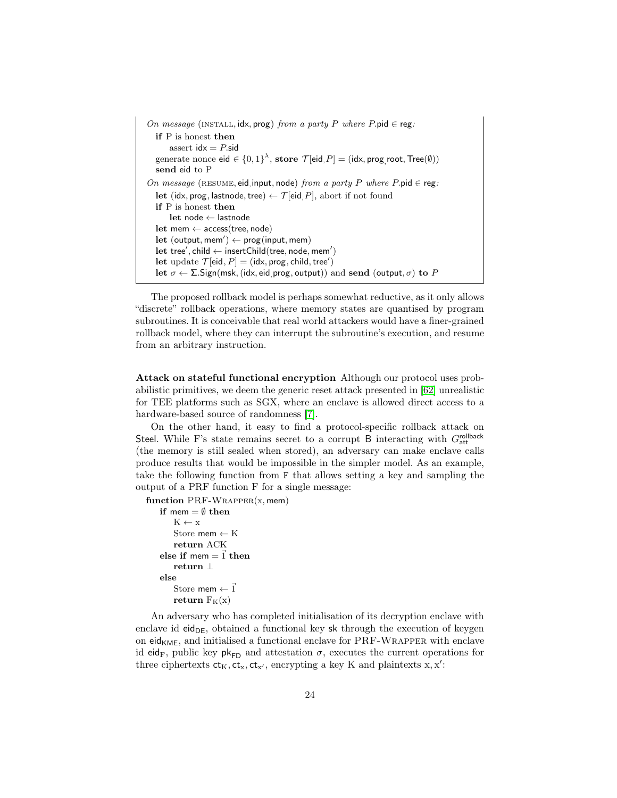```
On message (INSTALL, idx, prog) from a party P where P.pid \in reg:
  if P is honest then
       assert idx = P.sid
   generate nonce \mathsf{eid} \in \{0,1\}^\lambda, store \mathcal{T}[\mathsf{eid}, P] = (\mathsf{idx}, \mathsf{prog}, \mathsf{root}, \mathsf{Tree}(\emptyset))send eid to P
On message (RESUME, eid, input, node) from a party P where P.pid \in reg:
  let (idx, prog, lastnode, tree) \leftarrow \mathcal{T} [eid, P], abort if not found
  if P is honest then
       let node ← lastnode
  let mem ← access(tree, node)
   let (output, mem') \leftarrow prog(input, mem))\text{let tree}', \text{child} \leftarrow \text{insertChild}(\text{tree}, \text{node}, \text{mem}'))let update \mathcal{T}[eid, P] = (idx, prog, child, tree')
  let \sigma \leftarrow \Sigma. Sign(msk, (idx, eid, prog, output)) and send (output, \sigma) to P
```
The proposed rollback model is perhaps somewhat reductive, as it only allows "discrete" rollback operations, where memory states are quantised by program subroutines. It is conceivable that real world attackers would have a finer-grained rollback model, where they can interrupt the subroutine's execution, and resume from an arbitrary instruction.

Attack on stateful functional encryption Although our protocol uses probabilistic primitives, we deem the generic reset attack presented in [\[62\]](#page-31-2) unrealistic for TEE platforms such as SGX, where an enclave is allowed direct access to a hardware-based source of randomness [\[7\]](#page-26-6).

On the other hand, it easy to find a protocol-specific rollback attack on Steel. While F's state remains secret to a corrupt B interacting with Grollback (the memory is still sealed when stored), an adversary can make enclave calls produce results that would be impossible in the simpler model. As an example, take the following function from F that allows setting a key and sampling the output of a PRF function F for a single message:

function  $PRF-WRAPPER(x, mem)$ 

```
if mem = \emptyset then
    K \leftarrow xStore mem \leftarrow K
    return ACK
else if mem = 1 then
    return ⊥
else
    Store mem \leftarrow \vec{1}return F_K(x)
```
An adversary who has completed initialisation of its decryption enclave with enclave id eid $_{DE}$ , obtained a functional key sk through the execution of keygen on eid<sub>KME</sub>, and initialised a functional enclave for  $\text{PRF-WRAPPER}$  with enclave id eid<sub>F</sub>, public key pk<sub>FD</sub> and attestation  $\sigma$ , executes the current operations for three ciphertexts  $ct_K, ct_x, ct_{x'}$ , encrypting a key K and plaintexts x, x':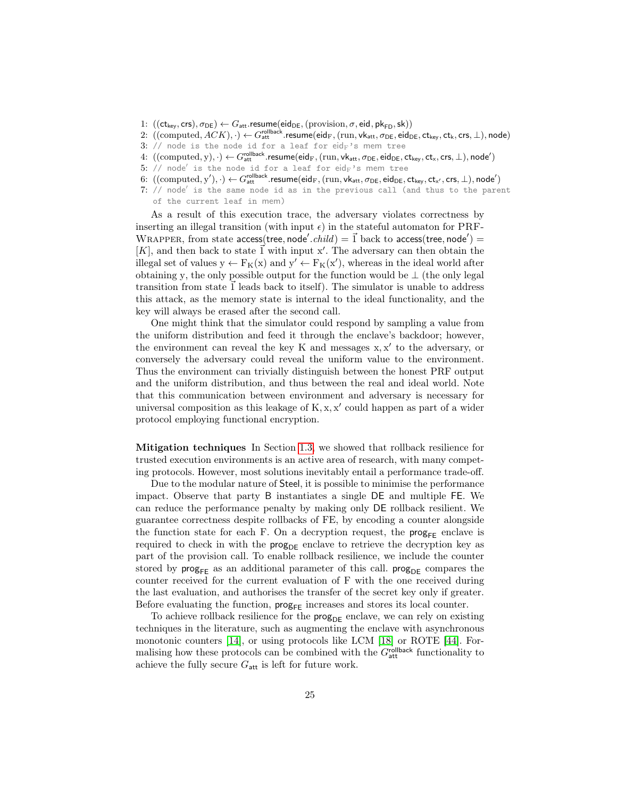- 1:  $((ct_{key}, crs), \sigma_{DE}) \leftarrow G_{att}$ . resume $(eid_{DE}, (provision, \sigma, ed, pk_{FD}, sk))$
- $2\colon\thinspace((\mathrm{computed}, ACK),\cdot)\leftarrow G_\text{att}^\text{rollback}.\mathsf{resume}(\mathsf{eid}_\text{F},(\mathrm{run},\mathsf{vk}_\text{att},\sigma_\text{DE},\mathsf{eid}_\text{DE},\mathsf{ct}_\mathsf{key},\mathsf{ct}_\mathsf{k},\mathsf{crs},\bot),\mathsf{node})$
- 3: // node is the node id for a leaf for eid $_F$ 's mem tree
- $4\colon\thinspace((\mathrm{computed},y),\cdot)\leftarrow G_\mathsf{att}^\mathsf{rollback}.\mathsf{resume}(\mathsf{eid}_F,(\mathrm{run},\mathsf{vk}_\mathsf{att},\sigma_\mathsf{DE},\mathsf{eid}_\mathsf{DE},\mathsf{ctx},\mathsf{crs},\bot),\mathsf{node}')$
- $5:$  // node $^{\prime}$  is the node id for a leaf for  $\mathrm{eid}_{\mathrm{F}}$ 's mem tree
- $6: \ ((\text{computed}, \mathbf{y}'), \cdot) \leftarrow G_\text{att}^\text{rollback}.\small \textsf{resume}(\mathsf{eid}_\textsf{F},(\text{run},\mathsf{vk}_\textsf{att},\sigma_\textsf{DE},\mathsf{eid}_\textsf{DE},\mathsf{ctx}_\textsf{ey},\mathsf{ctx}_\textsf{y},\mathsf{crs},\bot),\mathsf{node}')$
- $7:$  // node' is the same node id as in the previous call (and thus to the parent of the current leaf in mem)

As a result of this execution trace, the adversary violates correctness by inserting an illegal transition (with input  $\epsilon$ ) in the stateful automaton for PRF-WRAPPER, from state access(tree, node'.child) =  $\vec{1}$  back to access(tree, node') =  $[K]$ , and then back to state  $\vec{1}$  with input x'. The adversary can then obtain the illegal set of values  $y \leftarrow F_K(x)$  and  $y' \leftarrow F_K(x')$ , whereas in the ideal world after obtaining y, the only possible output for the function would be  $\perp$  (the only legal transition from state  $\vec{1}$  leads back to itself). The simulator is unable to address this attack, as the memory state is internal to the ideal functionality, and the key will always be erased after the second call.

One might think that the simulator could respond by sampling a value from the uniform distribution and feed it through the enclave's backdoor; however, the environment can reveal the key  $K$  and messages  $x, x'$  to the adversary, or conversely the adversary could reveal the uniform value to the environment. Thus the environment can trivially distinguish between the honest PRF output and the uniform distribution, and thus between the real and ideal world. Note that this communication between environment and adversary is necessary for universal composition as this leakage of  $K$ ,  $x$ ,  $x'$  could happen as part of a wider protocol employing functional encryption.

Mitigation techniques In Section [1.3,](#page-8-0) we showed that rollback resilience for trusted execution environments is an active area of research, with many competing protocols. However, most solutions inevitably entail a performance trade-off.

Due to the modular nature of Steel, it is possible to minimise the performance impact. Observe that party B instantiates a single DE and multiple FE. We can reduce the performance penalty by making only DE rollback resilient. We guarantee correctness despite rollbacks of FE, by encoding a counter alongside the function state for each F. On a decryption request, the  $\mathsf{prog}_{\mathsf{FF}}$  enclave is required to check in with the  $\mathsf{prog}_{\mathsf{DE}}$  enclave to retrieve the decryption key as part of the provision call. To enable rollback resilience, we include the counter stored by  $\mathsf{prog}_{\mathsf{FE}}$  as an additional parameter of this call.  $\mathsf{prog}_{\mathsf{DE}}$  compares the counter received for the current evaluation of F with the one received during the last evaluation, and authorises the transfer of the secret key only if greater. Before evaluating the function,  $\mathsf{prog}_{\mathsf{FF}}$  increases and stores its local counter.

To achieve rollback resilience for the  $\mathsf{prog}_{\mathsf{DE}}$  enclave, we can rely on existing techniques in the literature, such as augmenting the enclave with asynchronous monotonic counters [\[14\]](#page-27-6), or using protocols like LCM [\[18\]](#page-27-7) or ROTE [\[44\]](#page-30-14). Formalising how these protocols can be combined with the  $G<sub>att</sub><sup>rollback</sup>$  functionality to achieve the fully secure  $G_{\text{att}}$  is left for future work.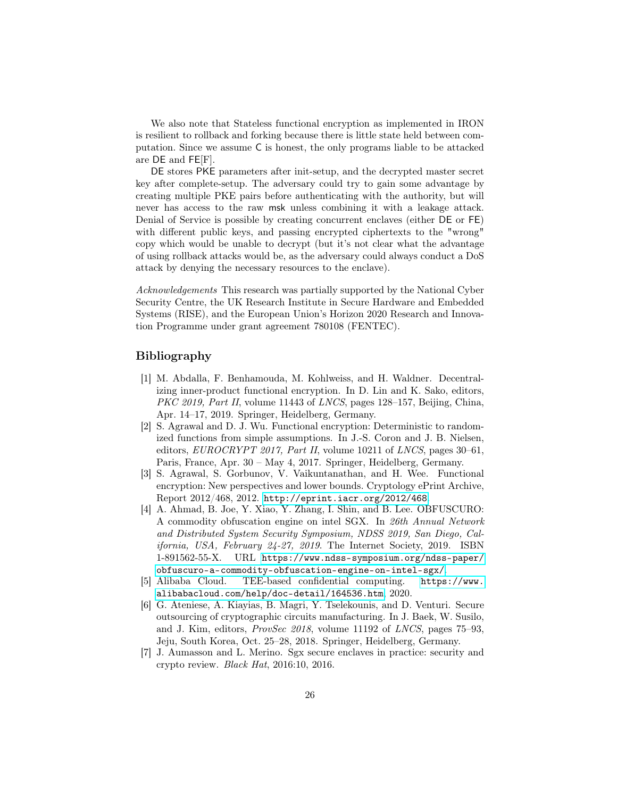We also note that Stateless functional encryption as implemented in IRON is resilient to rollback and forking because there is little state held between computation. Since we assume C is honest, the only programs liable to be attacked are DE and FE[F].

DE stores PKE parameters after init-setup, and the decrypted master secret key after complete-setup. The adversary could try to gain some advantage by creating multiple PKE pairs before authenticating with the authority, but will never has access to the raw msk unless combining it with a leakage attack. Denial of Service is possible by creating concurrent enclaves (either DE or FE) with different public keys, and passing encrypted ciphertexts to the "wrong" copy which would be unable to decrypt (but it's not clear what the advantage of using rollback attacks would be, as the adversary could always conduct a DoS attack by denying the necessary resources to the enclave).

Acknowledgements This research was partially supported by the National Cyber Security Centre, the UK Research Institute in Secure Hardware and Embedded Systems (RISE), and the European Union's Horizon 2020 Research and Innovation Programme under grant agreement 780108 (FENTEC).

## Bibliography

- <span id="page-26-1"></span>[1] M. Abdalla, F. Benhamouda, M. Kohlweiss, and H. Waldner. Decentralizing inner-product functional encryption. In D. Lin and K. Sako, editors, PKC 2019, Part II, volume 11443 of LNCS, pages 128–157, Beijing, China, Apr. 14–17, 2019. Springer, Heidelberg, Germany.
- <span id="page-26-3"></span>[2] S. Agrawal and D. J. Wu. Functional encryption: Deterministic to randomized functions from simple assumptions. In J.-S. Coron and J. B. Nielsen, editors,  $EUROCRYPT 2017$ , Part II, volume 10211 of LNCS, pages 30–61, Paris, France, Apr. 30 – May 4, 2017. Springer, Heidelberg, Germany.
- <span id="page-26-2"></span>[3] S. Agrawal, S. Gorbunov, V. Vaikuntanathan, and H. Wee. Functional encryption: New perspectives and lower bounds. Cryptology ePrint Archive, Report 2012/468, 2012. <http://eprint.iacr.org/2012/468>.
- <span id="page-26-4"></span>[4] A. Ahmad, B. Joe, Y. Xiao, Y. Zhang, I. Shin, and B. Lee. OBFUSCURO: A commodity obfuscation engine on intel SGX. In 26th Annual Network and Distributed System Security Symposium, NDSS 2019, San Diego, California, USA, February 24-27, 2019. The Internet Society, 2019. ISBN 1-891562-55-X. URL [https://www.ndss-symposium.org/ndss-paper/](https://www.ndss-symposium.org/ndss-paper/obfuscuro-a-commodity-obfuscation-engine-on-intel-sgx/) [obfuscuro-a-commodity-obfuscation-engine-on-intel-sgx/](https://www.ndss-symposium.org/ndss-paper/obfuscuro-a-commodity-obfuscation-engine-on-intel-sgx/).
- <span id="page-26-0"></span>[5] Alibaba Cloud. TEE-based confidential computing. [https://www.](https://www.alibabacloud.com/help/doc-detail/164536.htm) [alibabacloud.com/help/doc-detail/164536.htm](https://www.alibabacloud.com/help/doc-detail/164536.htm), 2020.
- <span id="page-26-5"></span>[6] G. Ateniese, A. Kiayias, B. Magri, Y. Tselekounis, and D. Venturi. Secure outsourcing of cryptographic circuits manufacturing. In J. Baek, W. Susilo, and J. Kim, editors, ProvSec 2018, volume 11192 of LNCS, pages 75–93, Jeju, South Korea, Oct. 25–28, 2018. Springer, Heidelberg, Germany.
- <span id="page-26-6"></span>[7] J. Aumasson and L. Merino. Sgx secure enclaves in practice: security and crypto review. Black Hat, 2016:10, 2016.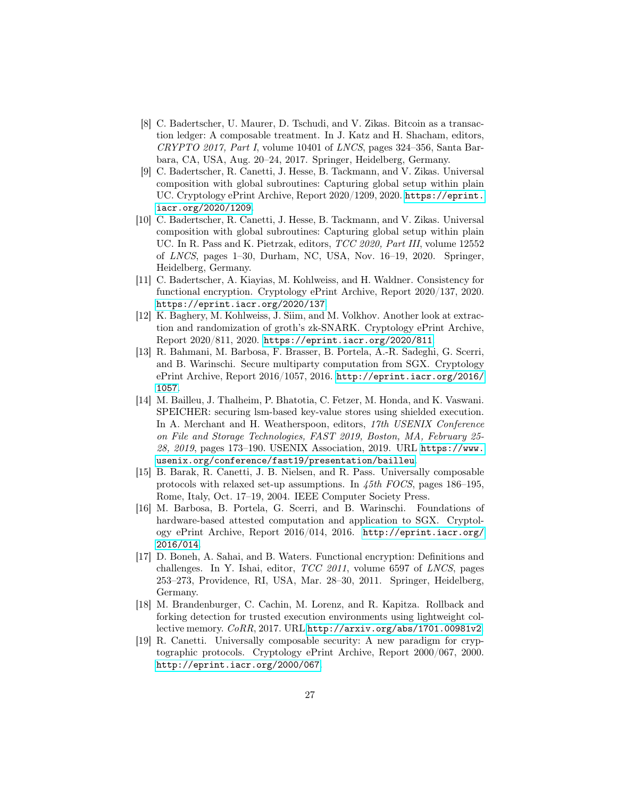- <span id="page-27-9"></span>[8] C. Badertscher, U. Maurer, D. Tschudi, and V. Zikas. Bitcoin as a transaction ledger: A composable treatment. In J. Katz and H. Shacham, editors, CRYPTO 2017, Part I, volume 10401 of LNCS, pages 324–356, Santa Barbara, CA, USA, Aug. 20–24, 2017. Springer, Heidelberg, Germany.
- <span id="page-27-1"></span>[9] C. Badertscher, R. Canetti, J. Hesse, B. Tackmann, and V. Zikas. Universal composition with global subroutines: Capturing global setup within plain UC. Cryptology ePrint Archive, Report 2020/1209, 2020. [https://eprint.](https://eprint.iacr.org/2020/1209) [iacr.org/2020/1209](https://eprint.iacr.org/2020/1209).
- <span id="page-27-2"></span>[10] C. Badertscher, R. Canetti, J. Hesse, B. Tackmann, and V. Zikas. Universal composition with global subroutines: Capturing global setup within plain UC. In R. Pass and K. Pietrzak, editors, TCC 2020, Part III, volume 12552 of LNCS, pages 1–30, Durham, NC, USA, Nov. 16–19, 2020. Springer, Heidelberg, Germany.
- <span id="page-27-10"></span>[11] C. Badertscher, A. Kiayias, M. Kohlweiss, and H. Waldner. Consistency for functional encryption. Cryptology ePrint Archive, Report 2020/137, 2020. <https://eprint.iacr.org/2020/137>.
- <span id="page-27-3"></span>[12] K. Baghery, M. Kohlweiss, J. Siim, and M. Volkhov. Another look at extraction and randomization of groth's zk-SNARK. Cryptology ePrint Archive, Report 2020/811, 2020. <https://eprint.iacr.org/2020/811>.
- <span id="page-27-5"></span>[13] R. Bahmani, M. Barbosa, F. Brasser, B. Portela, A.-R. Sadeghi, G. Scerri, and B. Warinschi. Secure multiparty computation from SGX. Cryptology ePrint Archive, Report 2016/1057, 2016. [http://eprint.iacr.org/2016/](http://eprint.iacr.org/2016/1057) [1057](http://eprint.iacr.org/2016/1057).
- <span id="page-27-6"></span>[14] M. Bailleu, J. Thalheim, P. Bhatotia, C. Fetzer, M. Honda, and K. Vaswani. SPEICHER: securing lsm-based key-value stores using shielded execution. In A. Merchant and H. Weatherspoon, editors, 17th USENIX Conference on File and Storage Technologies, FAST 2019, Boston, MA, February 25- 28, 2019, pages 173–190. USENIX Association, 2019. URL [https://www.](https://www.usenix.org/conference/fast19/presentation/bailleu) [usenix.org/conference/fast19/presentation/bailleu](https://www.usenix.org/conference/fast19/presentation/bailleu).
- <span id="page-27-11"></span>[15] B. Barak, R. Canetti, J. B. Nielsen, and R. Pass. Universally composable protocols with relaxed set-up assumptions. In 45th FOCS, pages 186–195, Rome, Italy, Oct. 17–19, 2004. IEEE Computer Society Press.
- <span id="page-27-4"></span>[16] M. Barbosa, B. Portela, G. Scerri, and B. Warinschi. Foundations of hardware-based attested computation and application to SGX. Cryptology ePrint Archive, Report 2016/014, 2016. [http://eprint.iacr.org/](http://eprint.iacr.org/2016/014) [2016/014](http://eprint.iacr.org/2016/014).
- <span id="page-27-0"></span>[17] D. Boneh, A. Sahai, and B. Waters. Functional encryption: Definitions and challenges. In Y. Ishai, editor,  $TCC$  2011, volume 6597 of LNCS, pages 253–273, Providence, RI, USA, Mar. 28–30, 2011. Springer, Heidelberg, Germany.
- <span id="page-27-7"></span>[18] M. Brandenburger, C. Cachin, M. Lorenz, and R. Kapitza. Rollback and forking detection for trusted execution environments using lightweight collective memory. CoRR, 2017. URL <http://arxiv.org/abs/1701.00981v2>.
- <span id="page-27-8"></span>[19] R. Canetti. Universally composable security: A new paradigm for cryptographic protocols. Cryptology ePrint Archive, Report 2000/067, 2000. <http://eprint.iacr.org/2000/067>.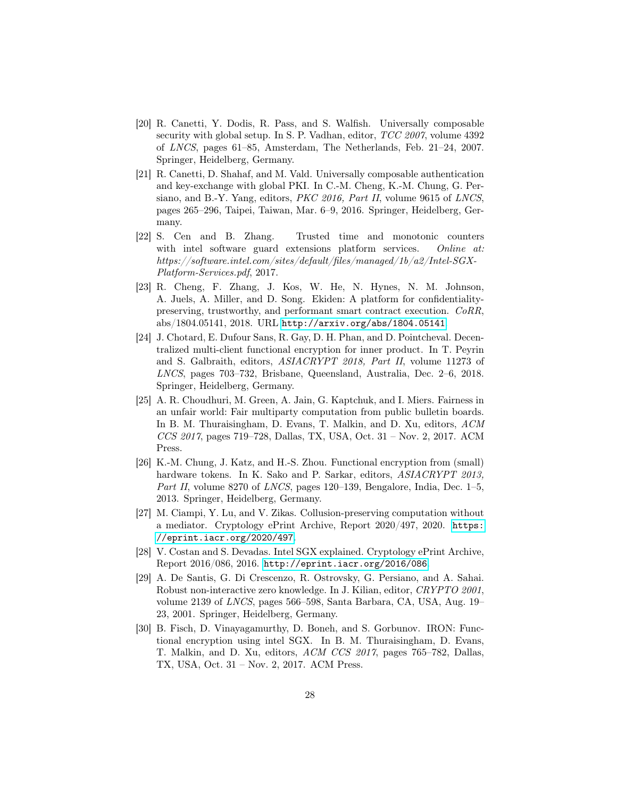- <span id="page-28-3"></span>[20] R. Canetti, Y. Dodis, R. Pass, and S. Walfish. Universally composable security with global setup. In S. P. Vadhan, editor, TCC 2007, volume 4392 of LNCS, pages 61–85, Amsterdam, The Netherlands, Feb. 21–24, 2007. Springer, Heidelberg, Germany.
- <span id="page-28-9"></span>[21] R. Canetti, D. Shahaf, and M. Vald. Universally composable authentication and key-exchange with global PKI. In C.-M. Cheng, K.-M. Chung, G. Persiano, and B.-Y. Yang, editors, PKC 2016, Part II, volume 9615 of LNCS, pages 265–296, Taipei, Taiwan, Mar. 6–9, 2016. Springer, Heidelberg, Germany.
- <span id="page-28-8"></span>[22] S. Cen and B. Zhang. Trusted time and monotonic counters with intel software guard extensions platform services. Online at: https://software.intel.com/sites/default/files/managed/1b/a2/Intel-SGX-Platform-Services.pdf, 2017.
- <span id="page-28-7"></span>[23] R. Cheng, F. Zhang, J. Kos, W. He, N. Hynes, N. M. Johnson, A. Juels, A. Miller, and D. Song. Ekiden: A platform for confidentialitypreserving, trustworthy, and performant smart contract execution. CoRR, abs/1804.05141, 2018. URL <http://arxiv.org/abs/1804.05141>.
- <span id="page-28-1"></span>[24] J. Chotard, E. Dufour Sans, R. Gay, D. H. Phan, and D. Pointcheval. Decentralized multi-client functional encryption for inner product. In T. Peyrin and S. Galbraith, editors, ASIACRYPT 2018, Part II, volume 11273 of LNCS, pages 703–732, Brisbane, Queensland, Australia, Dec. 2–6, 2018. Springer, Heidelberg, Germany.
- <span id="page-28-6"></span>[25] A. R. Choudhuri, M. Green, A. Jain, G. Kaptchuk, and I. Miers. Fairness in an unfair world: Fair multiparty computation from public bulletin boards. In B. M. Thuraisingham, D. Evans, T. Malkin, and D. Xu, editors, ACM CCS 2017, pages 719–728, Dallas, TX, USA, Oct. 31 – Nov. 2, 2017. ACM Press.
- <span id="page-28-5"></span>[26] K.-M. Chung, J. Katz, and H.-S. Zhou. Functional encryption from (small) hardware tokens. In K. Sako and P. Sarkar, editors, ASIACRYPT 2013, Part II, volume 8270 of LNCS, pages 120–139, Bengalore, India, Dec. 1–5, 2013. Springer, Heidelberg, Germany.
- <span id="page-28-4"></span>[27] M. Ciampi, Y. Lu, and V. Zikas. Collusion-preserving computation without a mediator. Cryptology ePrint Archive, Report 2020/497, 2020. [https:](https://eprint.iacr.org/2020/497) [//eprint.iacr.org/2020/497](https://eprint.iacr.org/2020/497).
- <span id="page-28-0"></span>[28] V. Costan and S. Devadas. Intel SGX explained. Cryptology ePrint Archive, Report 2016/086, 2016. <http://eprint.iacr.org/2016/086>.
- <span id="page-28-10"></span>[29] A. De Santis, G. Di Crescenzo, R. Ostrovsky, G. Persiano, and A. Sahai. Robust non-interactive zero knowledge. In J. Kilian, editor, CRYPTO 2001, volume 2139 of LNCS, pages 566–598, Santa Barbara, CA, USA, Aug. 19– 23, 2001. Springer, Heidelberg, Germany.
- <span id="page-28-2"></span>[30] B. Fisch, D. Vinayagamurthy, D. Boneh, and S. Gorbunov. IRON: Functional encryption using intel SGX. In B. M. Thuraisingham, D. Evans, T. Malkin, and D. Xu, editors, ACM CCS 2017, pages 765–782, Dallas, TX, USA, Oct. 31 – Nov. 2, 2017. ACM Press.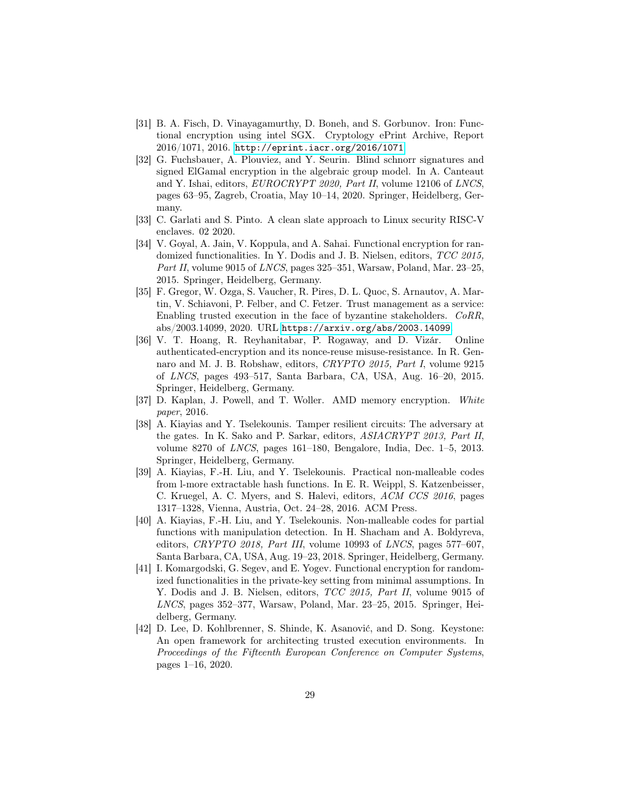- <span id="page-29-6"></span>[31] B. A. Fisch, D. Vinayagamurthy, D. Boneh, and S. Gorbunov. Iron: Functional encryption using intel SGX. Cryptology ePrint Archive, Report 2016/1071, 2016. <http://eprint.iacr.org/2016/1071>.
- <span id="page-29-5"></span>[32] G. Fuchsbauer, A. Plouviez, and Y. Seurin. Blind schnorr signatures and signed ElGamal encryption in the algebraic group model. In A. Canteaut and Y. Ishai, editors, EUROCRYPT 2020, Part II, volume 12106 of LNCS, pages 63–95, Zagreb, Croatia, May 10–14, 2020. Springer, Heidelberg, Germany.
- <span id="page-29-0"></span>[33] C. Garlati and S. Pinto. A clean slate approach to Linux security RISC-V enclaves. 02 2020.
- <span id="page-29-3"></span>[34] V. Goyal, A. Jain, V. Koppula, and A. Sahai. Functional encryption for randomized functionalities. In Y. Dodis and J. B. Nielsen, editors, TCC 2015, Part II, volume 9015 of LNCS, pages 325–351, Warsaw, Poland, Mar. 23–25, 2015. Springer, Heidelberg, Germany.
- <span id="page-29-8"></span>[35] F. Gregor, W. Ozga, S. Vaucher, R. Pires, D. L. Quoc, S. Arnautov, A. Martin, V. Schiavoni, P. Felber, and C. Fetzer. Trust management as a service: Enabling trusted execution in the face of byzantine stakeholders. CoRR, abs/2003.14099, 2020. URL <https://arxiv.org/abs/2003.14099>.
- <span id="page-29-7"></span>[36] V. T. Hoang, R. Reyhanitabar, P. Rogaway, and D. Vizár. Online authenticated-encryption and its nonce-reuse misuse-resistance. In R. Gennaro and M. J. B. Robshaw, editors, CRYPTO 2015, Part I, volume 9215 of LNCS, pages 493–517, Santa Barbara, CA, USA, Aug. 16–20, 2015. Springer, Heidelberg, Germany.
- <span id="page-29-2"></span>[37] D. Kaplan, J. Powell, and T. Woller. AMD memory encryption. White paper, 2016.
- <span id="page-29-11"></span>[38] A. Kiayias and Y. Tselekounis. Tamper resilient circuits: The adversary at the gates. In K. Sako and P. Sarkar, editors, ASIACRYPT 2013, Part II, volume 8270 of LNCS, pages 161–180, Bengalore, India, Dec. 1–5, 2013. Springer, Heidelberg, Germany.
- <span id="page-29-9"></span>[39] A. Kiayias, F.-H. Liu, and Y. Tselekounis. Practical non-malleable codes from l-more extractable hash functions. In E. R. Weippl, S. Katzenbeisser, C. Kruegel, A. C. Myers, and S. Halevi, editors, ACM CCS 2016, pages 1317–1328, Vienna, Austria, Oct. 24–28, 2016. ACM Press.
- <span id="page-29-10"></span>[40] A. Kiayias, F.-H. Liu, and Y. Tselekounis. Non-malleable codes for partial functions with manipulation detection. In H. Shacham and A. Boldyreva, editors, CRYPTO 2018, Part III, volume 10993 of LNCS, pages 577–607, Santa Barbara, CA, USA, Aug. 19–23, 2018. Springer, Heidelberg, Germany.
- <span id="page-29-4"></span>[41] I. Komargodski, G. Segev, and E. Yogev. Functional encryption for randomized functionalities in the private-key setting from minimal assumptions. In Y. Dodis and J. B. Nielsen, editors, *TCC 2015*, *Part II*, volume 9015 of LNCS, pages 352–377, Warsaw, Poland, Mar. 23–25, 2015. Springer, Heidelberg, Germany.
- <span id="page-29-1"></span>[42] D. Lee, D. Kohlbrenner, S. Shinde, K. Asanović, and D. Song. Keystone: An open framework for architecting trusted execution environments. In Proceedings of the Fifteenth European Conference on Computer Systems, pages 1–16, 2020.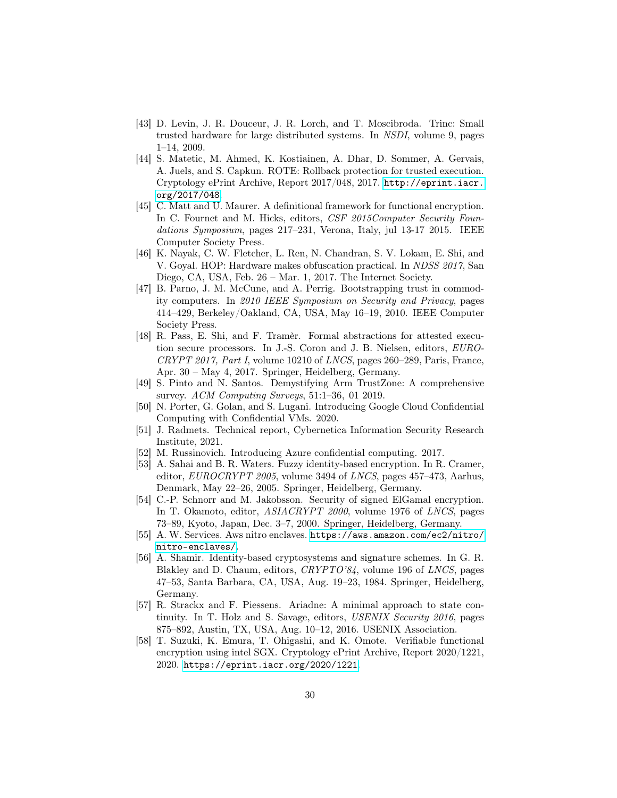- <span id="page-30-13"></span>[43] D. Levin, J. R. Douceur, J. R. Lorch, and T. Moscibroda. Trinc: Small trusted hardware for large distributed systems. In NSDI, volume 9, pages 1–14, 2009.
- <span id="page-30-14"></span>[44] S. Matetic, M. Ahmed, K. Kostiainen, A. Dhar, D. Sommer, A. Gervais, A. Juels, and S. Capkun. ROTE: Rollback protection for trusted execution. Cryptology ePrint Archive, Report 2017/048, 2017. [http://eprint.iacr.](http://eprint.iacr.org/2017/048) [org/2017/048](http://eprint.iacr.org/2017/048).
- <span id="page-30-7"></span>[45] C. Matt and U. Maurer. A definitional framework for functional encryption. In C. Fournet and M. Hicks, editors, CSF 2015Computer Security Foundations Symposium, pages 217–231, Verona, Italy, jul 13-17 2015. IEEE Computer Society Press.
- <span id="page-30-9"></span>[46] K. Nayak, C. W. Fletcher, L. Ren, N. Chandran, S. V. Lokam, E. Shi, and V. Goyal. HOP: Hardware makes obfuscation practical. In NDSS 2017, San Diego, CA, USA, Feb. 26 – Mar. 1, 2017. The Internet Society.
- <span id="page-30-10"></span>[47] B. Parno, J. M. McCune, and A. Perrig. Bootstrapping trust in commodity computers. In 2010 IEEE Symposium on Security and Privacy, pages 414–429, Berkeley/Oakland, CA, USA, May 16–19, 2010. IEEE Computer Society Press.
- <span id="page-30-4"></span>[48] R. Pass, E. Shi, and F. Tramèr. Formal abstractions for attested execution secure processors. In J.-S. Coron and J. B. Nielsen, editors, EURO-CRYPT 2017, Part I, volume 10210 of LNCS, pages 260–289, Paris, France, Apr. 30 – May 4, 2017. Springer, Heidelberg, Germany.
- <span id="page-30-0"></span>[49] S. Pinto and N. Santos. Demystifying Arm TrustZone: A comprehensive survey. ACM Computing Surveys, 51:1–36, 01 2019.
- <span id="page-30-3"></span>[50] N. Porter, G. Golan, and S. Lugani. Introducing Google Cloud Confidential Computing with Confidential VMs. 2020.
- <span id="page-30-12"></span>[51] J. Radmets. Technical report, Cybernetica Information Security Research Institute, 2021.
- <span id="page-30-2"></span>[52] M. Russinovich. Introducing Azure confidential computing. 2017.
- <span id="page-30-6"></span>[53] A. Sahai and B. R. Waters. Fuzzy identity-based encryption. In R. Cramer, editor, *EUROCRYPT 2005*, volume 3494 of *LNCS*, pages 457–473, Aarhus, Denmark, May 22–26, 2005. Springer, Heidelberg, Germany.
- <span id="page-30-8"></span>[54] C.-P. Schnorr and M. Jakobsson. Security of signed ElGamal encryption. In T. Okamoto, editor, ASIACRYPT 2000, volume 1976 of LNCS, pages 73–89, Kyoto, Japan, Dec. 3–7, 2000. Springer, Heidelberg, Germany.
- <span id="page-30-1"></span>[55] A. W. Services. Aws nitro enclaves. [https://aws.amazon.com/ec2/nitro/](https://aws.amazon.com/ec2/nitro/nitro-enclaves/) [nitro-enclaves/](https://aws.amazon.com/ec2/nitro/nitro-enclaves/).
- <span id="page-30-5"></span>[56] A. Shamir. Identity-based cryptosystems and signature schemes. In G. R. Blakley and D. Chaum, editors, CRYPTO'84, volume 196 of LNCS, pages 47–53, Santa Barbara, CA, USA, Aug. 19–23, 1984. Springer, Heidelberg, Germany.
- <span id="page-30-15"></span>[57] R. Strackx and F. Piessens. Ariadne: A minimal approach to state continuity. In T. Holz and S. Savage, editors, USENIX Security 2016, pages 875–892, Austin, TX, USA, Aug. 10–12, 2016. USENIX Association.
- <span id="page-30-11"></span>[58] T. Suzuki, K. Emura, T. Ohigashi, and K. Omote. Verifiable functional encryption using intel SGX. Cryptology ePrint Archive, Report 2020/1221, 2020. <https://eprint.iacr.org/2020/1221>.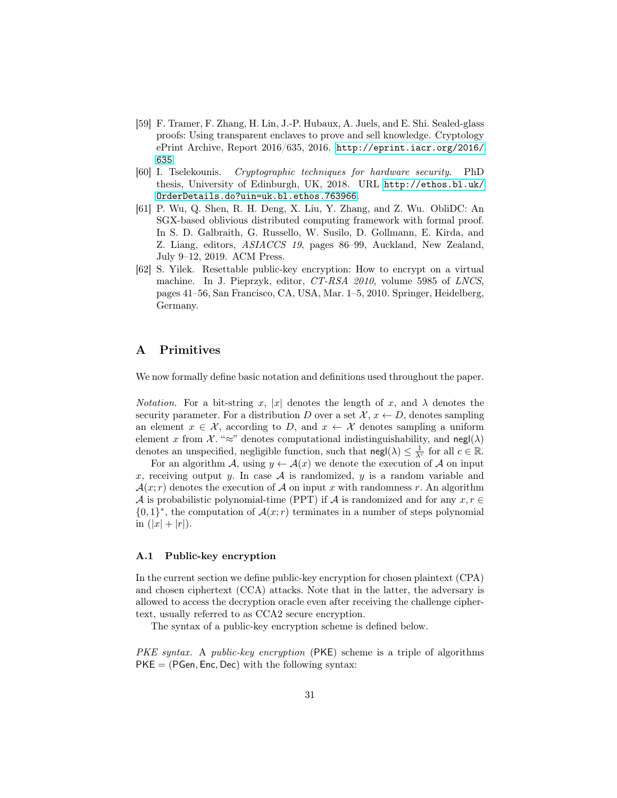- <span id="page-31-0"></span>[59] F. Tramer, F. Zhang, H. Lin, J.-P. Hubaux, A. Juels, and E. Shi. Sealed-glass proofs: Using transparent enclaves to prove and sell knowledge. Cryptology ePrint Archive, Report 2016/635, 2016. [http://eprint.iacr.org/2016/](http://eprint.iacr.org/2016/635) [635](http://eprint.iacr.org/2016/635).
- <span id="page-31-3"></span>[60] I. Tselekounis. Cryptographic techniques for hardware security. PhD thesis, University of Edinburgh, UK, 2018. URL [http://ethos.bl.uk/](http://ethos.bl.uk/OrderDetails.do?uin=uk.bl.ethos.763966) [OrderDetails.do?uin=uk.bl.ethos.763966](http://ethos.bl.uk/OrderDetails.do?uin=uk.bl.ethos.763966).
- <span id="page-31-1"></span>[61] P. Wu, Q. Shen, R. H. Deng, X. Liu, Y. Zhang, and Z. Wu. ObliDC: An SGX-based oblivious distributed computing framework with formal proof. In S. D. Galbraith, G. Russello, W. Susilo, D. Gollmann, E. Kirda, and Z. Liang, editors, ASIACCS 19, pages 86–99, Auckland, New Zealand, July 9–12, 2019. ACM Press.
- <span id="page-31-2"></span>[62] S. Yilek. Resettable public-key encryption: How to encrypt on a virtual machine. In J. Pieprzyk, editor, CT-RSA 2010, volume 5985 of LNCS, pages 41–56, San Francisco, CA, USA, Mar. 1–5, 2010. Springer, Heidelberg, Germany.

## A Primitives

We now formally define basic notation and definitions used throughout the paper.

*Notation.* For a bit-string x, |x| denotes the length of x, and  $\lambda$  denotes the security parameter. For a distribution D over a set  $\mathcal{X}, x \leftarrow D$ , denotes sampling an element  $x \in \mathcal{X}$ , according to D, and  $x \leftarrow \mathcal{X}$  denotes sampling a uniform element x from  $\mathcal{X}$ . "≈" denotes computational indistinguishability, and negl( $\lambda$ ) denotes an unspecified, negligible function, such that  $\text{negl}(\lambda) \leq \frac{1}{\lambda^c}$  for all  $c \in \mathbb{R}$ .

For an algorithm A, using  $y \leftarrow A(x)$  we denote the execution of A on input x, receiving output y. In case  $A$  is randomized, y is a random variable and  $\mathcal{A}(x; r)$  denotes the execution of  $\mathcal A$  on input x with randomness r. An algorithm A is probabilistic polynomial-time (PPT) if A is randomized and for any  $x, r \in$  $\{0,1\}^*$ , the computation of  $\mathcal{A}(x;r)$  terminates in a number of steps polynomial in  $(|x| + |r|)$ .

#### A.1 Public-key encryption

In the current section we define public-key encryption for chosen plaintext (CPA) and chosen ciphertext (CCA) attacks. Note that in the latter, the adversary is allowed to access the decryption oracle even after receiving the challenge ciphertext, usually referred to as CCA2 secure encryption.

The syntax of a public-key encryption scheme is defined below.

PKE syntax. A public-key encryption (PKE) scheme is a triple of algorithms  $PKE = (PGen, Enc, Dec)$  with the following syntax: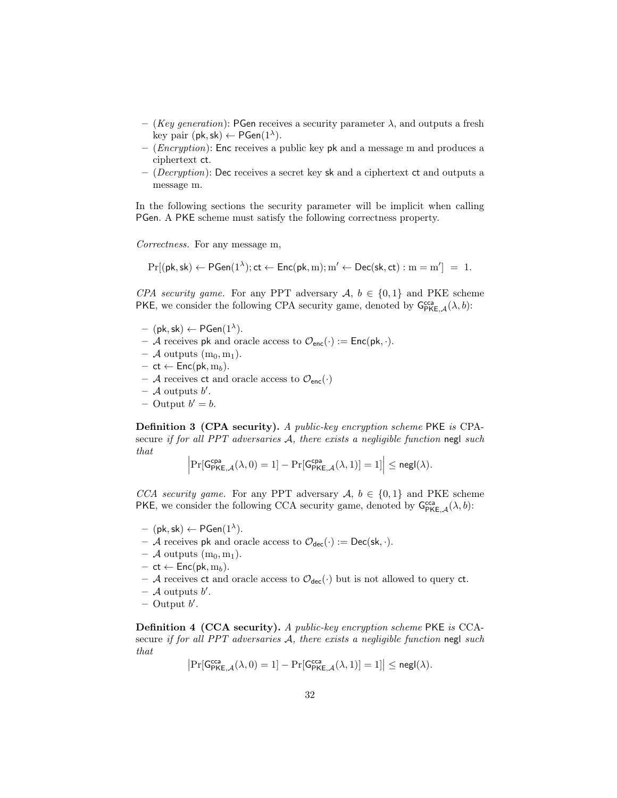- (Key generation): PGen receives a security parameter  $\lambda$ , and outputs a fresh key pair  $(\mathsf{pk}, \mathsf{sk}) \leftarrow \mathsf{PGen}(1^{\lambda}).$
- (*Encryption*): Enc receives a public key pk and a message m and produces a ciphertext ct.
- $-$  (*Decryption*): Dec receives a secret key sk and a ciphertext ct and outputs a message m.

In the following sections the security parameter will be implicit when calling PGen. A PKE scheme must satisfy the following correctness property.

Correctness. For any message m,

$$
Pr[(pk, sk) \leftarrow PGen(1^{\lambda}); ct \leftarrow Enc(pk, m); m' \leftarrow Dec(sk, ct): m = m'] = 1.
$$

CPA security game. For any PPT adversary  $A, b \in \{0,1\}$  and PKE scheme PKE, we consider the following CPA security game, denoted by  $G_{\text{PKE},\mathcal{A}}^{\text{cca}}(\lambda, b)$ :

- $-$  (pk, sk)  $\leftarrow$  PGen $(1^{\lambda})$ .
- A receives pk and oracle access to  $\mathcal{O}_{\mathsf{enc}}(\cdot) := \mathsf{Enc}(\mathsf{pk}, \cdot)$ .
- $-$  A outputs  $(m_0, m_1)$ .
- $-$  ct ← Enc(pk, m<sub>b</sub>).
- A receives ct and oracle access to  $\mathcal{O}_{\text{enc}}(\cdot)$
- $-$  A outputs  $b'$ .
- $-$  Output  $b' = b$ .

Definition 3 (CPA security). A public-key encryption scheme PKE is CPAsecure if for all PPT adversaries  $A$ , there exists a negligible function negl such that

$$
\left|\Pr[\mathsf{G}_{\mathsf{PKE},\mathcal{A}}^{\mathsf{cpa}}(\lambda,0)=1]-\Pr[\mathsf{G}_{\mathsf{PKE},\mathcal{A}}^{\mathsf{cpa}}(\lambda,1)]=1]\right|\leq \mathsf{negl}(\lambda).
$$

CCA security game. For any PPT adversary  $A, b \in \{0,1\}$  and PKE scheme PKE, we consider the following CCA security game, denoted by  $G_{\text{PKE},\mathcal{A}}^{\text{cca}}(\lambda, b)$ :

- $-$  (pk, sk)  $\leftarrow$  PGen $(1^{\lambda})$ .
- A receives pk and oracle access to  $\mathcal{O}_{\text{dec}}(\cdot) := \text{Dec}(\mathsf{sk}, \cdot)$ .
- $-$  A outputs  $(m_0, m_1)$ .
- $-$  ct  $\leftarrow$  Enc(pk, m<sub>b</sub>).
- A receives ct and oracle access to  $\mathcal{O}_{\text{dec}}(\cdot)$  but is not allowed to query ct.
- $-$  A outputs  $b'$ .
- $-$  Output  $b'$ .

Definition 4 (CCA security). A public-key encryption scheme PKE is CCAsecure if for all PPT adversaries  $A$ , there exists a negligible function negl such that

$$
\big|\Pr[\mathsf{G}^{\mathsf{cca}}_{\mathsf{PKE},\mathcal{A}}(\lambda,0)=1]-\Pr[\mathsf{G}^{\mathsf{cca}}_{\mathsf{PKE},\mathcal{A}}(\lambda,1)]=1]\big|\leq \mathsf{negl}(\lambda).
$$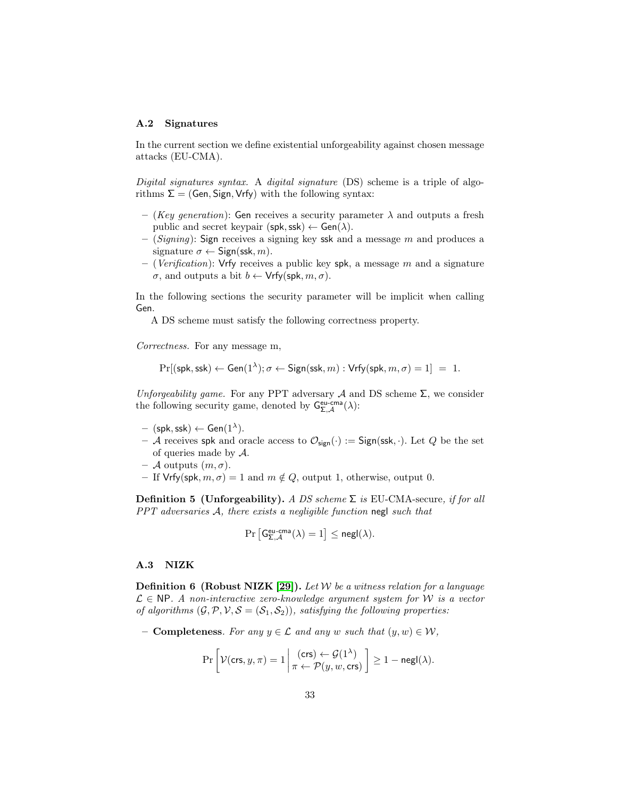#### A.2 Signatures

In the current section we define existential unforgeability against chosen message attacks (EU-CMA).

Digital signatures syntax. A digital signature (DS) scheme is a triple of algorithms  $\Sigma = (Gen, Sign, Vrfy)$  with the following syntax:

- (Key generation): Gen receives a security parameter  $\lambda$  and outputs a fresh public and secret keypair (spk, ssk)  $\leftarrow$  Gen( $\lambda$ ).
- $(Signing)$ : Sign receives a signing key ssk and a message m and produces a signature  $\sigma \leftarrow$  Sign(ssk, m).
- (Verification): Vrfy receives a public key spk, a message m and a signature  $\sigma$ , and outputs a bit  $b \leftarrow \mathsf{Vrfy}(\mathsf{spk}, m, \sigma)$ .

In the following sections the security parameter will be implicit when calling Gen.

A DS scheme must satisfy the following correctness property.

Correctness. For any message m,

 $Pr[(\mathsf{spk},\mathsf{ssk}) \leftarrow \mathsf{Gen}(1^{\lambda}); \sigma \leftarrow \mathsf{Sign}(\mathsf{ssk}, m) : \mathsf{Vrfy}(\mathsf{spk}, m, \sigma) = 1] = 1.$ 

Unforgeability game. For any PPT adversary A and DS scheme  $\Sigma$ , we consider the following security game, denoted by  $G_{\Sigma,\mathcal{A}}^{\text{eu-cma}}(\lambda)$ :

- $-$  (spk, ssk)  $\leftarrow$  Gen $(1^{\lambda})$ .
- A receives spk and oracle access to  $\mathcal{O}_{sign}(\cdot) :=$  Sign(ssk,  $\cdot$ ). Let Q be the set of queries made by A.
- $-$  A outputs  $(m, \sigma)$ .
- If Vrfy(spk,  $m, \sigma$ ) = 1 and  $m \notin Q$ , output 1, otherwise, output 0.

Definition 5 (Unforgeability). A DS scheme  $\Sigma$  is EU-CMA-secure, if for all PPT adversaries A, there exists a negligible function negl such that

$$
\Pr\left[\mathsf{G}^{\mathsf{eu-cma}}_{\Sigma,\mathcal{A}}(\lambda)=1\right]\leq \mathsf{negl}(\lambda).
$$

#### A.3 NIZK

**Definition 6 (Robust NIZK [\[29\]](#page-28-10)).** Let W be a witness relation for a language  $\mathcal{L} \in \mathbb{N}P$ . A non-interactive zero-knowledge argument system for W is a vector of algorithms  $(\mathcal{G}, \mathcal{P}, \mathcal{V}, \mathcal{S} = (\mathcal{S}_1, \mathcal{S}_2))$ , satisfying the following properties:

– **Completeness**. For any  $y \in \mathcal{L}$  and any w such that  $(y, w) \in \mathcal{W}$ ,

$$
\Pr\left[\mathcal{V}(\mathsf{crs}, y, \pi) = 1 \middle| \frac{(\mathsf{crs}) \leftarrow \mathcal{G}(1^{\lambda})}{\pi \leftarrow \mathcal{P}(y, w, \mathsf{crs})} \right] \ge 1 - \mathsf{negl}(\lambda).
$$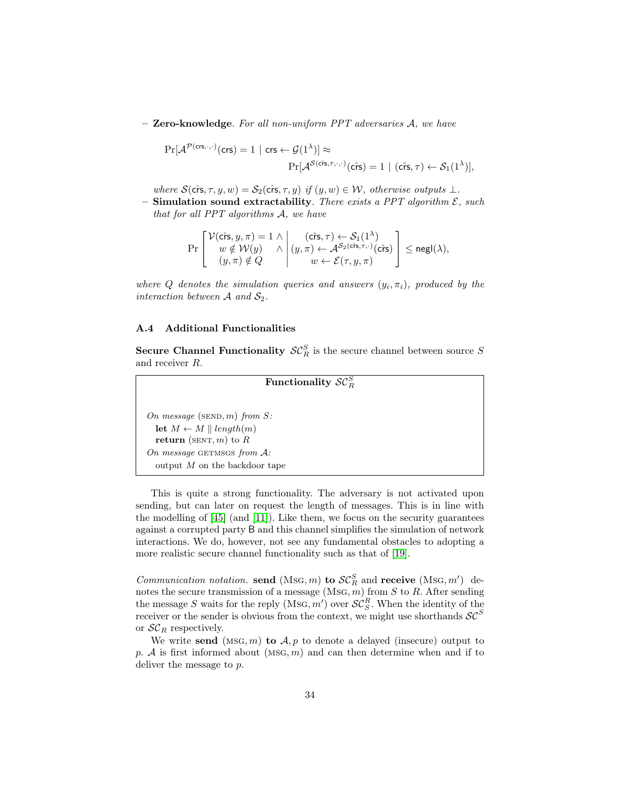$-$  Zero-knowledge. For all non-uniform PPT adversaries  $A$ , we have

$$
\Pr[\mathcal{A}^{\mathcal{P}(\mathsf{crs},\cdot,\cdot)}(\mathsf{crs}) = 1 \mid \mathsf{crs} \leftarrow \mathcal{G}(1^{\lambda})] \approx
$$

$$
\Pr[\mathcal{A}^{\mathcal{S}(\mathsf{crs},\tau,\cdot,\cdot)}(\mathsf{crs}) = 1 \mid (\mathsf{crs},\tau) \leftarrow \mathcal{S}_1(1^{\lambda})],
$$

where  $\mathcal{S}(\hat{\text{crs}}, \tau, y, w) = \mathcal{S}_2(\hat{\text{crs}}, \tau, y)$  if  $(y, w) \in \mathcal{W}$ , otherwise outputs  $\perp$ .

– Simulation sound extractability. There exists a PPT algorithm  $\mathcal{E}$ , such that for all PPT algorithms A, we have

$$
\Pr\left[\begin{array}{c} \mathcal{V}(\hat{\mathrm{cr}}\mathrm{s},y,\pi)=1 \wedge \\ w \notin \mathcal{W}(y) \\ (y,\pi) \notin Q \end{array} \middle| \begin{array}{c} (\hat{\mathrm{cr}}\mathrm{s},\tau) \leftarrow \mathcal{S}_1(1^{\lambda}) \\ (y,\pi) \leftarrow \mathcal{A}^{\mathcal{S}_2(\hat{\mathrm{cr}}\mathrm{s},\tau,\cdot)}(\hat{\mathrm{cr}}\mathrm{s}) \\ w \leftarrow \mathcal{E}(\tau,y,\pi) \end{array} \right] \leq \mathrm{negl}(\lambda),
$$

where Q denotes the simulation queries and answers  $(y_i, \pi_i)$ , produced by the interaction between  $A$  and  $S_2$ .

#### A.4 Additional Functionalities

<span id="page-34-0"></span>**Secure Channel Functionality**  $\mathcal{SC}_R^S$  is the secure channel between source S and receiver R.

```
Functionality \mathcal{SC}_R^SOn message (\text{SED}, m) from S:
  let M \leftarrow M \parallel length(m)return (SENT, m) to ROn message GETMSGS from A:
  output M on the backdoor tape
```
This is quite a strong functionality. The adversary is not activated upon sending, but can later on request the length of messages. This is in line with the modelling of [\[45\]](#page-30-7) (and [\[11\]](#page-27-10)). Like them, we focus on the security guarantees against a corrupted party B and this channel simplifies the simulation of network interactions. We do, however, not see any fundamental obstacles to adopting a more realistic secure channel functionality such as that of [\[19\]](#page-27-8).

*Communication notation.* send (MsG, m) to  $\mathcal{SC}_R^S$  and receive (MsG, m') denotes the secure transmission of a message  $(MSG, m)$  from  $S$  to  $R$ . After sending the message S waits for the reply  $(MSG, m')$  over  $SC_S^R$ . When the identity of the receiver or the sender is obvious from the context, we might use shorthands  $SC^S$ or  $\mathcal{SC}_R$  respectively.

We write send (MSG,  $m$ ) to  $A, p$  to denote a delayed (insecure) output to p. A is first informed about  $(MSG, m)$  and can then determine when and if to deliver the message to p.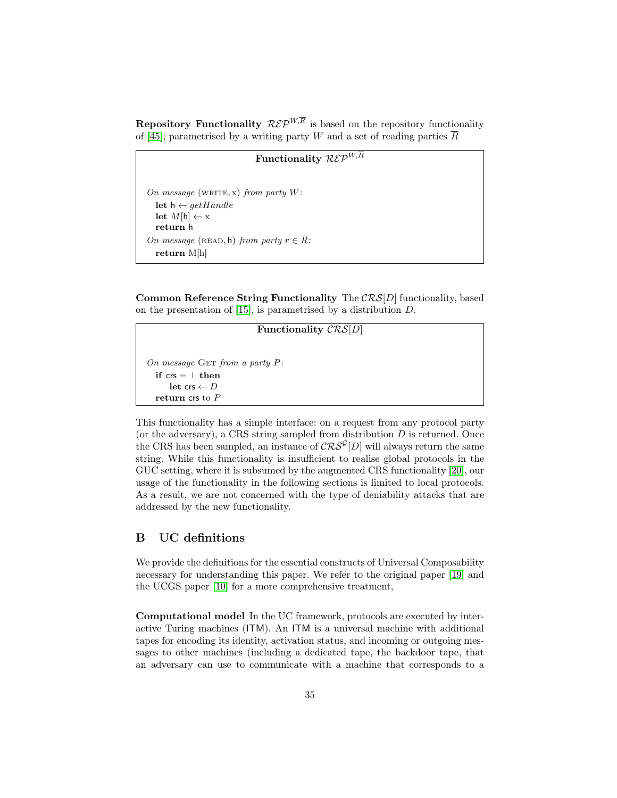**Repository Functionality**  $\mathcal{R}\mathcal{E}\mathcal{P}^{W,\overline{R}}$  is based on the repository functionality of [\[45\]](#page-30-7), parametrised by a writing party W and a set of reading parties  $\overline{R}$ 

## Functionality  $\overline{\mathcal{R}\mathcal{E}\mathcal{P}^{W,\overline{R}}}$

```
On message (WRITE, x) from party W:
  let h \leftarrow getH and lelet M[h] \leftarrow \mathbf{x}return h
On message (READ, h) from party r \in \overline{R}:
  return M[h]
```
Common Reference String Functionality The  $CRS[D]$  functionality, based on the presentation of [\[15\]](#page-27-11), is parametrised by a distribution D.

Functionality  $\mathcal{CRS}[D]$ On message GET from a party  $P$ : if  $\mathsf{crs} = \bot \mathsf{then}$ let crs  $\leftarrow$  D return crs to P

This functionality has a simple interface: on a request from any protocol party (or the adversary), a CRS string sampled from distribution  $D$  is returned. Once the CRS has been sampled, an instance of  $\mathcal{CRS}^{\mathcal{G}}[D]$  will always return the same string. While this functionality is insufficient to realise global protocols in the GUC setting, where it is subsumed by the augmented CRS functionality [\[20\]](#page-28-3), our usage of the functionality in the following sections is limited to local protocols. As a result, we are not concerned with the type of deniability attacks that are addressed by the new functionality.

## <span id="page-35-0"></span>B UC definitions

We provide the definitions for the essential constructs of Universal Composability necessary for understanding this paper. We refer to the original paper [\[19\]](#page-27-8) and the UCGS paper [\[10\]](#page-27-2) for a more comprehensive treatment,

Computational model In the UC framework, protocols are executed by interactive Turing machines (ITM). An ITM is a universal machine with additional tapes for encoding its identity, activation status, and incoming or outgoing messages to other machines (including a dedicated tape, the backdoor tape, that an adversary can use to communicate with a machine that corresponds to a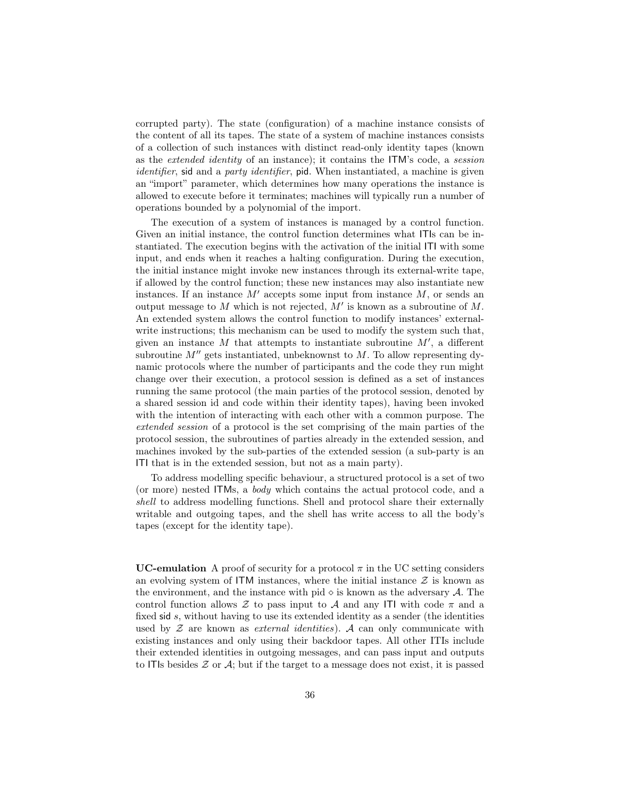corrupted party). The state (configuration) of a machine instance consists of the content of all its tapes. The state of a system of machine instances consists of a collection of such instances with distinct read-only identity tapes (known as the extended identity of an instance); it contains the ITM's code, a session identifier, sid and a party identifier, pid. When instantiated, a machine is given an "import" parameter, which determines how many operations the instance is allowed to execute before it terminates; machines will typically run a number of operations bounded by a polynomial of the import.

The execution of a system of instances is managed by a control function. Given an initial instance, the control function determines what ITIs can be instantiated. The execution begins with the activation of the initial ITI with some input, and ends when it reaches a halting configuration. During the execution, the initial instance might invoke new instances through its external-write tape, if allowed by the control function; these new instances may also instantiate new instances. If an instance  $M'$  accepts some input from instance  $M$ , or sends an output message to  $M$  which is not rejected,  $M'$  is known as a subroutine of  $M$ . An extended system allows the control function to modify instances' externalwrite instructions; this mechanism can be used to modify the system such that, given an instance  $M$  that attempts to instantiate subroutine  $M'$ , a different subroutine  $M''$  gets instantiated, unbeknownst to  $M$ . To allow representing dynamic protocols where the number of participants and the code they run might change over their execution, a protocol session is defined as a set of instances running the same protocol (the main parties of the protocol session, denoted by a shared session id and code within their identity tapes), having been invoked with the intention of interacting with each other with a common purpose. The extended session of a protocol is the set comprising of the main parties of the protocol session, the subroutines of parties already in the extended session, and machines invoked by the sub-parties of the extended session (a sub-party is an ITI that is in the extended session, but not as a main party).

To address modelling specific behaviour, a structured protocol is a set of two (or more) nested ITMs, a body which contains the actual protocol code, and a shell to address modelling functions. Shell and protocol share their externally writable and outgoing tapes, and the shell has write access to all the body's tapes (except for the identity tape).

<span id="page-36-0"></span>UC-emulation A proof of security for a protocol  $\pi$  in the UC setting considers an evolving system of ITM instances, where the initial instance  $\mathcal Z$  is known as the environment, and the instance with pid  $\diamond$  is known as the adversary  $\mathcal{A}$ . The control function allows  $\mathcal Z$  to pass input to  $\mathcal A$  and any ITI with code  $\pi$  and a fixed sid s, without having to use its extended identity as a sender (the identities used by  $Z$  are known as *external identities*). A can only communicate with existing instances and only using their backdoor tapes. All other ITIs include their extended identities in outgoing messages, and can pass input and outputs to ITIs besides  $\mathcal Z$  or  $\mathcal A$ ; but if the target to a message does not exist, it is passed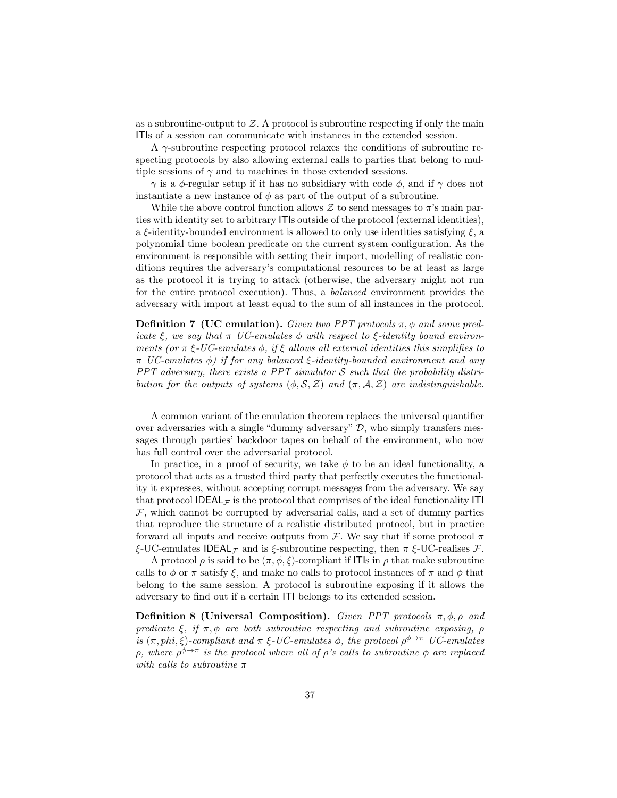as a subroutine-output to  $Z$ . A protocol is subroutine respecting if only the main ITIs of a session can communicate with instances in the extended session.

A  $\gamma$ -subroutine respecting protocol relaxes the conditions of subroutine respecting protocols by also allowing external calls to parties that belong to multiple sessions of  $\gamma$  and to machines in those extended sessions.

 $γ$  is a φ-regular setup if it has no subsidiary with code  $φ$ , and if  $γ$  does not instantiate a new instance of  $\phi$  as part of the output of a subroutine.

While the above control function allows  $\mathcal Z$  to send messages to  $\pi$ 's main parties with identity set to arbitrary ITIs outside of the protocol (external identities), a  $\xi$ -identity-bounded environment is allowed to only use identities satisfying  $\xi$ , a polynomial time boolean predicate on the current system configuration. As the environment is responsible with setting their import, modelling of realistic conditions requires the adversary's computational resources to be at least as large as the protocol it is trying to attack (otherwise, the adversary might not run for the entire protocol execution). Thus, a balanced environment provides the adversary with import at least equal to the sum of all instances in the protocol.

**Definition 7 (UC emulation).** Given two PPT protocols  $\pi$ ,  $\phi$  and some predicate  $\xi$ , we say that  $\pi$  UC-emulates  $\phi$  with respect to  $\xi$ -identity bound environments (or  $\pi \xi$ -UC-emulates  $\phi$ , if  $\xi$  allows all external identities this simplifies to  $\pi$  UC-emulates  $\phi$ ) if for any balanced ξ-identity-bounded environment and any PPT adversary, there exists a PPT simulator  $S$  such that the probability distribution for the outputs of systems  $(\phi, \mathcal{S}, \mathcal{Z})$  and  $(\pi, \mathcal{A}, \mathcal{Z})$  are indistinguishable.

A common variant of the emulation theorem replaces the universal quantifier over adversaries with a single "dummy adversary"  $D$ , who simply transfers messages through parties' backdoor tapes on behalf of the environment, who now has full control over the adversarial protocol.

In practice, in a proof of security, we take  $\phi$  to be an ideal functionality, a protocol that acts as a trusted third party that perfectly executes the functionality it expresses, without accepting corrupt messages from the adversary. We say that protocol IDEAL<sub>F</sub> is the protocol that comprises of the ideal functionality ITI  $F$ , which cannot be corrupted by adversarial calls, and a set of dummy parties that reproduce the structure of a realistic distributed protocol, but in practice forward all inputs and receive outputs from  $\mathcal F$ . We say that if some protocol  $\pi$  $\xi$ -UC-emulates IDEAL<sub>F</sub> and is  $\xi$ -subroutine respecting, then  $\pi \xi$ -UC-realises F.

A protocol  $\rho$  is said to be  $(\pi, \phi, \xi)$ -compliant if ITIs in  $\rho$  that make subroutine calls to  $\phi$  or  $\pi$  satisfy  $\xi$ , and make no calls to protocol instances of  $\pi$  and  $\phi$  that belong to the same session. A protocol is subroutine exposing if it allows the adversary to find out if a certain ITI belongs to its extended session.

Definition 8 (Universal Composition). Given PPT protocols  $\pi, \phi, \rho$  and predicate  $\xi$ , if  $\pi, \phi$  are both subroutine respecting and subroutine exposing,  $\rho$ is  $(\pi,phi, \xi)$ -compliant and  $\pi \xi$ -UC-emulates  $\phi$ , the protocol  $\rho^{\phi \to \pi}$  UC-emulates ρ, where  $\rho^{\phi \to \pi}$  is the protocol where all of ρ's calls to subroutine  $\phi$  are replaced with calls to subroutine  $\pi$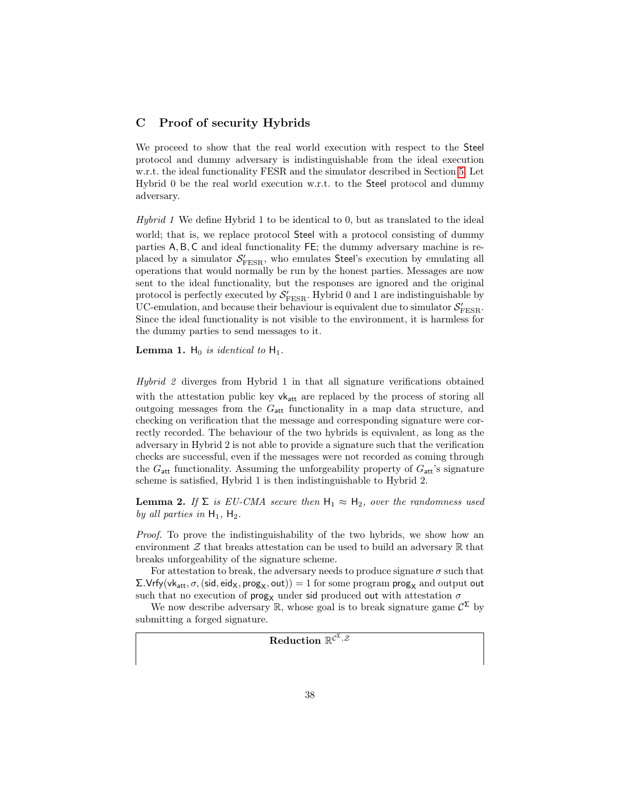## <span id="page-38-0"></span>C Proof of security Hybrids

We proceed to show that the real world execution with respect to the Steel protocol and dummy adversary is indistinguishable from the ideal execution w.r.t. the ideal functionality FESR and the simulator described in Section [5.](#page-18-0) Let Hybrid 0 be the real world execution w.r.t. to the Steel protocol and dummy adversary.

Hybrid 1 We define Hybrid 1 to be identical to 0, but as translated to the ideal world; that is, we replace protocol Steel with a protocol consisting of dummy parties A, B, C and ideal functionality FE; the dummy adversary machine is replaced by a simulator  $S'_{\rm FESR}$ , who emulates Steel's execution by emulating all operations that would normally be run by the honest parties. Messages are now sent to the ideal functionality, but the responses are ignored and the original protocol is perfectly executed by  $\mathcal{S}'_{\text{FESR}}$ . Hybrid 0 and 1 are indistinguishable by UC-emulation, and because their behaviour is equivalent due to simulator  $\mathcal{S}'_{\text{FESR}}$ . Since the ideal functionality is not visible to the environment, it is harmless for the dummy parties to send messages to it.

**Lemma 1.**  $H_0$  is identical to  $H_1$ .

Hybrid 2 diverges from Hybrid 1 in that all signature verifications obtained with the attestation public key  $vk_{att}$  are replaced by the process of storing all outgoing messages from the  $G_{\text{att}}$  functionality in a map data structure, and checking on verification that the message and corresponding signature were correctly recorded. The behaviour of the two hybrids is equivalent, as long as the adversary in Hybrid 2 is not able to provide a signature such that the verification checks are successful, even if the messages were not recorded as coming through the  $G_{\text{att}}$  functionality. Assuming the unforgeability property of  $G_{\text{att}}$ 's signature scheme is satisfied, Hybrid 1 is then indistinguishable to Hybrid 2.

**Lemma 2.** If  $\Sigma$  is EU-CMA secure then  $H_1 \approx H_2$ , over the randomness used by all parties in  $H_1$ ,  $H_2$ .

Proof. To prove the indistinguishability of the two hybrids, we show how an environment  $\mathcal Z$  that breaks attestation can be used to build an adversary  $\mathbb R$  that breaks unforgeability of the signature scheme.

For attestation to break, the adversary needs to produce signature  $\sigma$  such that  $\Sigma$ . Vrfy(vk<sub>att</sub>,  $\sigma$ , (sid, eid<sub>X</sub>, prog<sub>X</sub>, out)) = 1 for some program prog<sub>X</sub> and output out such that no execution of  $\mathsf{prog}_\mathsf{X}$  under sid produced out with attestation  $\sigma$ 

We now describe adversary  $\mathbb{R}$ , whose goal is to break signature game  $\mathcal{C}^{\Sigma}$  by submitting a forged signature.

 ${\rm Reduction}\; \mathbb{R}^{\mathcal{C}^\Sigma, \mathcal{Z}}$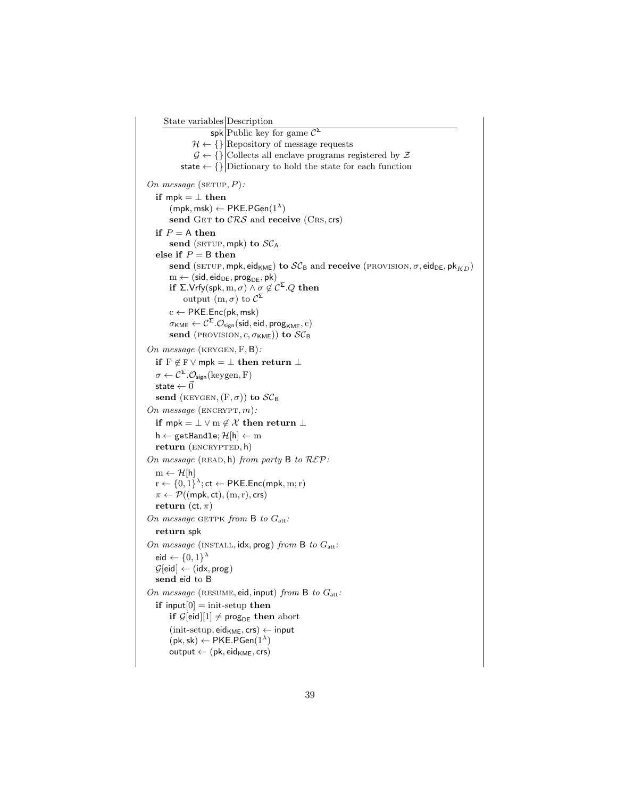```
State variables Description
                          spk Public key for game \mathcal{C}^{\Sigma}\mathcal{H} \leftarrow \{\}|\text{Repository of message requests}\|\mathcal{G} \leftarrow \{ \} Collects all enclave programs registered by \mathcal{Z}state \leftarrow \{ \} Dictionary to hold the state for each function
On message (SETUP, P):
   if mpk = \perp then
         (mpk, msk) \leftarrow PKE.PGen(1^{\lambda})send GET to CRS and receive (CRS, crs)
   if P = A then
         send (SETUP, mpk) to SC_Aelse if P = B then
         send (SETUP, mpk, eid<sub>KME</sub>) to \mathcal{SC}_B and receive (PROVISION, \sigma, eid<sub>DE</sub>, pk<sub>KD</sub>)
         \mathbf{m} \leftarrow (\mathsf{sid}, \mathsf{eid}_{\mathsf{DE}}, \mathsf{prog}_{\mathsf{DE}}, \mathsf{pk})if ∑.Vrfy(spk, m, \sigma) \wedge \sigma \not\in \mathcal{C}^{\Sigma}.Q then
               output (m, σ) to \mathcal{C}^{\Sigma}c \leftarrow PKE.Enc(pk, msk)\sigmaκм\epsilon \leftarrow \mathcal{C}^{\mathsf{\Sigma}}.\mathcal{O}_{\mathsf{sign}}(\mathsf{sid},\mathsf{eid},\mathsf{prog}_{\mathsf{KME}},\mathrm{c})send (provision, c, \sigma_{\text{KME}})) to \mathcal{SC}_{\text{B}}On message (keygen, F, B):
   if F \not\in F \vee mpk = \bot then return \bot\sigma \leftarrow \mathcal{C}^{\Sigma}.\mathcal{O}_{sign}(keygen, F)state \leftarrow \vec{0}send (KEYGEN, (F, \sigma)) to \mathcal{SC}_BOn message (\text{ENCRYPT}, m):
   if mpk = \perp \vee m \notin \mathcal{X} then return \perph \leftarrow getHandle; \mathcal{H}[h] \leftarrow mreturn (ENCRYPTED, h)
On message (READ, h) from party B to R\mathcal{E}P:
   m \leftarrow \mathcal{H}[h]r \leftarrow \{0, 1\}^{\lambda}; ct \leftarrow PKE.Enc(mpk, m; r)
   \pi \leftarrow \mathcal{P}((\text{mpk}, \text{ct}), (\text{m}, \text{r}), \text{crs})return (ct, \pi)
On message GETPK from B to G_{att}:
   return spk
On message (INSTALL, idx, prog) from B to G_{att}:
    eid \leftarrow \{0,1\}^{\lambda}\mathcal{G}[eid] \leftarrow (idx, prog)send eid to B
On message (RESUME, eid, input) from B to G_{att}:
   if input[0] = init-setup then
         if \mathcal{G}[eid][1] \neq \mathsf{prog}_{DE} then abort
         (int\text{-}setup, \text{eid}_{KME}, \text{crs}) \leftarrow input(\mathsf{pk}, \mathsf{sk}) \leftarrow \mathsf{PKE}.\mathsf{PGen}(1^\lambda)output \leftarrow (pk, eid_{KME}, crs)
```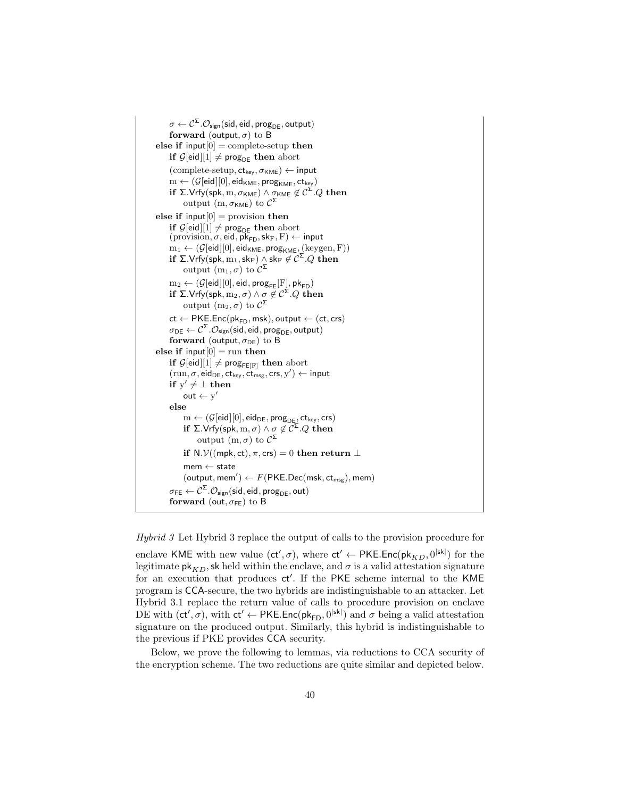$\sigma \leftarrow \mathcal{C}^{\mathsf{\Sigma}}.\mathcal{O}_{\mathsf{sign}}(\mathsf{sid},\mathsf{eid},\mathsf{prog}_{\mathsf{DE}},\mathsf{output})$ forward (output,  $\sigma$ ) to B else if  $input[0] = complete-setup$  then if  $\mathcal{G}[eid][1] \neq \text{prog}_{DE}$  then abort  $(\text{complete-setup}, ct_{key}, \sigma_{KME}) \leftarrow \text{input}$  $\mathbf{m} \leftarrow (\mathcal{G}[\mathsf{eid}][0], \mathsf{eid}_{\mathsf{KME}}, \mathsf{prog}_{\mathsf{KME}}, \mathsf{ct}_{\mathsf{key}})$ if Σ.Vrfy(spk,  $\mathrm{m}, \sigma_{\mathsf{KME}}$  )  $\wedge$   $\sigma_{\mathsf{KME}} \not\in \mathcal{C}^{\mathsf{\Sigma}}. Q$  then output  $(m,\sigma_{\mathsf{KME}})$  to  $\mathcal{C}^{\mathsf{\Sigma}}$ else if input $[0]$  = provision then if  $\mathcal{G}[eid][1] \neq \text{prog}_{DE}$  then abort  $(\text{provision}, \sigma, \text{eid}, \overline{\mathsf{pk}}_{\mathsf{FD}}, \mathsf{sk}_{\mathrm{F}}, \mathrm{F}) \leftarrow \mathsf{input}$  $\text{m}_1 \gets (\mathcal{G}[\mathsf{eid}][0], \mathsf{eid}_\mathsf{KME}, \mathsf{prog}_\mathsf{KME}, (\text{keygen}, \text{F}))$ if ∑.Vrfy(spk,  $\mathrm{m}_1,$  sk $_\mathrm{F})\wedge$  sk $_\mathrm{F}\not\in \mathcal{C}^\Sigma.Q$  then output  $(\mathrm{m}_1,\sigma)$  to  $\mathcal{C}^{\mathsf{\Sigma}}$  $m_2 \leftarrow (\mathcal{G}[eid][0], eid, prog_{FE}[F], pk_{FD})$ if ∑.Vrfy $({\sf spk}, {\rm m}_2, \sigma) \wedge \sigma \not\in \mathcal{C}^\Sigma. Q$  then output  $(m_2, \sigma)$  to  $\mathcal{C}^{\mathsf{\Sigma}}$  $ct \leftarrow PKE.Enc(pk_{FD},msk), output \leftarrow (ct,crs)$  $\sigma_\mathsf{DE} \leftarrow \mathcal{C}^\Sigma . \mathcal{O}_\mathsf{sign}(\mathsf{sid}, \mathsf{eid}, \mathsf{prog}_\mathsf{DE}, \mathsf{output})$ forward (output,  $\sigma_{DE}$ ) to B else if input $[0]$  = run then if  $\mathcal{G}[eid][1] \neq \text{prog}_{\text{FE}[F]}$  then abort  $(\text{run}, \sigma, \text{eid}_{\text{DE}}, \text{ct}_{\text{key}}, \text{ct}_{\text{msg}}, \text{crs}, \text{y}') \leftarrow \text{input}$ if  $y' \neq \bot$  then out  $\leftarrow y'$ else  $\mathrm{m} \leftarrow (\mathcal{G}[\mathsf{eid}][0], \mathsf{eid}_{\mathsf{DE}}, \mathsf{prog}_{\mathsf{DE}}, \mathsf{ct}_{\mathsf{key}}, \mathsf{crs})$ if ∑.Vrfy $(\mathsf{spk},\mathsf{m},\sigma) \land \sigma \not\in \mathcal{C}^{\mathsf{\Sigma}}.Q$  then output (m, σ) to  $\mathcal{C}^{\Sigma}$ if N. $\mathcal{V}((\text{mpk}, \text{ct}), \pi, \text{crs}) = 0$  then return  $\perp$  $m$ em  $\leftarrow$  state  $(\textsf{output}, \textsf{mem}') \leftarrow F(\textsf{PKE}.\textsf{Dec}(\textsf{msk}, \textsf{ct}_{\textsf{msg}}), \textsf{mem})$  $\sigma_\mathsf{FE} \leftarrow \mathcal{C}^\mathsf{\Sigma}.\mathcal{O}_\mathsf{sign}(\mathsf{sid},\mathsf{eid},\mathsf{prog}_\mathsf{DE},\mathsf{out})$ forward (out,  $\sigma_{FE}$ ) to B

Hybrid 3 Let Hybrid 3 replace the output of calls to the provision procedure for

enclave KME with new value  $(\mathsf{ct}', \sigma)$ , where  $\mathsf{ct}' \leftarrow \mathsf{PKE}.\mathsf{Enc}(\mathsf{pk}_{KD}, 0^{|\mathsf{sk}|})$  for the legitimate  $\mathsf{pk}_{KD}$ , sk held within the enclave, and  $\sigma$  is a valid attestation signature for an execution that produces ct'. If the PKE scheme internal to the KME program is CCA-secure, the two hybrids are indistinguishable to an attacker. Let Hybrid 3.1 replace the return value of calls to procedure provision on enclave DE with  $(ct', \sigma)$ , with  $ct' \leftarrow \text{PKE}$ .Enc $(\text{pk}_{FD}, 0^{|\text{sk}|})$  and  $\sigma$  being a valid attestation signature on the produced output. Similarly, this hybrid is indistinguishable to the previous if PKE provides CCA security.

Below, we prove the following to lemmas, via reductions to CCA security of the encryption scheme. The two reductions are quite similar and depicted below.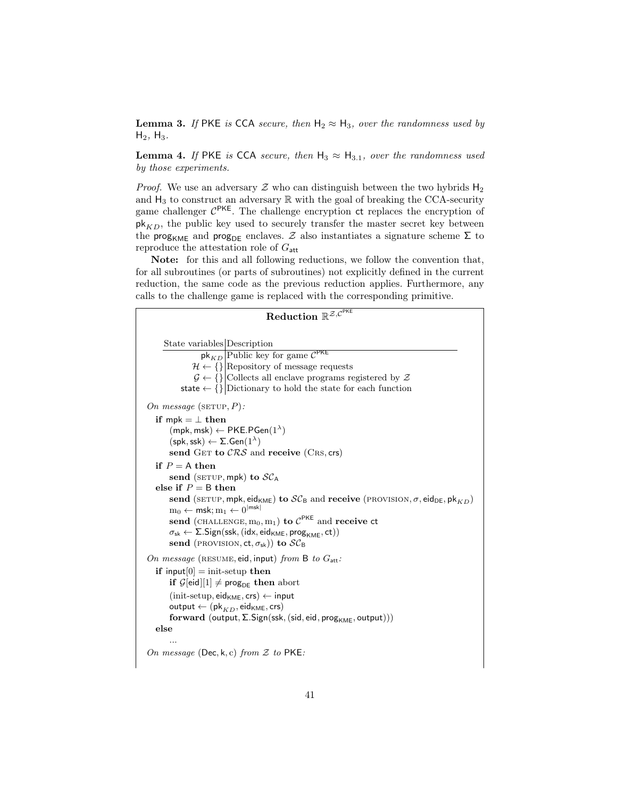**Lemma 3.** If PKE is CCA secure, then  $H_2 \approx H_3$ , over the randomness used by  $H_2$ ,  $H_3$ .

**Lemma 4.** If PKE is CCA secure, then  $H_3 \approx H_{3,1}$ , over the randomness used by those experiments.

*Proof.* We use an adversary  $Z$  who can distinguish between the two hybrids  $H_2$ and  $H_3$  to construct an adversary  $\mathbb R$  with the goal of breaking the CCA-security game challenger  $C^{PKE}$ . The challenge encryption ct replaces the encryption of  $pk<sub>KD</sub>$ , the public key used to securely transfer the master secret key between the prog<sub>KME</sub> and prog<sub>DE</sub> enclaves. Z also instantiates a signature scheme  $\Sigma$  to reproduce the attestation role of  $G_{\text{att}}$ 

Note: for this and all following reductions, we follow the convention that, for all subroutines (or parts of subroutines) not explicitly defined in the current reduction, the same code as the previous reduction applies. Furthermore, any calls to the challenge game is replaced with the corresponding primitive.

```
{\rm Reduction} \; \mathbb{R}^{\mathcal{Z}, \mathcal{C}^{\mathsf{PKE}}}State variables Description
                       \frac{\mathsf{pk}_{KD}}{\mathsf{Public key}} for game \mathcal{C}^{\mathsf{PKE}}\mathcal{H} \leftarrow \{\}\big| Repository of message requests
                   \mathcal{G} \leftarrow \{\}\big Collects all enclave programs registered by \mathcal{Z}state \leftarrow \{\}\left|\text{Dictionary to hold the state for each function}\right|\right|On message (SETUP, P):
   if mpk = \perp then
          (mpk, msk) \leftarrow PKE.PGen(1^{\lambda})(\mathsf{spk},\mathsf{ssk}) \leftarrow \Sigma.\mathsf{Gen}(1^{\lambda})send GET to CRS and receive (CRS, crs)
   if P = A then
         send (SETUP, mpk) to SC_Aelse if P = B then
         send (SETUP, mpk, eid<sub>KME</sub>) to SC_B and receive (PROVISION, \sigma, eid<sub>DE</sub>, pk<sub>KD</sub>)
          \mathrm{m}_0 \leftarrow \textsf{msk}; \mathrm{m}_1 \leftarrow 0^{|\textsf{msk}|}send (CHALLENGE, \mathrm{m}_0, \mathrm{m}_1) to \mathcal{C}^\mathsf{PKE} and receive ct
         \sigma_{\rm sk} \leftarrow \Sigma.\mathsf{Sign}(\mathsf{ssk},(\mathsf{idx},\mathsf{eid}_{\mathsf{KME}},\mathsf{prog}_{\mathsf{KME}},\mathsf{ct}))send (PROVISION, ct, \sigma_{sk})) to SC_BOn message (RESUME, eid, input) from B to G_{\text{att}}:
   if input[0] = \text{init-setup} then
         if \mathcal{G}[eid][1] \neq \text{prog}_{DE} then abort
         (int\text{-}setup, \text{eid}_{KME}, \text{crs}) \leftarrow input\mathsf{output} \leftarrow (\mathsf{pk}_{KD}, \mathsf{eid}_{\mathsf{KME}}, \mathsf{crs})forward (output, \Sigma. Sign(ssk, (sid, eid, prog<sub>KME</sub>, output)))
   else
          ...
On message (Dec, k, c) from Z to PKE:
```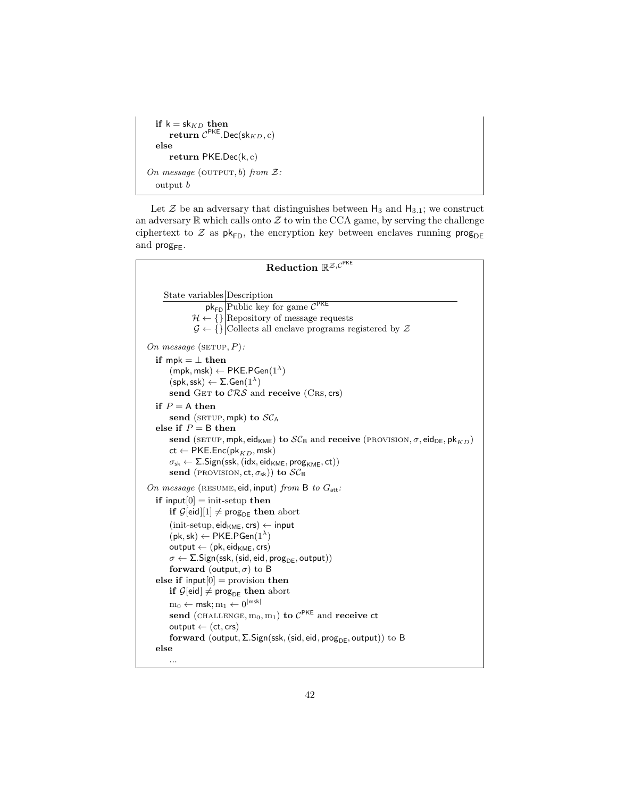```
\mathbf{if}\,\,\mathsf{k}=\mathsf{sk}_{KD}\,\,\mathbf{then}\mathsf{return}~ \mathcal{C}^{\mathsf{PKE}}. \mathsf{Dec}(\mathsf{sk}_{KD}, c)else
         return PKE.Dec(k, c)On message (OUTPUT, b) from \mathcal{Z}.output b
```
...

Let  $\mathcal Z$  be an adversary that distinguishes between  $H_3$  and  $H_{3.1}$ ; we construct an adversary  $\mathbb R$  which calls onto  $\mathcal Z$  to win the CCA game, by serving the challenge ciphertext to  $\mathcal Z$  as  $\mathsf{pk}_{\mathsf{FD}},$  the encryption key between enclaves running  $\mathsf{prog}_{\mathsf{DE}}$ and  $\mathsf{prog}_{\mathsf{FE}}$ .

| Reduction $\overline{\mathbb{R}^{\mathcal{Z},\mathcal{C}^{\text{PKE}}}}$                                                                                                                   |
|--------------------------------------------------------------------------------------------------------------------------------------------------------------------------------------------|
|                                                                                                                                                                                            |
| State variables Description                                                                                                                                                                |
| $pk_{FD}$ Public key for game $C^{PKE}$                                                                                                                                                    |
| $\mathcal{H} \leftarrow \{\}\big \text{Repository of message requests}\big $                                                                                                               |
| $\mathcal{G} \leftarrow \{\} \text{Collects all enclave programs registered by }\mathcal{Z}\$                                                                                              |
| On message (SETUP, $P$ ):                                                                                                                                                                  |
| if mpk = $\perp$ then                                                                                                                                                                      |
| $(mpk, msk) \leftarrow PKE.PGen(1^{\lambda})$                                                                                                                                              |
| $(\mathsf{spk}, \mathsf{ssk}) \leftarrow \Sigma . \mathsf{Gen}(1^{\lambda})$                                                                                                               |
| send GET to $CRS$ and receive (CRS, crs)                                                                                                                                                   |
| if $P = A$ then                                                                                                                                                                            |
| send (SETUP, mpk) to $SC_A$                                                                                                                                                                |
| else if $P = B$ then                                                                                                                                                                       |
| send (SETUP, mpk, eid <sub>KME</sub> ) to $SC_B$ and receive (PROVISION, $\sigma$ , eid <sub>DE</sub> , pk <sub>KD</sub> )                                                                 |
| $\mathsf{ct} \leftarrow \mathsf{PKE}.\mathsf{Enc}(\mathsf{pk}_{KD},\mathsf{msk})$<br>$\sigma_{\rm sk} \leftarrow \Sigma$ . Sign(ssk, (idx, eid <sub>KME</sub> , prog <sub>KME</sub> , ct)) |
| send (PROVISION, ct, $\sigma_{sk}$ ) to $SC_B$                                                                                                                                             |
|                                                                                                                                                                                            |
| On message (RESUME, eid, input) from B to $G_{\text{att}}$ :                                                                                                                               |
| if input $[0]$ = init-setup then                                                                                                                                                           |
| if $\mathcal{G}[eid][1] \neq \mathsf{prog}_{\mathsf{DE}}$ then abort                                                                                                                       |
| $(int\text{-}setup, \text{eid}_{KME}, \text{crs}) \leftarrow input$                                                                                                                        |
| $(\mathsf{pk}, \mathsf{sk}) \leftarrow \mathsf{PKE}.\mathsf{PGen}(1^{\lambda})$                                                                                                            |
| $output \leftarrow (pk, eid_{KME}, crs)$<br>$\sigma \leftarrow \Sigma$ . Sign(ssk, (sid, eid, prog <sub>DE</sub> , output))                                                                |
| forward (output, $\sigma$ ) to B                                                                                                                                                           |
| else if input $[0]$ = provision then                                                                                                                                                       |
| if $\mathcal{G}[\text{eid}] \neq \text{prog}_{\text{DE}}$ then abort                                                                                                                       |
| $m_0 \leftarrow$ msk; $m_1 \leftarrow 0^{ msk }$                                                                                                                                           |
| send (CHALLENGE, $m_0, m_1$ ) to $C^{PKE}$ and receive ct                                                                                                                                  |
| $output \leftarrow (ct, crs)$                                                                                                                                                              |
| forward (output, $\Sigma$ . Sign(ssk, (sid, eid, prog <sub>DE</sub> , output)) to B                                                                                                        |
| else                                                                                                                                                                                       |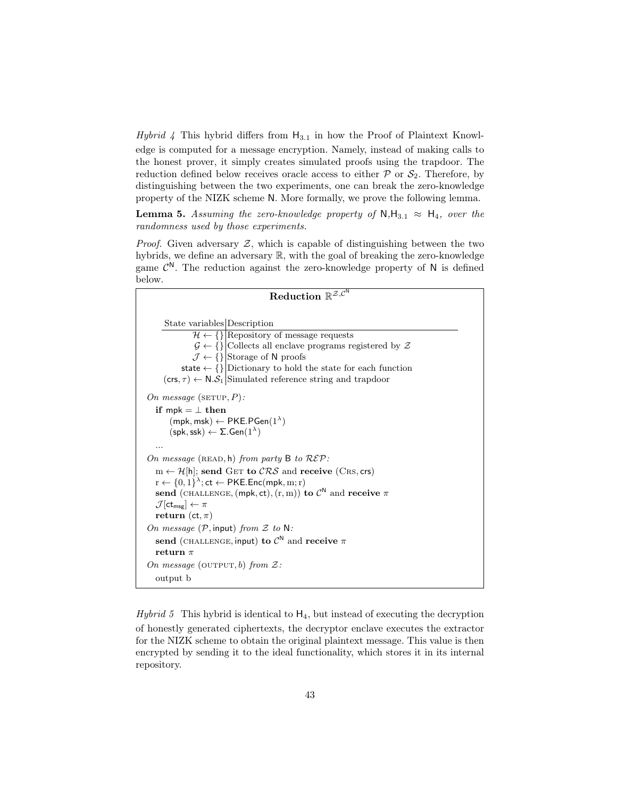*Hybrid* 4 This hybrid differs from  $H_{3,1}$  in how the Proof of Plaintext Knowledge is computed for a message encryption. Namely, instead of making calls to the honest prover, it simply creates simulated proofs using the trapdoor. The reduction defined below receives oracle access to either  $P$  or  $S_2$ . Therefore, by distinguishing between the two experiments, one can break the zero-knowledge property of the NIZK scheme N. More formally, we prove the following lemma.

**Lemma 5.** Assuming the zero-knowledge property of  $N,H_{3,1} \approx H_4$ , over the randomness used by those experiments.

*Proof.* Given adversary  $Z$ , which is capable of distinguishing between the two hybrids, we define an adversary R, with the goal of breaking the zero-knowledge game  $\mathcal{C}^N$ . The reduction against the zero-knowledge property of N is defined below.

| Reduction $\mathbb{R}^{\mathcal{Z}, \mathcal{C}^{\overline{\mathbb{N}}}}$                          |
|----------------------------------------------------------------------------------------------------|
|                                                                                                    |
| State variables Description                                                                        |
| $\mathcal{H} \leftarrow \{\} \overline{\text{Repository of message requests}}\ $                   |
| $\mathcal{G} \leftarrow \{\} \text{Collects all enclave programs registered by }\mathcal{Z}\$      |
| $\mathcal{J} \leftarrow \{\}\left \text{Storage of N proofs}\right $                               |
| state $\leftarrow \{\}\left  \text{Dictionary to hold the state for each function}\right $         |
| $(\mathsf{crs}, \tau) \leftarrow \mathsf{N}.\mathcal{S}_1$ Simulated reference string and trapdoor |
| On message (SETUP, $P$ ):                                                                          |
| if mpk $=$ $\perp$ then                                                                            |
| $(mpk, msk) \leftarrow PKE.PGen(1^{\lambda})$                                                      |
| $(\mathsf{spk}, \mathsf{ssk}) \leftarrow \Sigma . \mathsf{Gen}(1^{\lambda})$                       |
|                                                                                                    |
| On message (READ, h) from party B to $R\mathcal{E}P$ :                                             |
| $m \leftarrow \mathcal{H}[h]$ ; send GET to $\mathcal{CRS}$ and receive (CRS, crs)                 |
| $r \leftarrow \{0, 1\}^{\lambda}; ct \leftarrow \textsf{PKE}.\textsf{Enc}(\textsf{mpk}, m; r)$     |
| send (CHALLENGE, (mpk, ct), (r, m)) to $\mathcal{C}^N$ and receive $\pi$                           |
| $\mathcal{J}[\mathsf{ct}_{\mathsf{msg}}] \leftarrow \pi$                                           |
| return (ct, $\pi$ )                                                                                |
| On message $(\mathcal{P}, \mathsf{input})$ from $\mathcal Z$ to N:                                 |
| send (CHALLENGE, input) to $\mathcal{C}^N$ and receive $\pi$                                       |
| return $\pi$                                                                                       |
| On message (OUTPUT, b) from $\mathcal{Z}$ :                                                        |
| output b                                                                                           |

Hybrid 5 This hybrid is identical to  $H_4$ , but instead of executing the decryption of honestly generated ciphertexts, the decryptor enclave executes the extractor for the NIZK scheme to obtain the original plaintext message. This value is then encrypted by sending it to the ideal functionality, which stores it in its internal repository.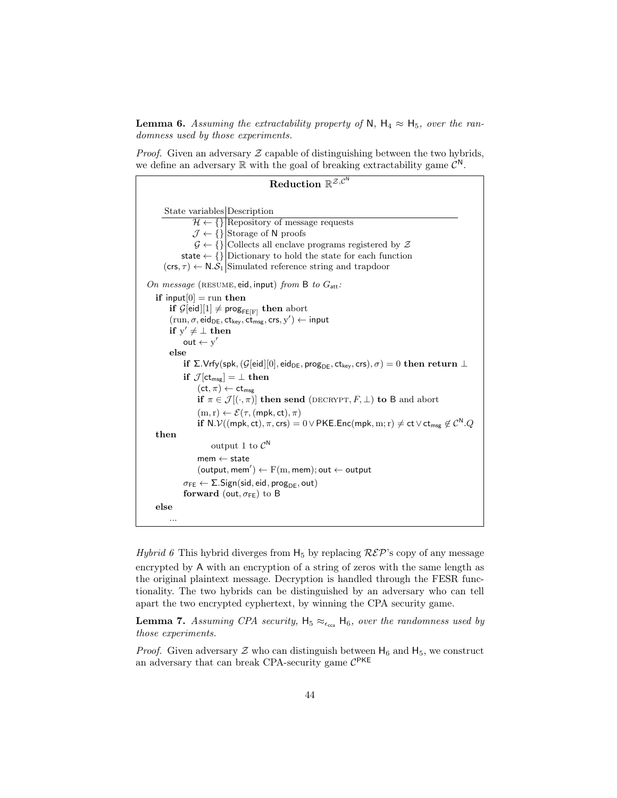**Lemma 6.** Assuming the extractability property of N,  $H_4 \approx H_5$ , over the randomness used by those experiments.

*Proof.* Given an adversary  $Z$  capable of distinguishing between the two hybrids, we define an adversary  $\mathbb R$  with the goal of breaking extractability game  $\mathcal{C}^N$ .

```
{\rm Reduction}\; \mathbb{R}^{\mathcal{Z},\mathcal{C}^{\mathsf{N}}}State variables Description
                       \mathcal{H} \leftarrow \{\}\Repository of message requests
                      \mathcal{J} \leftarrow \{\}\left|\text{Storage of N proofs}\right|\mathcal{G} \leftarrow \{\}|\text{Collects all enclave programs registered by }\mathcal{Z}\state \leftarrow \{\}|\text{Dictionary to hold the state for each function}(crs, \tau) \leftarrow N.S_1 Simulated reference string and trapdoor
On message (RESUME, eid, input) from B to G_{\text{att}}:
    if input[0] = run then
           \textbf{if} \ \mathcal{G}[\textbf{eid}][1] \neq \textbf{prog}_{\textbf{FE}[\textbf{F}]} then abort
            (\text{run}, \sigma, \text{eid}_{\text{DE}}, \text{ct}_{\text{key}}, \text{ct}_{\text{msg}}, \text{crs}, \text{y}') \leftarrow \text{input}if y' \neq \bot then
                  out \leftarrow y'else
                 if Σ.Vrfy(spk, (G[eid][0], eid<sub>DE</sub>, prog<sub>DE</sub>, ct<sub>key</sub>, crs), \sigma) = 0 then return \botif \mathcal{J}[\text{ct}_{\text{msg}}] = \bot then
                         (\mathsf{ct}, \pi) \leftarrow \mathsf{ct}_{\mathsf{msg}}if \pi \in \mathcal{J}[(\cdot,\pi)] then send (DECRYPT, F, \perp) to B and abort
                         (m, r) \leftarrow \mathcal{E}(\tau, (mpk, ct), \pi){\bf if}\, \, {\sf N}.\mathcal{V}((\mathsf{mpk},\mathsf{ct}),\pi,\mathsf{crs}) = 0 \vee {\sf PKE}.\mathsf{Enc}(\mathsf{mpk},\mathrm{m};\mathrm{r}) \neq \mathsf{ct}\vee\mathsf{ct}_{\mathsf{msg}} \not\in \mathcal{C}^{\sf N}.Qthen
                                output 1 to \mathcal{C}^{\mathsf{N}}m ← state
                         (\textsf{output}, \textsf{mem}') \leftarrow \mathrm{F(m, \textsf{mem})}; \textsf{out} \leftarrow \textsf{output}\sigma_{\texttt{FE}} \leftarrow \Sigma.\mathsf{Sign}(\mathsf{sid},\mathsf{eid},\mathsf{prog}_{\mathsf{DE}},\mathsf{out})forward (out, \sigma_{FE}) to B
    else
            ...
```
Hybrid 6 This hybrid diverges from  $H_5$  by replacing  $\mathcal{R}\mathcal{E}\mathcal{P}$ 's copy of any message encrypted by A with an encryption of a string of zeros with the same length as the original plaintext message. Decryption is handled through the FESR functionality. The two hybrids can be distinguished by an adversary who can tell apart the two encrypted cyphertext, by winning the CPA security game.

**Lemma 7.** Assuming CPA security,  $H_5 \approx_{\epsilon_{\text{cav}}} H_6$ , over the randomness used by those experiments.

*Proof.* Given adversary  $\mathcal Z$  who can distinguish between  $H_6$  and  $H_5$ , we construct an adversary that can break CPA-security game  $C^{\text{PKE}}$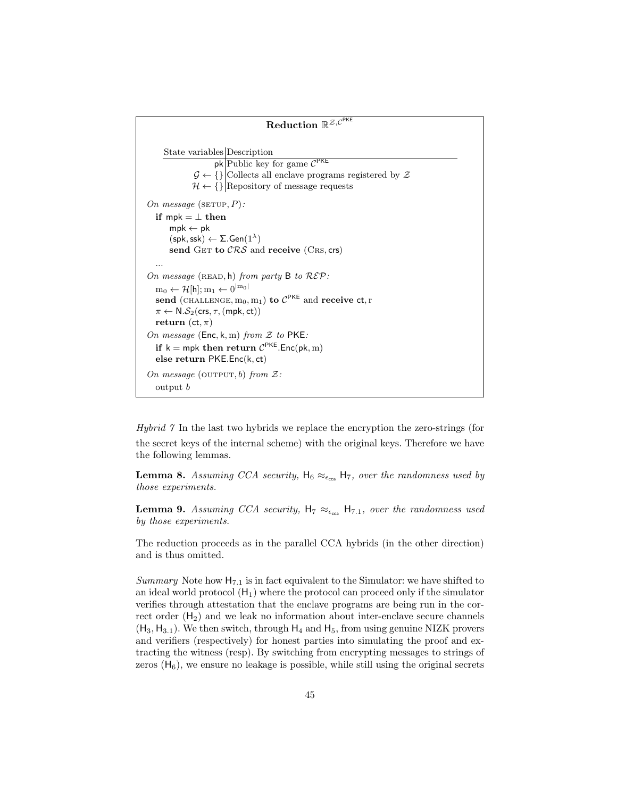```
{\rm Reduction} \; \mathbb{R}^{\mathcal{Z}, \mathcal{C}^{\mathsf{PKE}}}State variables Description
                         pk Public key for game C^{PKE}\mathcal{G} \leftarrow \{\}|\text{Collects all enclave programs registered by }\mathcal{Z}\\mathcal{H} \leftarrow \{\}\big| Repository of message requests
On message (\text{setUP}, P):
   if mpk = \perp then
        mpk \leftarrow pk(\mathsf{spk},\mathsf{ssk}) \leftarrow \Sigma.\mathsf{Gen}(1^{\lambda})send GET to CRS and receive (CRS, crs)
   ...
On message (READ, h) from party B to R\mathcal{E}P:
   \mathrm{m}_0 \leftarrow \mathcal{H}[\mathsf{h}]; \mathrm{m}_1 \leftarrow 0^{|\mathbf{m}_0|}send (CHALLENGE, m_0, m_1) to C^{PKE} and receive ct, r
   \pi \leftarrow \mathsf{N}.\mathcal{S}_2(\mathsf{crs},\tau,(\mathsf{mpk},\mathsf{ct}))return (ct, \pi)
On message (Enc, k, m) from Z to PKE:
   if k = mpk then return C^{PKE}. Enc(pk, m)
   else return PKE.Enc(k, ct)
On message (OUTPUT, b) from \mathcal{Z}:
   output b
```
Hybrid 7 In the last two hybrids we replace the encryption the zero-strings (for the secret keys of the internal scheme) with the original keys. Therefore we have the following lemmas.

**Lemma 8.** Assuming CCA security,  $H_6 \approx_{\epsilon_{\text{cea}}} H_7$ , over the randomness used by those experiments.

**Lemma 9.** Assuming CCA security,  $H_7 \approx_{\epsilon_{\text{cca}}} H_{7.1}$ , over the randomness used by those experiments.

The reduction proceeds as in the parallel CCA hybrids (in the other direction) and is thus omitted.

Summary Note how  $H_{7.1}$  is in fact equivalent to the Simulator: we have shifted to an ideal world protocol  $(H_1)$  where the protocol can proceed only if the simulator verifies through attestation that the enclave programs are being run in the correct order  $(H_2)$  and we leak no information about inter-enclave secure channels  $(H_3, H_{3,1})$ . We then switch, through  $H_4$  and  $H_5$ , from using genuine NIZK provers and verifiers (respectively) for honest parties into simulating the proof and extracting the witness (resp). By switching from encrypting messages to strings of zeros  $(H_6)$ , we ensure no leakage is possible, while still using the original secrets